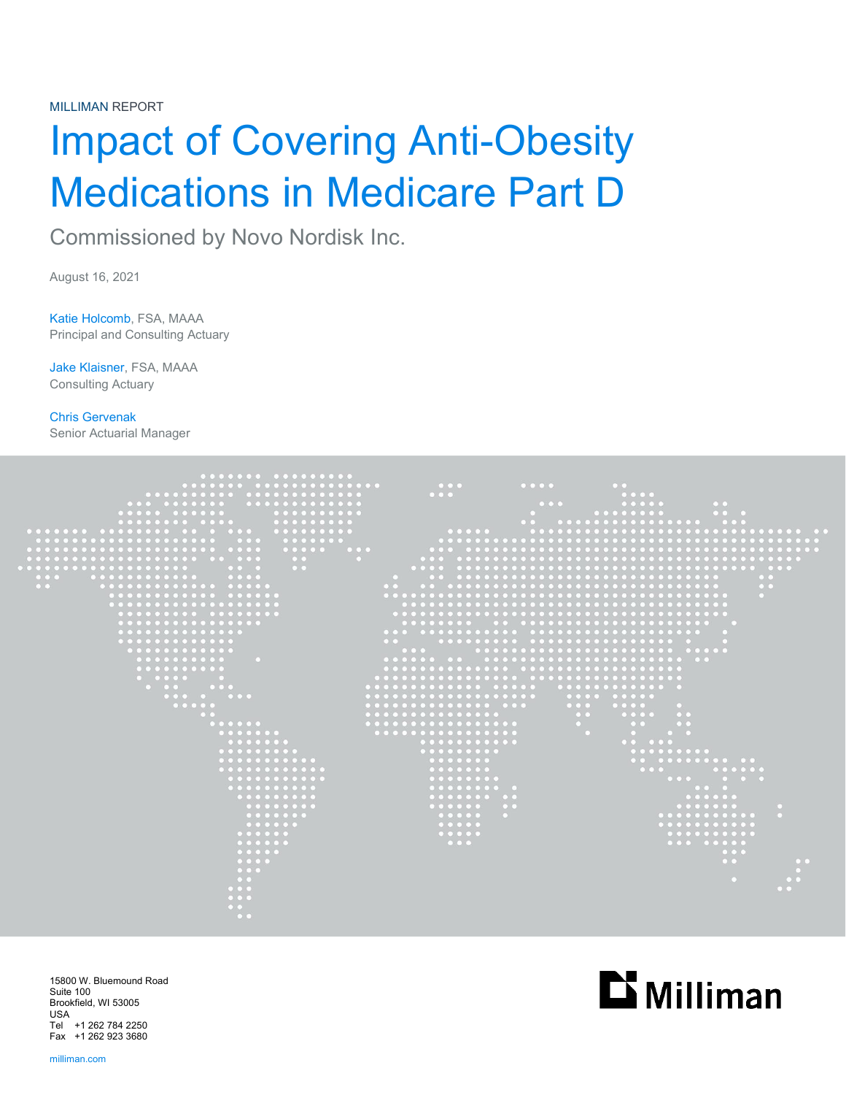MILLIMAN REPORT

# Impact of Covering Anti-Obesity Medications in Medicare Part D

Commissioned by Novo Nordisk Inc.

August 16, 2021

Katie Holcomb, FSA, MAAA Principal and Consulting Actuary

Jake Klaisner, FSA, MAAA Consulting Actuary

Chris Gervenak Senior Actuarial Manager



15800 W. Bluemound Road Suite 100 Brookfield, WI 53005 USA Tel +1 262 784 2250 Fax +1 262 923 3680

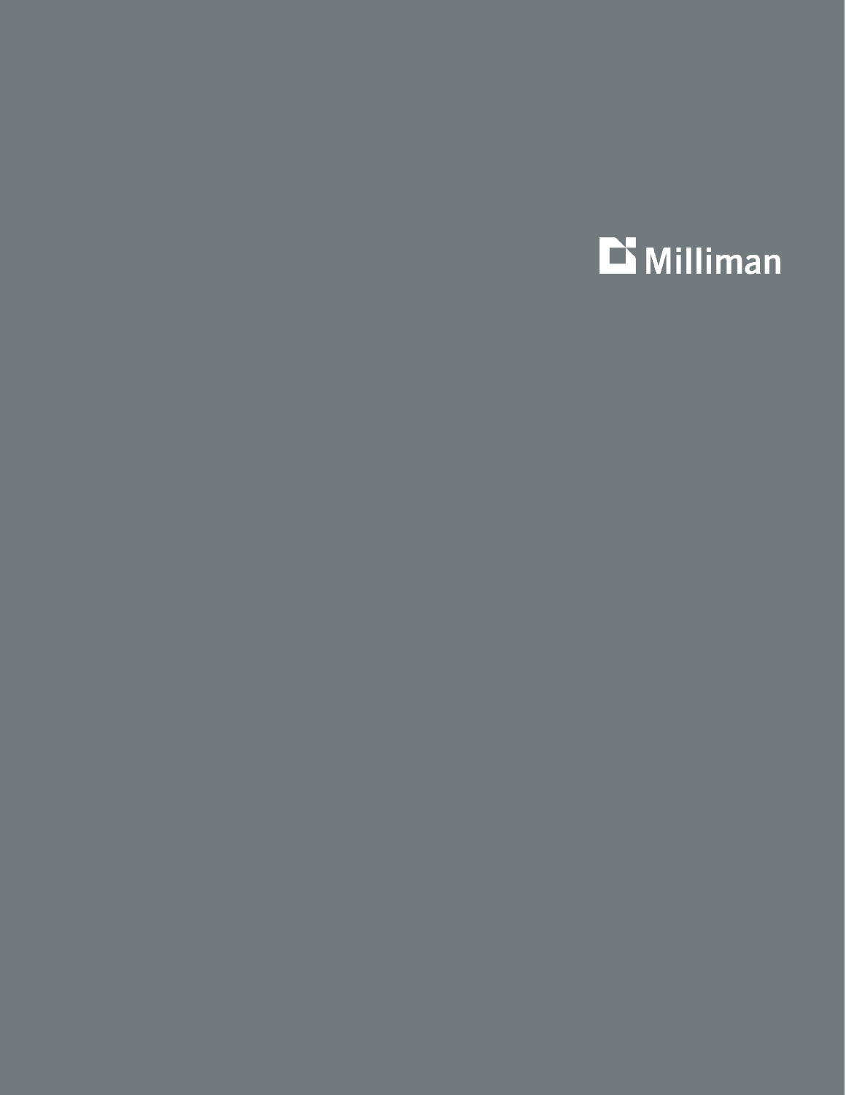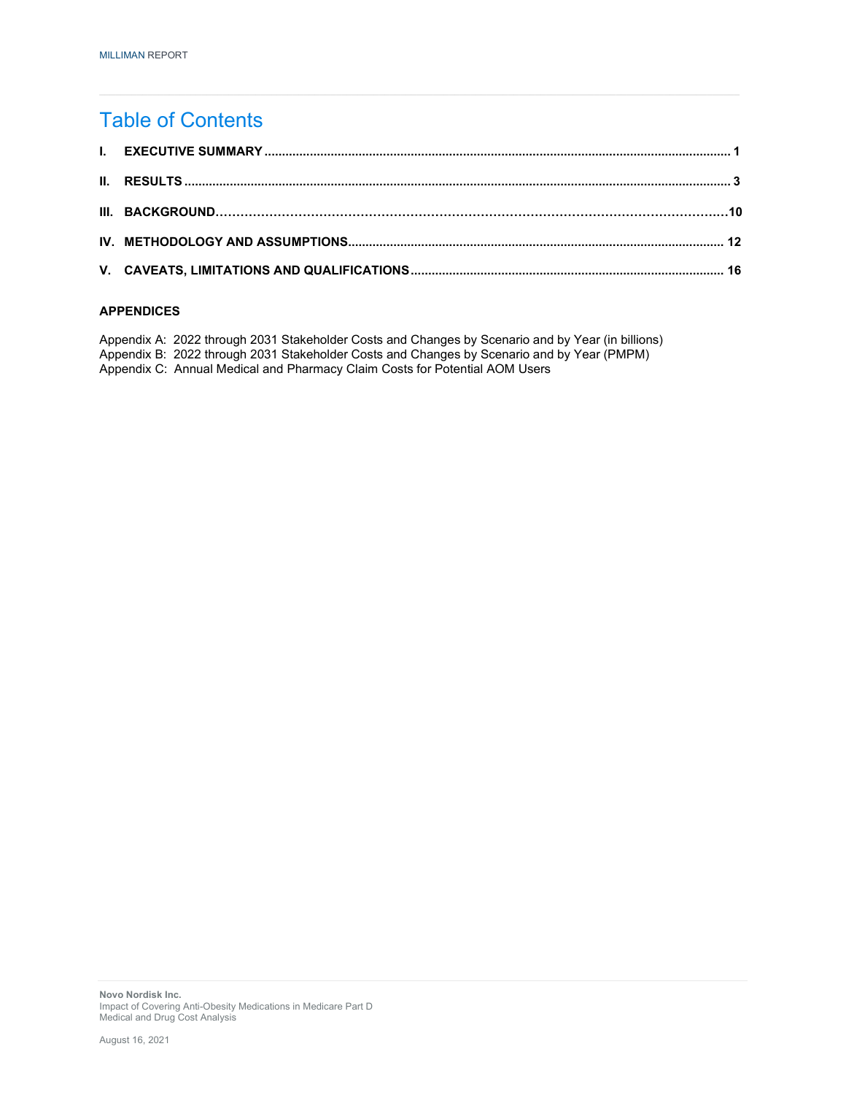### Table of Contents

#### **APPENDICES**

Appendix A: 2022 through 2031 Stakeholder Costs and Changes by Scenario and by Year (in billions) Appendix B: 2022 through 2031 Stakeholder Costs and Changes by Scenario and by Year (PMPM) Appendix C: Annual Medical and Pharmacy Claim Costs for Potential AOM Users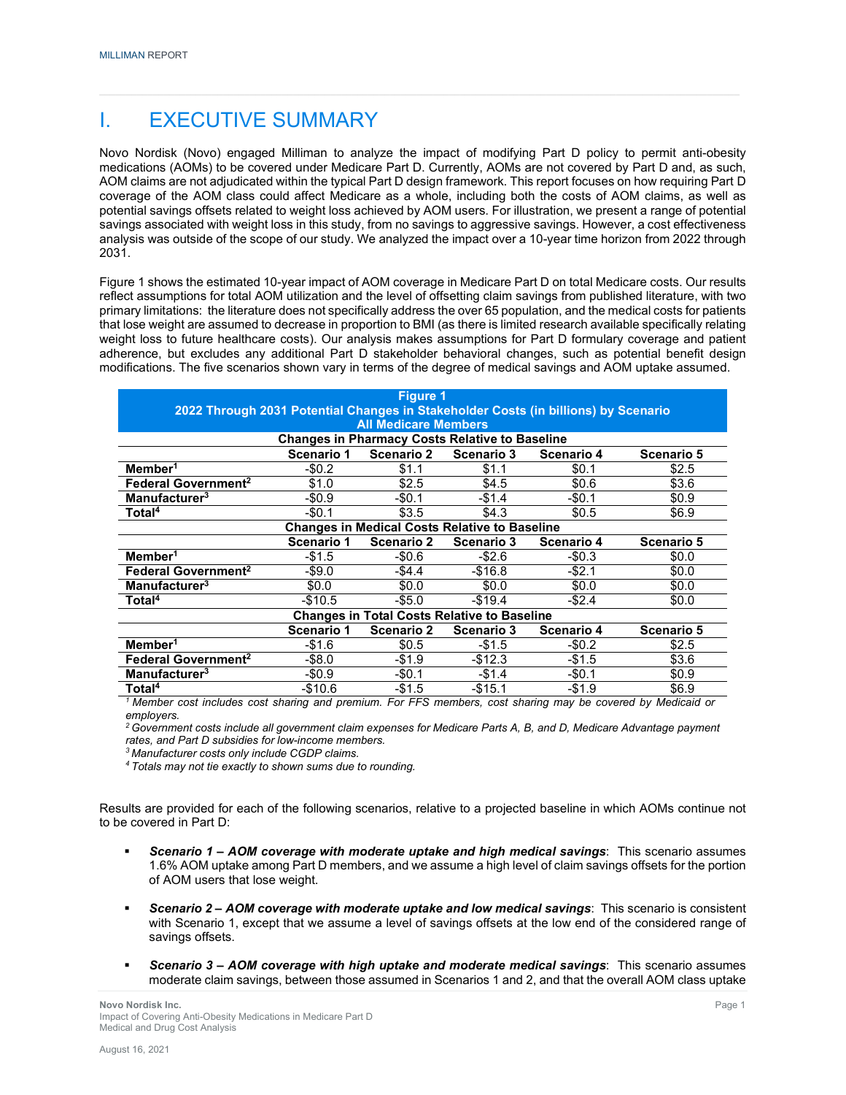### I. EXECUTIVE SUMMARY

Novo Nordisk (Novo) engaged Milliman to analyze the impact of modifying Part D policy to permit anti-obesity medications (AOMs) to be covered under Medicare Part D. Currently, AOMs are not covered by Part D and, as such, AOM claims are not adjudicated within the typical Part D design framework. This report focuses on how requiring Part D coverage of the AOM class could affect Medicare as a whole, including both the costs of AOM claims, as well as potential savings offsets related to weight loss achieved by AOM users. For illustration, we present a range of potential savings associated with weight loss in this study, from no savings to aggressive savings. However, a cost effectiveness analysis was outside of the scope of our study. We analyzed the impact over a 10-year time horizon from 2022 through 2031.

Figure 1 shows the estimated 10-year impact of AOM coverage in Medicare Part D on total Medicare costs. Our results reflect assumptions for total AOM utilization and the level of offsetting claim savings from published literature, with two primary limitations: the literature does not specifically address the over 65 population, and the medical costs for patients that lose weight are assumed to decrease in proportion to BMI (as there is limited research available specifically relating weight loss to future healthcare costs). Our analysis makes assumptions for Part D formulary coverage and patient adherence, but excludes any additional Part D stakeholder behavioral changes, such as potential benefit design modifications. The five scenarios shown vary in terms of the degree of medical savings and AOM uptake assumed.

|                                                                                                                              |            | <b>Figure 1</b>             |                                                       |            |            |
|------------------------------------------------------------------------------------------------------------------------------|------------|-----------------------------|-------------------------------------------------------|------------|------------|
| 2022 Through 2031 Potential Changes in Stakeholder Costs (in billions) by Scenario                                           |            |                             |                                                       |            |            |
|                                                                                                                              |            | <b>All Medicare Members</b> |                                                       |            |            |
|                                                                                                                              |            |                             | <b>Changes in Pharmacy Costs Relative to Baseline</b> |            |            |
|                                                                                                                              | Scenario 1 | <b>Scenario 2</b>           | Scenario 3                                            | Scenario 4 | Scenario 5 |
| Member <sup>1</sup>                                                                                                          | $-$0.2$    | \$1.1                       | \$1.1                                                 | \$0.1      | \$2.5      |
| Federal Government <sup>2</sup>                                                                                              | \$1.0      | \$2.5                       | \$4.5                                                 | \$0.6      | \$3.6      |
| Manufacturer <sup>3</sup>                                                                                                    | -\$0.9     | -\$0.1                      | $-$1.4$                                               | -\$0.1     | \$0.9      |
| Total <sup>4</sup>                                                                                                           | $-$0.1$    | \$3.5                       | \$4.3                                                 | \$0.5      | \$6.9      |
|                                                                                                                              |            |                             | <b>Changes in Medical Costs Relative to Baseline</b>  |            |            |
|                                                                                                                              | Scenario 1 | <b>Scenario 2</b>           | Scenario 3                                            | Scenario 4 | Scenario 5 |
| Member <sup>1</sup>                                                                                                          | $-$1.5$    | $-$0.6$                     | $-$ \$2.6                                             | $-$0.3$    | \$0.0      |
| Federal Government <sup>2</sup>                                                                                              | -\$9.0     | -\$4.4                      | -\$16.8                                               | -\$2.1     | \$0.0      |
| Manufacturer <sup>3</sup>                                                                                                    | \$0.0      | \$0.0                       | \$0.0                                                 | \$0.0      | \$0.0      |
| Total <sup>4</sup>                                                                                                           | -\$10.5    | -\$5.0                      | $-$ \$19.4                                            | -\$2.4     | \$0.0      |
|                                                                                                                              |            |                             | <b>Changes in Total Costs Relative to Baseline</b>    |            |            |
|                                                                                                                              | Scenario 1 | <b>Scenario 2</b>           | Scenario 3                                            | Scenario 4 | Scenario 5 |
| Member <sup>1</sup>                                                                                                          | $-$1.6$    | \$0.5                       | $-$1.5$                                               | $-$0.2$    | \$2.5      |
| Federal Government <sup>2</sup>                                                                                              | -\$8.0     | $-$1.9$                     | $-$12.3$                                              | -\$1.5     | \$3.6      |
| Manufacturer <sup>3</sup>                                                                                                    | $-$0.9$    | $-$0.1$                     | $-$1.4$                                               | $-$0.1$    | \$0.9      |
| Total <sup>4</sup><br>1 Member and includes and showing and number For FFO members and showing may be account by Medicaid an | $-$10.6$   | $-$1.5$                     | $-$15.1$                                              | -\$1.9     | \$6.9      |

*1 Member cost includes cost sharing and premium. For FFS members, cost sharing may be covered by Medicaid or employers.*

*2 Government costs include all government claim expenses for Medicare Parts A, B, and D, Medicare Advantage payment rates, and Part D subsidies for low-income members.*

*<sup>3</sup> Manufacturer costs only include CGDP claims.*

*4 Totals may not tie exactly to shown sums due to rounding.*

Results are provided for each of the following scenarios, relative to a projected baseline in which AOMs continue not to be covered in Part D:

- *Scenario 1 – AOM coverage with moderate uptake and high medical savings*: This scenario assumes 1.6% AOM uptake among Part D members, and we assume a high level of claim savings offsets for the portion of AOM users that lose weight.
- *Scenario 2 – AOM coverage with moderate uptake and low medical savings*: This scenario is consistent with Scenario 1, except that we assume a level of savings offsets at the low end of the considered range of savings offsets.
- *Scenario 3 – AOM coverage with high uptake and moderate medical savings*: This scenario assumes moderate claim savings, between those assumed in Scenarios 1 and 2, and that the overall AOM class uptake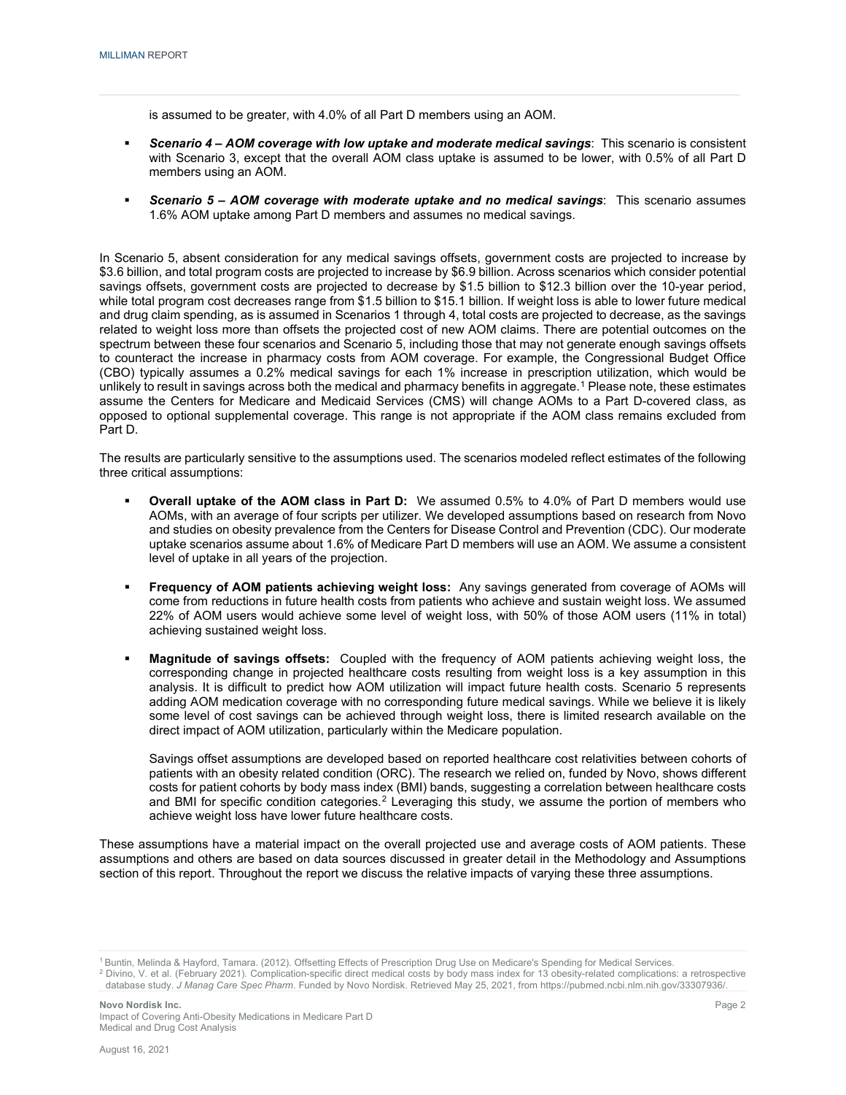is assumed to be greater, with 4.0% of all Part D members using an AOM.

- *Scenario 4 – AOM coverage with low uptake and moderate medical savings*: This scenario is consistent with Scenario 3, except that the overall AOM class uptake is assumed to be lower, with 0.5% of all Part D members using an AOM.
- *Scenario 5 – AOM coverage with moderate uptake and no medical savings*: This scenario assumes 1.6% AOM uptake among Part D members and assumes no medical savings.

In Scenario 5, absent consideration for any medical savings offsets, government costs are projected to increase by \$3.6 billion, and total program costs are projected to increase by \$6.9 billion. Across scenarios which consider potential savings offsets, government costs are projected to decrease by \$1.5 billion to \$12.3 billion over the 10-year period, while total program cost decreases range from \$1.5 billion to \$15.1 billion. If weight loss is able to lower future medical and drug claim spending, as is assumed in Scenarios 1 through 4, total costs are projected to decrease, as the savings related to weight loss more than offsets the projected cost of new AOM claims. There are potential outcomes on the spectrum between these four scenarios and Scenario 5, including those that may not generate enough savings offsets to counteract the increase in pharmacy costs from AOM coverage. For example, the Congressional Budget Office (CBO) typically assumes a 0.2% medical savings for each 1% increase in prescription utilization, which would be unlikely to result in savings across both the medical and pharmacy benefits in aggregate.<sup>[1](#page-4-0)</sup> Please note, these estimates assume the Centers for Medicare and Medicaid Services (CMS) will change AOMs to a Part D-covered class, as opposed to optional supplemental coverage. This range is not appropriate if the AOM class remains excluded from Part D.

The results are particularly sensitive to the assumptions used. The scenarios modeled reflect estimates of the following three critical assumptions:

- **Overall uptake of the AOM class in Part D:** We assumed 0.5% to 4.0% of Part D members would use AOMs, with an average of four scripts per utilizer. We developed assumptions based on research from Novo and studies on obesity prevalence from the Centers for Disease Control and Prevention (CDC). Our moderate uptake scenarios assume about 1.6% of Medicare Part D members will use an AOM. We assume a consistent level of uptake in all years of the projection.
- **Frequency of AOM patients achieving weight loss:** Any savings generated from coverage of AOMs will come from reductions in future health costs from patients who achieve and sustain weight loss. We assumed 22% of AOM users would achieve some level of weight loss, with 50% of those AOM users (11% in total) achieving sustained weight loss.
- **Magnitude of savings offsets:** Coupled with the frequency of AOM patients achieving weight loss, the corresponding change in projected healthcare costs resulting from weight loss is a key assumption in this analysis. It is difficult to predict how AOM utilization will impact future health costs. Scenario 5 represents adding AOM medication coverage with no corresponding future medical savings. While we believe it is likely some level of cost savings can be achieved through weight loss, there is limited research available on the direct impact of AOM utilization, particularly within the Medicare population.

Savings offset assumptions are developed based on reported healthcare cost relativities between cohorts of patients with an obesity related condition (ORC). The research we relied on, funded by Novo, shows different costs for patient cohorts by body mass index (BMI) bands, suggesting a correlation between healthcare costs and BMI for specific condition categories.<sup>[2](#page-4-1)</sup> Leveraging this study, we assume the portion of members who achieve weight loss have lower future healthcare costs.

These assumptions have a material impact on the overall projected use and average costs of AOM patients. These assumptions and others are based on data sources discussed in greater detail in the Methodology and Assumptions section of this report. Throughout the report we discuss the relative impacts of varying these three assumptions.

<sup>&</sup>lt;sup>1</sup> Buntin, Melinda & Hayford, Tamara. (2012). Offsetting Effects of Prescription Drug Use on Medicare's Spending for Medical Services.

<span id="page-4-1"></span><span id="page-4-0"></span><sup>2</sup> Divino, V. et al. (February 2021). Complication-specific direct medical costs by body mass index for 13 obesity-related complications: a retrospective database study. *J Manag Care Spec Pharm*. Funded by Novo Nordisk. Retrieved May 25, 2021, from https://pubmed.ncbi.nlm.nih.gov/33307936/.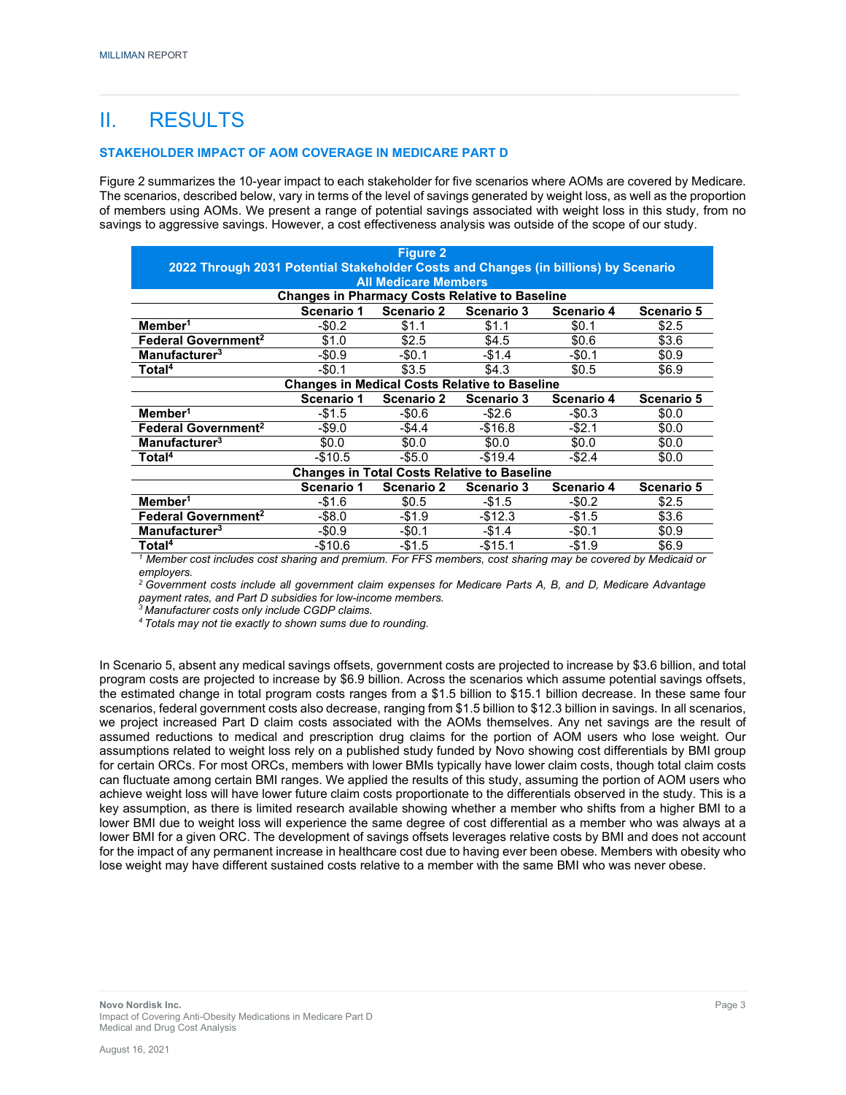## II. RESULTS

#### **STAKEHOLDER IMPACT OF AOM COVERAGE IN MEDICARE PART D**

Figure 2 summarizes the 10-year impact to each stakeholder for five scenarios where AOMs are covered by Medicare. The scenarios, described below, vary in terms of the level of savings generated by weight loss, as well as the proportion of members using AOMs. We present a range of potential savings associated with weight loss in this study, from no savings to aggressive savings. However, a cost effectiveness analysis was outside of the scope of our study.

|                                                                                     |                                                       | Figure <sub>2</sub>         |                                                    |                   |                   |
|-------------------------------------------------------------------------------------|-------------------------------------------------------|-----------------------------|----------------------------------------------------|-------------------|-------------------|
| 2022 Through 2031 Potential Stakeholder Costs and Changes (in billions) by Scenario |                                                       |                             |                                                    |                   |                   |
|                                                                                     |                                                       | <b>All Medicare Members</b> |                                                    |                   |                   |
|                                                                                     | <b>Changes in Pharmacy Costs Relative to Baseline</b> |                             |                                                    |                   |                   |
|                                                                                     | Scenario 1                                            | <b>Scenario 2</b>           | Scenario 3                                         | Scenario 4        | Scenario 5        |
| Member <sup>1</sup>                                                                 | $-$0.2$                                               | \$1.1                       | \$1.1                                              | \$0.1             | \$2.5             |
| Federal Government <sup>2</sup>                                                     | \$1.0                                                 | \$2.5                       | \$4.5                                              | \$0.6             | \$3.6             |
| Manufacturer <sup>3</sup>                                                           | $-$0.9$                                               | $-$0.1$                     | $-$1.4$                                            | -\$0.1            | \$0.9             |
| Total <sup>4</sup>                                                                  | $-$0.1$                                               | \$3.5                       | \$4.3                                              | \$0.5             | \$6.9             |
|                                                                                     | <b>Changes in Medical Costs Relative to Baseline</b>  |                             |                                                    |                   |                   |
|                                                                                     | Scenario 1                                            | Scenario 2                  | <b>Scenario 3</b>                                  | <b>Scenario 4</b> | <b>Scenario 5</b> |
| Member <sup>1</sup>                                                                 | $-$1.5$                                               | $-$0.6$                     | $-$ \$2.6                                          | $-$0.3$           | \$0.0             |
| <b>Federal Government<sup>2</sup></b>                                               | $-$ \$9.0                                             | $-$4.4$                     | $-$16.8$                                           | $-$ \$2.1         | \$0.0             |
| Manufacturer <sup>3</sup>                                                           | \$0.0                                                 | \$0.0                       | \$0.0                                              | \$0.0             | \$0.0             |
| Total <sup>4</sup>                                                                  | $-$10.5$                                              | $-$ \$5.0                   | $-$19.4$                                           | $-$2.4$           | \$0.0             |
|                                                                                     |                                                       |                             | <b>Changes in Total Costs Relative to Baseline</b> |                   |                   |
|                                                                                     | Scenario 1                                            | Scenario 2                  | Scenario 3                                         | Scenario 4        | Scenario 5        |
| Member <sup>1</sup>                                                                 | $-$1.6$                                               | \$0.5                       | $-$ \$1.5                                          | $-$0.2$           | \$2.5             |
| <b>Federal Government<sup>2</sup></b>                                               | $-$ \$8.0                                             | $-$1.9$                     | $-$12.3$                                           | -\$1.5            | \$3.6             |
| Manufacturer <sup>3</sup>                                                           | $-$0.9$                                               | $-50.1$                     | $-$1.4$                                            | -\$0.1            | \$0.9             |
| Total <sup>4</sup>                                                                  | -\$10.6                                               | -\$1.5                      | $-$15.1$                                           | -\$1.9            | \$6.9             |

*<sup>1</sup> Member cost includes cost sharing and premium. For FFS members, cost sharing may be covered by Medicaid or employers.*

*2 Government costs include all government claim expenses for Medicare Parts A, B, and D, Medicare Advantage payment rates, and Part D subsidies for low-income members.*

*<sup>3</sup> Manufacturer costs only include CGDP claims.*

*4 Totals may not tie exactly to shown sums due to rounding.*

In Scenario 5, absent any medical savings offsets, government costs are projected to increase by \$3.6 billion, and total program costs are projected to increase by \$6.9 billion. Across the scenarios which assume potential savings offsets, the estimated change in total program costs ranges from a \$1.5 billion to \$15.1 billion decrease. In these same four scenarios, federal government costs also decrease, ranging from \$1.5 billion to \$12.3 billion in savings. In all scenarios, we project increased Part D claim costs associated with the AOMs themselves. Any net savings are the result of assumed reductions to medical and prescription drug claims for the portion of AOM users who lose weight. Our assumptions related to weight loss rely on a published study funded by Novo showing cost differentials by BMI group for certain ORCs. For most ORCs, members with lower BMIs typically have lower claim costs, though total claim costs can fluctuate among certain BMI ranges. We applied the results of this study, assuming the portion of AOM users who achieve weight loss will have lower future claim costs proportionate to the differentials observed in the study. This is a key assumption, as there is limited research available showing whether a member who shifts from a higher BMI to a lower BMI due to weight loss will experience the same degree of cost differential as a member who was always at a lower BMI for a given ORC. The development of savings offsets leverages relative costs by BMI and does not account for the impact of any permanent increase in healthcare cost due to having ever been obese. Members with obesity who lose weight may have different sustained costs relative to a member with the same BMI who was never obese.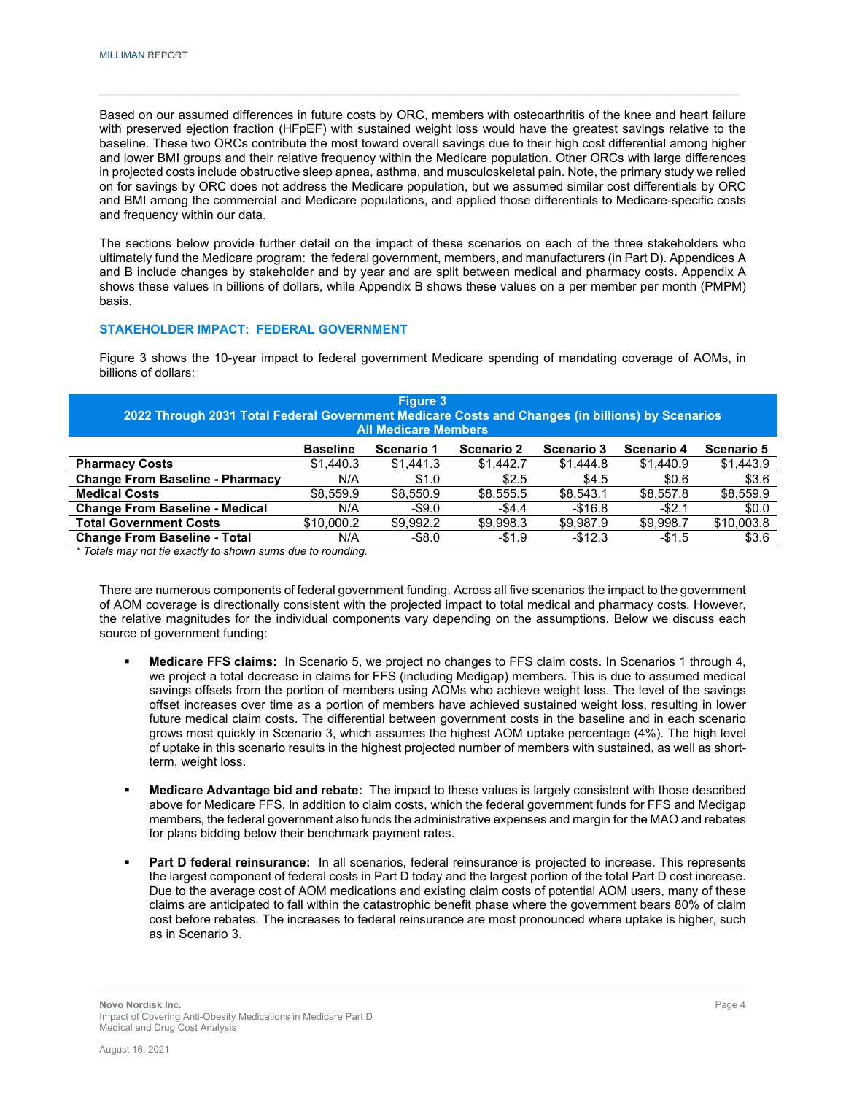Based on our assumed differences in future costs by ORC, members with osteoarthritis of the knee and heart failure with preserved ejection fraction (HFpEF) with sustained weight loss would have the greatest savings relative to the baseline. These two ORCs contribute the most toward overall savings due to their high cost differential among higher and lower BMI groups and their relative frequency within the Medicare population. Other ORCs with large differences in projected costs include obstructive sleep apnea, asthma, and musculoskeletal pain. Note, the primary study we relied on for savings by ORC does not address the Medicare population, but we assumed similar cost differentials by ORC and BMI among the commercial and Medicare populations, and applied those differentials to Medicare-specific costs and frequency within our data.

The sections below provide further detail on the impact of these scenarios on each of the three stakeholders who ultimately fund the Medicare program: the federal government, members, and manufacturers (in Part D). Appendices A and B include changes by stakeholder and by year and are split between medical and pharmacy costs. Appendix A shows these values in billions of dollars, while Appendix B shows these values on a per member per month (PMPM) basis.

#### **STAKEHOLDER IMPACT: FEDERAL GOVERNMENT**

Figure 3 shows the 10-year impact to federal government Medicare spending of mandating coverage of AOMs, in billions of dollars:

| 2022 Through 2031 Total Federal Government Medicare Costs and Changes (in billions) by Scenarios |                 | Figure 3<br><b>All Medicare Members</b> |            |                   |            |            |
|--------------------------------------------------------------------------------------------------|-----------------|-----------------------------------------|------------|-------------------|------------|------------|
|                                                                                                  | <b>Baseline</b> | Scenario 1                              | Scenario 2 | <b>Scenario 3</b> | Scenario 4 | Scenario 5 |
| <b>Pharmacy Costs</b>                                                                            | \$1,440.3       | \$1,441.3                               | \$1,442.7  | \$1,444.8         | \$1,440.9  | \$1,443.9  |
| <b>Change From Baseline - Pharmacy</b>                                                           | N/A             | \$1.0                                   | \$2.5      | \$4.5             | \$0.6      | \$3.6      |
| <b>Medical Costs</b>                                                                             | \$8.559.9       | \$8.550.9                               | \$8,555.5  | \$8.543.1         | \$8.557.8  | \$8,559.9  |
| <b>Change From Baseline - Medical</b>                                                            | N/A             | $-$ \$9.0                               | $-$4.4$    | $-$16.8$          | $-$ \$2.1  | \$0.0      |
| <b>Total Government Costs</b>                                                                    | \$10,000.2      | \$9.992.2                               | \$9,998.3  | \$9,987.9         | \$9.998.7  | \$10,003.8 |
| <b>Change From Baseline - Total</b>                                                              | N/A             | $-$ \$8.0                               | $-$1.9$    | $-$12.3$          | $-$1.5$    | \$3.6      |

*\* Totals may not tie exactly to shown sums due to rounding.*

There are numerous components of federal government funding. Across all five scenarios the impact to the government of AOM coverage is directionally consistent with the projected impact to total medical and pharmacy costs. However, the relative magnitudes for the individual components vary depending on the assumptions. Below we discuss each source of government funding:

- **Medicare FFS claims:** In Scenario 5, we project no changes to FFS claim costs. In Scenarios 1 through 4, we project a total decrease in claims for FFS (including Medigap) members. This is due to assumed medical savings offsets from the portion of members using AOMs who achieve weight loss. The level of the savings offset increases over time as a portion of members have achieved sustained weight loss, resulting in lower future medical claim costs. The differential between government costs in the baseline and in each scenario grows most quickly in Scenario 3, which assumes the highest AOM uptake percentage (4%). The high level of uptake in this scenario results in the highest projected number of members with sustained, as well as shortterm, weight loss.
- **Medicare Advantage bid and rebate:** The impact to these values is largely consistent with those described above for Medicare FFS. In addition to claim costs, which the federal government funds for FFS and Medigap members, the federal government also funds the administrative expenses and margin for the MAO and rebates for plans bidding below their benchmark payment rates.
- **Part D federal reinsurance:** In all scenarios, federal reinsurance is projected to increase. This represents the largest component of federal costs in Part D today and the largest portion of the total Part D cost increase. Due to the average cost of AOM medications and existing claim costs of potential AOM users, many of these claims are anticipated to fall within the catastrophic benefit phase where the government bears 80% of claim cost before rebates. The increases to federal reinsurance are most pronounced where uptake is higher, such as in Scenario 3.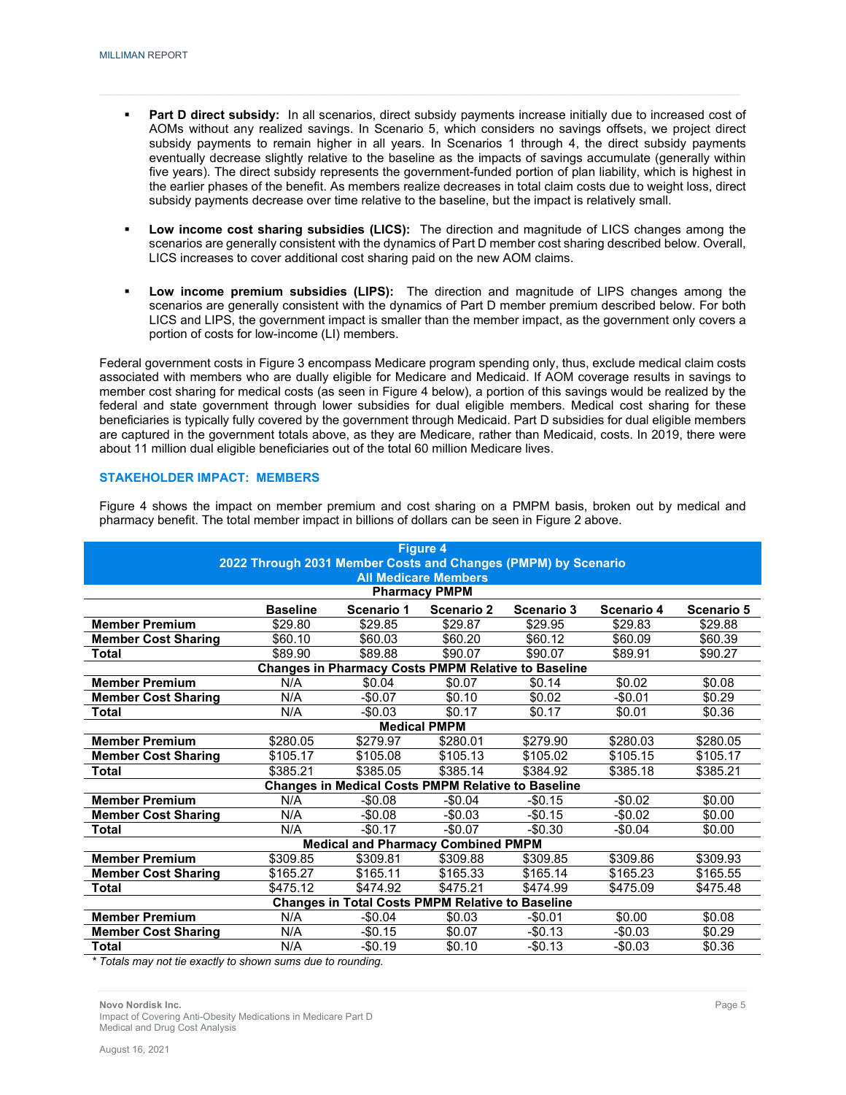- **Part D direct subsidy:** In all scenarios, direct subsidy payments increase initially due to increased cost of AOMs without any realized savings. In Scenario 5, which considers no savings offsets, we project direct subsidy payments to remain higher in all years. In Scenarios 1 through 4, the direct subsidy payments eventually decrease slightly relative to the baseline as the impacts of savings accumulate (generally within five years). The direct subsidy represents the government-funded portion of plan liability, which is highest in the earlier phases of the benefit. As members realize decreases in total claim costs due to weight loss, direct subsidy payments decrease over time relative to the baseline, but the impact is relatively small.
- **Low income cost sharing subsidies (LICS):** The direction and magnitude of LICS changes among the scenarios are generally consistent with the dynamics of Part D member cost sharing described below. Overall, LICS increases to cover additional cost sharing paid on the new AOM claims.
- **Low income premium subsidies (LIPS):** The direction and magnitude of LIPS changes among the scenarios are generally consistent with the dynamics of Part D member premium described below. For both LICS and LIPS, the government impact is smaller than the member impact, as the government only covers a portion of costs for low-income (LI) members.

Federal government costs in Figure 3 encompass Medicare program spending only, thus, exclude medical claim costs associated with members who are dually eligible for Medicare and Medicaid. If AOM coverage results in savings to member cost sharing for medical costs (as seen in Figure 4 below), a portion of this savings would be realized by the federal and state government through lower subsidies for dual eligible members. Medical cost sharing for these beneficiaries is typically fully covered by the government through Medicaid. Part D subsidies for dual eligible members are captured in the government totals above, as they are Medicare, rather than Medicaid, costs. In 2019, there were about 11 million dual eligible beneficiaries out of the total 60 million Medicare lives.

#### **STAKEHOLDER IMPACT: MEMBERS**

Figure 4 shows the impact on member premium and cost sharing on a PMPM basis, broken out by medical and pharmacy benefit. The total member impact in billions of dollars can be seen in Figure 2 above.

|                            | 2022 Through 2031 Member Costs and Changes (PMPM) by Scenario |                                                           | <b>Figure 4</b>                                     |                                                            |            |            |
|----------------------------|---------------------------------------------------------------|-----------------------------------------------------------|-----------------------------------------------------|------------------------------------------------------------|------------|------------|
|                            |                                                               |                                                           | <b>All Medicare Members</b><br><b>Pharmacy PMPM</b> |                                                            |            |            |
|                            | <b>Baseline</b>                                               | Scenario 1                                                | Scenario 2                                          | Scenario 3                                                 | Scenario 4 | Scenario 5 |
| <b>Member Premium</b>      | \$29.80                                                       | \$29.85                                                   | \$29.87                                             | \$29.95                                                    | \$29.83    | \$29.88    |
| <b>Member Cost Sharing</b> | \$60.10                                                       | \$60.03                                                   | \$60.20                                             | \$60.12                                                    | \$60.09    | \$60.39    |
| Total                      | \$89.90                                                       | \$89.88                                                   | \$90.07                                             | \$90.07                                                    | \$89.91    | \$90.27    |
|                            |                                                               |                                                           |                                                     | <b>Changes in Pharmacy Costs PMPM Relative to Baseline</b> |            |            |
| <b>Member Premium</b>      | N/A                                                           | \$0.04                                                    | \$0.07                                              | \$0.14                                                     | \$0.02     | \$0.08     |
| <b>Member Cost Sharing</b> | N/A                                                           | $-$0.07$                                                  | \$0.10                                              | \$0.02                                                     | $-$0.01$   | \$0.29     |
| Total                      | N/A                                                           | $-$0.03$                                                  | \$0.17                                              | \$0.17                                                     | \$0.01     | \$0.36     |
|                            |                                                               |                                                           | <b>Medical PMPM</b>                                 |                                                            |            |            |
| <b>Member Premium</b>      | \$280.05                                                      | \$279.97                                                  | \$280.01                                            | \$279.90                                                   | \$280.03   | \$280.05   |
| <b>Member Cost Sharing</b> | \$105.17                                                      | \$105.08                                                  | \$105.13                                            | \$105.02                                                   | \$105.15   | \$105.17   |
| <b>Total</b>               | \$385.21                                                      | \$385.05                                                  | \$385.14                                            | \$384.92                                                   | \$385.18   | \$385.21   |
|                            |                                                               | <b>Changes in Medical Costs PMPM Relative to Baseline</b> |                                                     |                                                            |            |            |
| <b>Member Premium</b>      | N/A                                                           | $-$0.08$                                                  | $-$0.04$                                            | $-$0.15$                                                   | $-$0.02$   | \$0.00     |
| <b>Member Cost Sharing</b> | N/A                                                           | $-$0.08$                                                  | $-$0.03$                                            | $-$0.15$                                                   | $-$0.02$   | \$0.00     |
| Total                      | N/A                                                           | $-$0.17$                                                  | $-$0.07$                                            | $-$0.30$                                                   | -\$0.04    | \$0.00     |
|                            |                                                               | <b>Medical and Pharmacy Combined PMPM</b>                 |                                                     |                                                            |            |            |
| <b>Member Premium</b>      | \$309.85                                                      | \$309.81                                                  | \$309.88                                            | \$309.85                                                   | \$309.86   | \$309.93   |
| <b>Member Cost Sharing</b> | \$165.27                                                      | \$165.11                                                  | \$165.33                                            | \$165.14                                                   | \$165.23   | \$165.55   |
| Total                      | \$475.12                                                      | \$474.92                                                  | \$475.21                                            | \$474.99                                                   | \$475.09   | \$475.48   |
|                            |                                                               | <b>Changes in Total Costs PMPM Relative to Baseline</b>   |                                                     |                                                            |            |            |
| <b>Member Premium</b>      | N/A                                                           | $-$0.04$                                                  | \$0.03                                              | $-$0.01$                                                   | \$0.00     | \$0.08     |
| <b>Member Cost Sharing</b> | N/A                                                           | $-$0.15$                                                  | \$0.07                                              | $-$0.13$                                                   | $-$0.03$   | \$0.29     |
| Total                      | N/A                                                           | $-$0.19$                                                  | \$0.10                                              | $-$0.13$                                                   | $-$0.03$   | \$0.36     |

*\* Totals may not tie exactly to shown sums due to rounding.*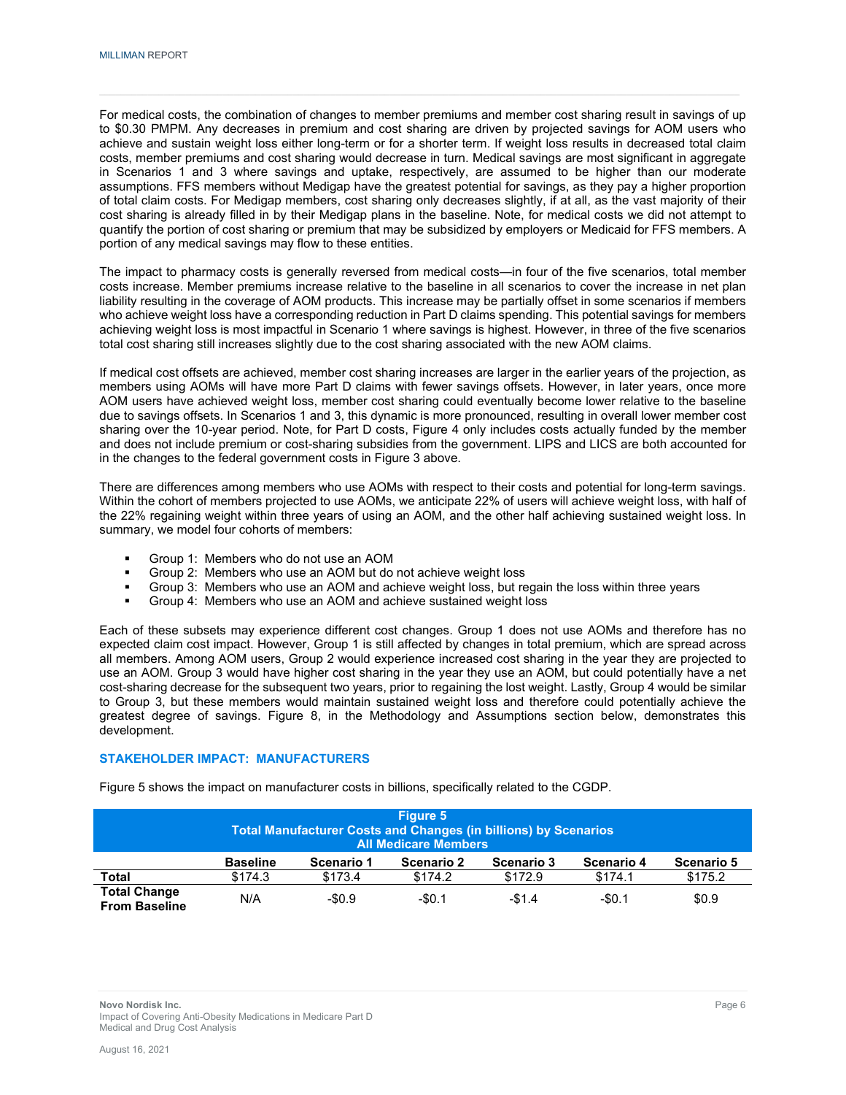For medical costs, the combination of changes to member premiums and member cost sharing result in savings of up to \$0.30 PMPM. Any decreases in premium and cost sharing are driven by projected savings for AOM users who achieve and sustain weight loss either long-term or for a shorter term. If weight loss results in decreased total claim costs, member premiums and cost sharing would decrease in turn. Medical savings are most significant in aggregate in Scenarios 1 and 3 where savings and uptake, respectively, are assumed to be higher than our moderate assumptions. FFS members without Medigap have the greatest potential for savings, as they pay a higher proportion of total claim costs. For Medigap members, cost sharing only decreases slightly, if at all, as the vast majority of their cost sharing is already filled in by their Medigap plans in the baseline. Note, for medical costs we did not attempt to quantify the portion of cost sharing or premium that may be subsidized by employers or Medicaid for FFS members. A portion of any medical savings may flow to these entities.

The impact to pharmacy costs is generally reversed from medical costs—in four of the five scenarios, total member costs increase. Member premiums increase relative to the baseline in all scenarios to cover the increase in net plan liability resulting in the coverage of AOM products. This increase may be partially offset in some scenarios if members who achieve weight loss have a corresponding reduction in Part D claims spending. This potential savings for members achieving weight loss is most impactful in Scenario 1 where savings is highest. However, in three of the five scenarios total cost sharing still increases slightly due to the cost sharing associated with the new AOM claims.

If medical cost offsets are achieved, member cost sharing increases are larger in the earlier years of the projection, as members using AOMs will have more Part D claims with fewer savings offsets. However, in later years, once more AOM users have achieved weight loss, member cost sharing could eventually become lower relative to the baseline due to savings offsets. In Scenarios 1 and 3, this dynamic is more pronounced, resulting in overall lower member cost sharing over the 10-year period. Note, for Part D costs, Figure 4 only includes costs actually funded by the member and does not include premium or cost-sharing subsidies from the government. LIPS and LICS are both accounted for in the changes to the federal government costs in Figure 3 above.

There are differences among members who use AOMs with respect to their costs and potential for long-term savings. Within the cohort of members projected to use AOMs, we anticipate 22% of users will achieve weight loss, with half of the 22% regaining weight within three years of using an AOM, and the other half achieving sustained weight loss. In summary, we model four cohorts of members:

- Group 1: Members who do not use an AOM
- Group 2: Members who use an AOM but do not achieve weight loss
- Group 3: Members who use an AOM and achieve weight loss, but regain the loss within three years<br>
Stoup 4: Members who use an AOM and achieve sustained weight loss
- Group 4: Members who use an AOM and achieve sustained weight loss

Each of these subsets may experience different cost changes. Group 1 does not use AOMs and therefore has no expected claim cost impact. However, Group 1 is still affected by changes in total premium, which are spread across all members. Among AOM users, Group 2 would experience increased cost sharing in the year they are projected to use an AOM. Group 3 would have higher cost sharing in the year they use an AOM, but could potentially have a net cost-sharing decrease for the subsequent two years, prior to regaining the lost weight. Lastly, Group 4 would be similar to Group 3, but these members would maintain sustained weight loss and therefore could potentially achieve the greatest degree of savings. Figure 8, in the Methodology and Assumptions section below, demonstrates this development.

#### **STAKEHOLDER IMPACT: MANUFACTURERS**

|                                             |                 | <b>Total Manufacturer Costs and Changes (in billions) by Scenarios</b> | Figure 5<br><b>All Medicare Members</b> |            |            |            |
|---------------------------------------------|-----------------|------------------------------------------------------------------------|-----------------------------------------|------------|------------|------------|
|                                             | <b>Baseline</b> | Scenario 1                                                             | <b>Scenario 2</b>                       | Scenario 3 | Scenario 4 | Scenario 5 |
| <b>Total</b>                                | \$174.3         | \$173.4                                                                | \$174.2                                 | \$172.9    | \$174.1    | \$175.2    |
| <b>Total Change</b><br><b>From Baseline</b> | N/A             | $-$0.9$                                                                | $-$0.1$                                 | $-$1.4$    | $-50.1$    | \$0.9      |

Figure 5 shows the impact on manufacturer costs in billions, specifically related to the CGDP.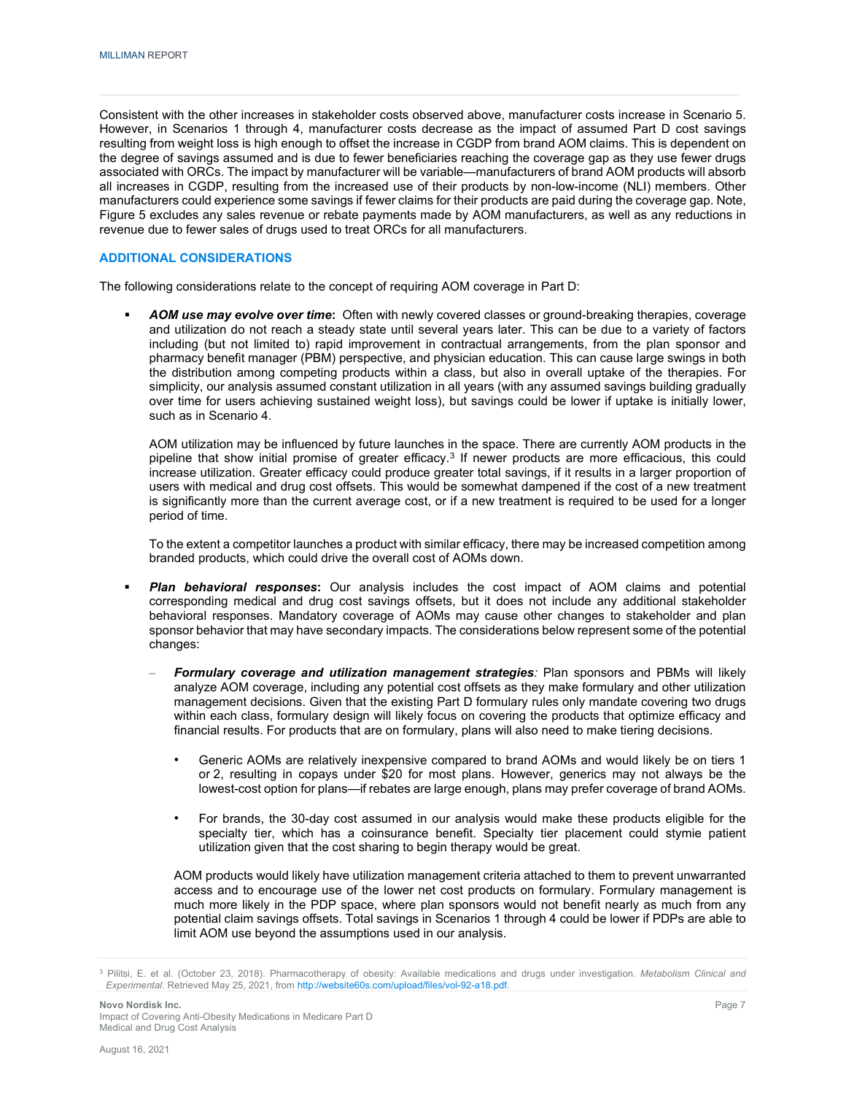Consistent with the other increases in stakeholder costs observed above, manufacturer costs increase in Scenario 5. However, in Scenarios 1 through 4, manufacturer costs decrease as the impact of assumed Part D cost savings resulting from weight loss is high enough to offset the increase in CGDP from brand AOM claims. This is dependent on the degree of savings assumed and is due to fewer beneficiaries reaching the coverage gap as they use fewer drugs associated with ORCs. The impact by manufacturer will be variable—manufacturers of brand AOM products will absorb all increases in CGDP, resulting from the increased use of their products by non-low-income (NLI) members. Other manufacturers could experience some savings if fewer claims for their products are paid during the coverage gap. Note, Figure 5 excludes any sales revenue or rebate payments made by AOM manufacturers, as well as any reductions in revenue due to fewer sales of drugs used to treat ORCs for all manufacturers.

#### **ADDITIONAL CONSIDERATIONS**

The following considerations relate to the concept of requiring AOM coverage in Part D:

 *AOM use may evolve over time***:** Often with newly covered classes or ground-breaking therapies, coverage and utilization do not reach a steady state until several years later. This can be due to a variety of factors including (but not limited to) rapid improvement in contractual arrangements, from the plan sponsor and pharmacy benefit manager (PBM) perspective, and physician education. This can cause large swings in both the distribution among competing products within a class, but also in overall uptake of the therapies. For simplicity, our analysis assumed constant utilization in all years (with any assumed savings building gradually over time for users achieving sustained weight loss), but savings could be lower if uptake is initially lower, such as in Scenario 4.

AOM utilization may be influenced by future launches in the space. There are currently AOM products in the pipeline that show initial promise of greater efficacy.<sup>[3](#page-9-0)</sup> If newer products are more efficacious, this could increase utilization. Greater efficacy could produce greater total savings, if it results in a larger proportion of users with medical and drug cost offsets. This would be somewhat dampened if the cost of a new treatment is significantly more than the current average cost, or if a new treatment is required to be used for a longer period of time.

To the extent a competitor launches a product with similar efficacy, there may be increased competition among branded products, which could drive the overall cost of AOMs down.

- *Plan behavioral responses***:** Our analysis includes the cost impact of AOM claims and potential corresponding medical and drug cost savings offsets, but it does not include any additional stakeholder behavioral responses. Mandatory coverage of AOMs may cause other changes to stakeholder and plan sponsor behavior that may have secondary impacts. The considerations below represent some of the potential changes:
	- *Formulary coverage and utilization management strategies:* Plan sponsors and PBMs will likely analyze AOM coverage, including any potential cost offsets as they make formulary and other utilization management decisions. Given that the existing Part D formulary rules only mandate covering two drugs within each class, formulary design will likely focus on covering the products that optimize efficacy and financial results. For products that are on formulary, plans will also need to make tiering decisions.
		- Generic AOMs are relatively inexpensive compared to brand AOMs and would likely be on tiers 1 or 2, resulting in copays under \$20 for most plans. However, generics may not always be the lowest-cost option for plans—if rebates are large enough, plans may prefer coverage of brand AOMs.
		- For brands, the 30-day cost assumed in our analysis would make these products eligible for the specialty tier, which has a coinsurance benefit. Specialty tier placement could stymie patient utilization given that the cost sharing to begin therapy would be great.

AOM products would likely have utilization management criteria attached to them to prevent unwarranted access and to encourage use of the lower net cost products on formulary. Formulary management is much more likely in the PDP space, where plan sponsors would not benefit nearly as much from any potential claim savings offsets. Total savings in Scenarios 1 through 4 could be lower if PDPs are able to limit AOM use beyond the assumptions used in our analysis.

<span id="page-9-0"></span><sup>3</sup> Pilitsi, E. et al. (October 23, 2018). Pharmacotherapy of obesity: Available medications and drugs under investigation. *Metabolism Clinical and Experimental*. Retrieved May 25, 2021, fro[m http://website60s.com/upload/files/vol-92-a18.pdf.](http://website60s.com/upload/files/vol-92-a18.pdf)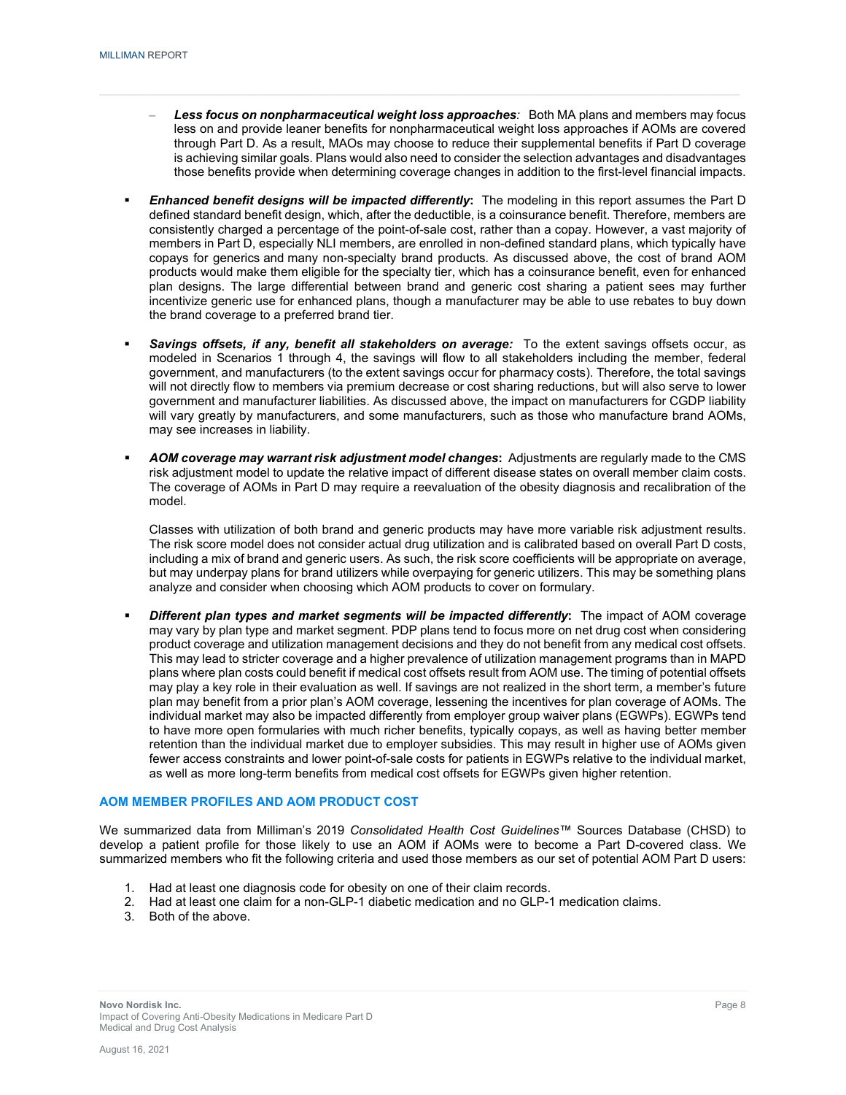- *Less focus on nonpharmaceutical weight loss approaches:* Both MA plans and members may focus less on and provide leaner benefits for nonpharmaceutical weight loss approaches if AOMs are covered through Part D. As a result, MAOs may choose to reduce their supplemental benefits if Part D coverage is achieving similar goals. Plans would also need to consider the selection advantages and disadvantages those benefits provide when determining coverage changes in addition to the first-level financial impacts.
- *Enhanced benefit designs will be impacted differently***:** The modeling in this report assumes the Part D defined standard benefit design, which, after the deductible, is a coinsurance benefit. Therefore, members are consistently charged a percentage of the point-of-sale cost, rather than a copay. However, a vast majority of members in Part D, especially NLI members, are enrolled in non-defined standard plans, which typically have copays for generics and many non-specialty brand products. As discussed above, the cost of brand AOM products would make them eligible for the specialty tier, which has a coinsurance benefit, even for enhanced plan designs. The large differential between brand and generic cost sharing a patient sees may further incentivize generic use for enhanced plans, though a manufacturer may be able to use rebates to buy down the brand coverage to a preferred brand tier.
- *Savings offsets, if any, benefit all stakeholders on average:* To the extent savings offsets occur, as modeled in Scenarios 1 through 4, the savings will flow to all stakeholders including the member, federal government, and manufacturers (to the extent savings occur for pharmacy costs). Therefore, the total savings will not directly flow to members via premium decrease or cost sharing reductions, but will also serve to lower government and manufacturer liabilities. As discussed above, the impact on manufacturers for CGDP liability will vary greatly by manufacturers, and some manufacturers, such as those who manufacture brand AOMs, may see increases in liability.
- *AOM coverage may warrant risk adjustment model changes***:** Adjustments are regularly made to the CMS risk adjustment model to update the relative impact of different disease states on overall member claim costs. The coverage of AOMs in Part D may require a reevaluation of the obesity diagnosis and recalibration of the model.

Classes with utilization of both brand and generic products may have more variable risk adjustment results. The risk score model does not consider actual drug utilization and is calibrated based on overall Part D costs, including a mix of brand and generic users. As such, the risk score coefficients will be appropriate on average, but may underpay plans for brand utilizers while overpaying for generic utilizers. This may be something plans analyze and consider when choosing which AOM products to cover on formulary.

 *Different plan types and market segments will be impacted differently***:** The impact of AOM coverage may vary by plan type and market segment. PDP plans tend to focus more on net drug cost when considering product coverage and utilization management decisions and they do not benefit from any medical cost offsets. This may lead to stricter coverage and a higher prevalence of utilization management programs than in MAPD plans where plan costs could benefit if medical cost offsets result from AOM use. The timing of potential offsets may play a key role in their evaluation as well. If savings are not realized in the short term, a member's future plan may benefit from a prior plan's AOM coverage, lessening the incentives for plan coverage of AOMs. The individual market may also be impacted differently from employer group waiver plans (EGWPs). EGWPs tend to have more open formularies with much richer benefits, typically copays, as well as having better member retention than the individual market due to employer subsidies. This may result in higher use of AOMs given fewer access constraints and lower point-of-sale costs for patients in EGWPs relative to the individual market, as well as more long-term benefits from medical cost offsets for EGWPs given higher retention.

#### **AOM MEMBER PROFILES AND AOM PRODUCT COST**

We summarized data from Milliman's 2019 *Consolidated Health Cost Guidelines™* Sources Database (CHSD) to develop a patient profile for those likely to use an AOM if AOMs were to become a Part D-covered class. We summarized members who fit the following criteria and used those members as our set of potential AOM Part D users:

- 1. Had at least one diagnosis code for obesity on one of their claim records.
- 2. Had at least one claim for a non-GLP-1 diabetic medication and no GLP-1 medication claims.
- 3. Both of the above.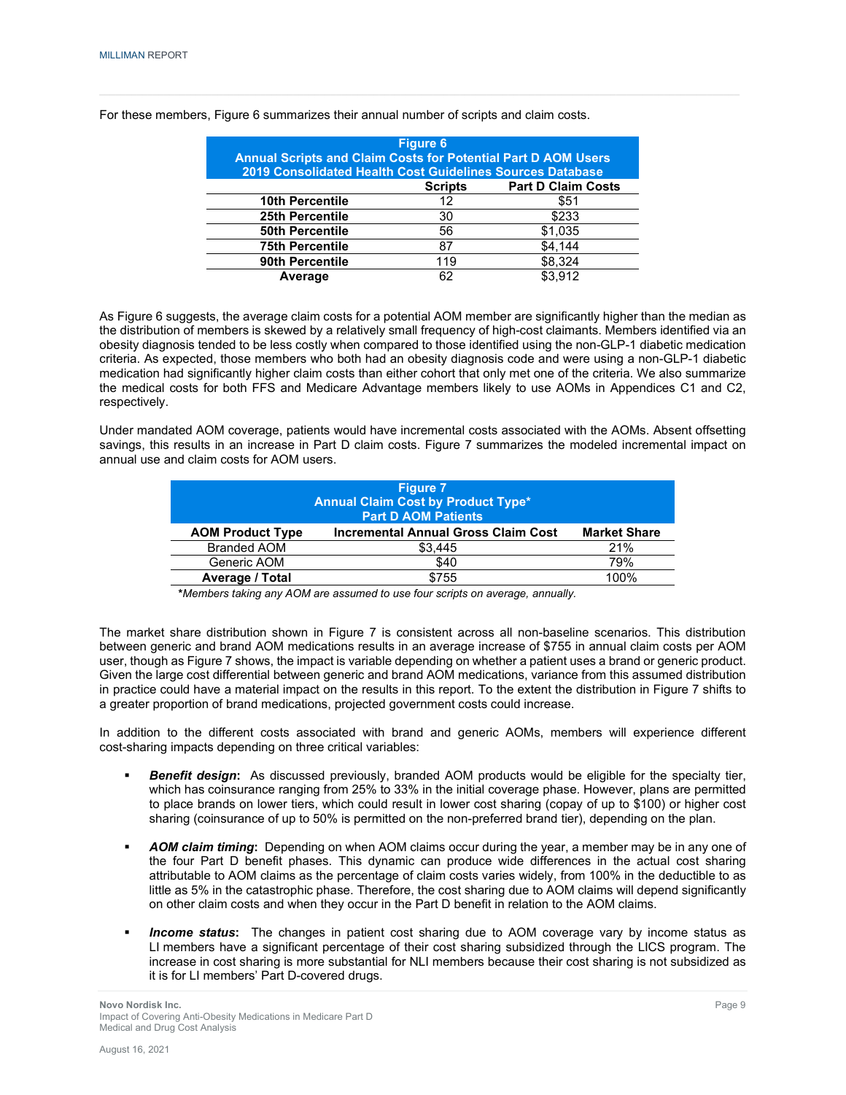| <b>Annual Scripts and Claim Costs for Potential Part D AOM Users</b><br>2019 Consolidated Health Cost Guidelines Sources Database | <b>Figure 6</b> |                           |
|-----------------------------------------------------------------------------------------------------------------------------------|-----------------|---------------------------|
|                                                                                                                                   | <b>Scripts</b>  | <b>Part D Claim Costs</b> |
| <b>10th Percentile</b>                                                                                                            | 12              | \$51                      |
| 25th Percentile                                                                                                                   | 30              | \$233                     |
| <b>50th Percentile</b>                                                                                                            | 56              | \$1,035                   |
| <b>75th Percentile</b>                                                                                                            | 87              | \$4.144                   |
| 90th Percentile                                                                                                                   | 119             | \$8.324                   |
| Average                                                                                                                           | 62              | \$3912                    |

For these members, Figure 6 summarizes their annual number of scripts and claim costs.

As Figure 6 suggests, the average claim costs for a potential AOM member are significantly higher than the median as the distribution of members is skewed by a relatively small frequency of high-cost claimants. Members identified via an obesity diagnosis tended to be less costly when compared to those identified using the non-GLP-1 diabetic medication criteria. As expected, those members who both had an obesity diagnosis code and were using a non-GLP-1 diabetic medication had significantly higher claim costs than either cohort that only met one of the criteria. We also summarize the medical costs for both FFS and Medicare Advantage members likely to use AOMs in Appendices C1 and C2, respectively.

Under mandated AOM coverage, patients would have incremental costs associated with the AOMs. Absent offsetting savings, this results in an increase in Part D claim costs. Figure 7 summarizes the modeled incremental impact on annual use and claim costs for AOM users.

|                         | <b>Figure 7</b><br><b>Annual Claim Cost by Product Type*</b><br><b>Part D AOM Patients</b> |                     |
|-------------------------|--------------------------------------------------------------------------------------------|---------------------|
| <b>AOM Product Type</b> | <b>Incremental Annual Gross Claim Cost</b>                                                 | <b>Market Share</b> |
| <b>Branded AOM</b>      | \$3.445                                                                                    | 21%                 |
| Generic AOM             | \$40                                                                                       | 79%                 |
| <b>Average / Total</b>  | \$755                                                                                      | 100%                |

**\****Members taking any AOM are assumed to use four scripts on average, annually.*

The market share distribution shown in Figure 7 is consistent across all non-baseline scenarios. This distribution between generic and brand AOM medications results in an average increase of \$755 in annual claim costs per AOM user, though as Figure 7 shows, the impact is variable depending on whether a patient uses a brand or generic product. Given the large cost differential between generic and brand AOM medications, variance from this assumed distribution in practice could have a material impact on the results in this report. To the extent the distribution in Figure 7 shifts to a greater proportion of brand medications, projected government costs could increase.

In addition to the different costs associated with brand and generic AOMs, members will experience different cost-sharing impacts depending on three critical variables:

- *Benefit design***:** As discussed previously, branded AOM products would be eligible for the specialty tier, which has coinsurance ranging from 25% to 33% in the initial coverage phase. However, plans are permitted to place brands on lower tiers, which could result in lower cost sharing (copay of up to \$100) or higher cost sharing (coinsurance of up to 50% is permitted on the non-preferred brand tier), depending on the plan.
- *AOM claim timing***:** Depending on when AOM claims occur during the year, a member may be in any one of the four Part D benefit phases. This dynamic can produce wide differences in the actual cost sharing attributable to AOM claims as the percentage of claim costs varies widely, from 100% in the deductible to as little as 5% in the catastrophic phase. Therefore, the cost sharing due to AOM claims will depend significantly on other claim costs and when they occur in the Part D benefit in relation to the AOM claims.
- *Income status***:** The changes in patient cost sharing due to AOM coverage vary by income status as LI members have a significant percentage of their cost sharing subsidized through the LICS program. The increase in cost sharing is more substantial for NLI members because their cost sharing is not subsidized as it is for LI members' Part D-covered drugs.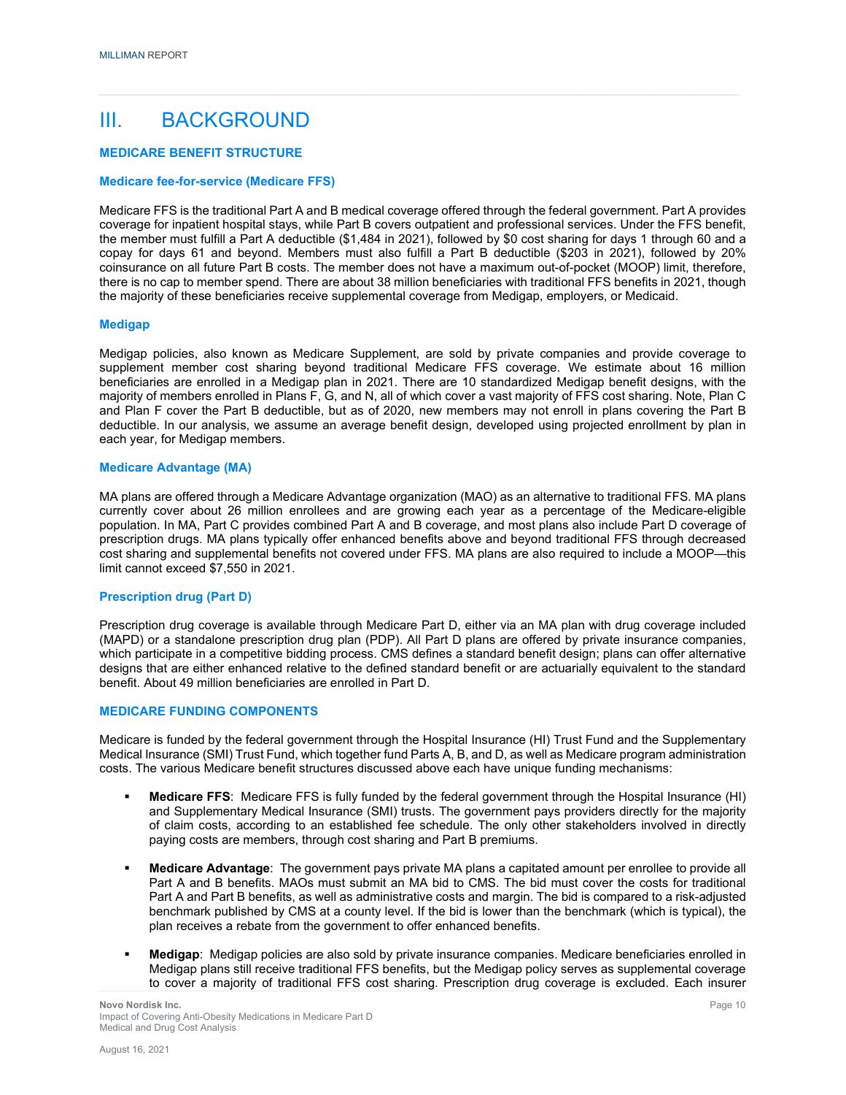### III. BACKGROUND

#### **MEDICARE BENEFIT STRUCTURE**

#### **Medicare fee-for-service (Medicare FFS)**

Medicare FFS is the traditional Part A and B medical coverage offered through the federal government. Part A provides coverage for inpatient hospital stays, while Part B covers outpatient and professional services. Under the FFS benefit, the member must fulfill a Part A deductible (\$1,484 in 2021), followed by \$0 cost sharing for days 1 through 60 and a copay for days 61 and beyond. Members must also fulfill a Part B deductible (\$203 in 2021), followed by 20% coinsurance on all future Part B costs. The member does not have a maximum out-of-pocket (MOOP) limit, therefore, there is no cap to member spend. There are about 38 million beneficiaries with traditional FFS benefits in 2021, though the majority of these beneficiaries receive supplemental coverage from Medigap, employers, or Medicaid.

#### **Medigap**

Medigap policies, also known as Medicare Supplement, are sold by private companies and provide coverage to supplement member cost sharing beyond traditional Medicare FFS coverage. We estimate about 16 million beneficiaries are enrolled in a Medigap plan in 2021. There are 10 standardized Medigap benefit designs, with the majority of members enrolled in Plans F, G, and N, all of which cover a vast majority of FFS cost sharing. Note, Plan C and Plan F cover the Part B deductible, but as of 2020, new members may not enroll in plans covering the Part B deductible. In our analysis, we assume an average benefit design, developed using projected enrollment by plan in each year, for Medigap members.

#### **Medicare Advantage (MA)**

MA plans are offered through a Medicare Advantage organization (MAO) as an alternative to traditional FFS. MA plans currently cover about 26 million enrollees and are growing each year as a percentage of the Medicare-eligible population. In MA, Part C provides combined Part A and B coverage, and most plans also include Part D coverage of prescription drugs. MA plans typically offer enhanced benefits above and beyond traditional FFS through decreased cost sharing and supplemental benefits not covered under FFS. MA plans are also required to include a MOOP—this limit cannot exceed \$7,550 in 2021.

#### **Prescription drug (Part D)**

Prescription drug coverage is available through Medicare Part D, either via an MA plan with drug coverage included (MAPD) or a standalone prescription drug plan (PDP). All Part D plans are offered by private insurance companies, which participate in a competitive bidding process. CMS defines a standard benefit design; plans can offer alternative designs that are either enhanced relative to the defined standard benefit or are actuarially equivalent to the standard benefit. About 49 million beneficiaries are enrolled in Part D.

#### **MEDICARE FUNDING COMPONENTS**

Medicare is funded by the federal government through the Hospital Insurance (HI) Trust Fund and the Supplementary Medical Insurance (SMI) Trust Fund, which together fund Parts A, B, and D, as well as Medicare program administration costs. The various Medicare benefit structures discussed above each have unique funding mechanisms:

- **Medicare FFS**: Medicare FFS is fully funded by the federal government through the Hospital Insurance (HI) and Supplementary Medical Insurance (SMI) trusts. The government pays providers directly for the majority of claim costs, according to an established fee schedule. The only other stakeholders involved in directly paying costs are members, through cost sharing and Part B premiums.
- **Medicare Advantage**: The government pays private MA plans a capitated amount per enrollee to provide all Part A and B benefits. MAOs must submit an MA bid to CMS. The bid must cover the costs for traditional Part A and Part B benefits, as well as administrative costs and margin. The bid is compared to a risk-adjusted benchmark published by CMS at a county level. If the bid is lower than the benchmark (which is typical), the plan receives a rebate from the government to offer enhanced benefits.
- **Medigap**: Medigap policies are also sold by private insurance companies. Medicare beneficiaries enrolled in Medigap plans still receive traditional FFS benefits, but the Medigap policy serves as supplemental coverage to cover a majority of traditional FFS cost sharing. Prescription drug coverage is excluded. Each insurer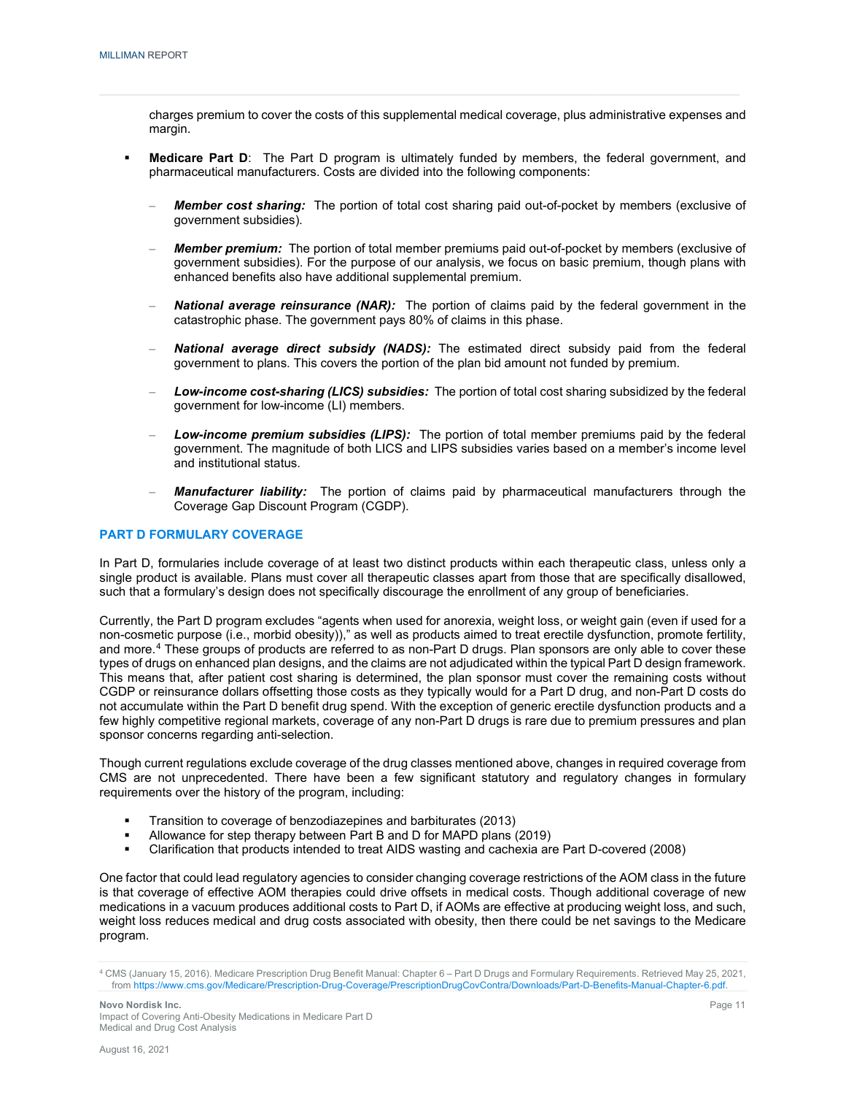charges premium to cover the costs of this supplemental medical coverage, plus administrative expenses and margin.

- **Medicare Part D:** The Part D program is ultimately funded by members, the federal government, and pharmaceutical manufacturers. Costs are divided into the following components:
	- *Member cost sharing:* The portion of total cost sharing paid out-of-pocket by members (exclusive of government subsidies).
	- *Member premium:* The portion of total member premiums paid out-of-pocket by members (exclusive of government subsidies). For the purpose of our analysis, we focus on basic premium, though plans with enhanced benefits also have additional supplemental premium.
	- *National average reinsurance (NAR):* The portion of claims paid by the federal government in the catastrophic phase. The government pays 80% of claims in this phase.
	- *National average direct subsidy (NADS):* The estimated direct subsidy paid from the federal government to plans. This covers the portion of the plan bid amount not funded by premium.
	- *Low-income cost-sharing (LICS) subsidies:* The portion of total cost sharing subsidized by the federal government for low-income (LI) members.
	- *Low-income premium subsidies (LIPS):* The portion of total member premiums paid by the federal government. The magnitude of both LICS and LIPS subsidies varies based on a member's income level and institutional status.
	- *Manufacturer liability:* The portion of claims paid by pharmaceutical manufacturers through the Coverage Gap Discount Program (CGDP).

#### **PART D FORMULARY COVERAGE**

In Part D, formularies include coverage of at least two distinct products within each therapeutic class, unless only a single product is available. Plans must cover all therapeutic classes apart from those that are specifically disallowed, such that a formulary's design does not specifically discourage the enrollment of any group of beneficiaries.

Currently, the Part D program excludes "agents when used for anorexia, weight loss, or weight gain (even if used for a non-cosmetic purpose (i.e., morbid obesity))," as well as products aimed to treat erectile dysfunction, promote fertility, and more.<sup>[4](#page-13-0)</sup> These groups of products are referred to as non-Part D drugs. Plan sponsors are only able to cover these types of drugs on enhanced plan designs, and the claims are not adjudicated within the typical Part D design framework. This means that, after patient cost sharing is determined, the plan sponsor must cover the remaining costs without CGDP or reinsurance dollars offsetting those costs as they typically would for a Part D drug, and non-Part D costs do not accumulate within the Part D benefit drug spend. With the exception of generic erectile dysfunction products and a few highly competitive regional markets, coverage of any non-Part D drugs is rare due to premium pressures and plan sponsor concerns regarding anti-selection.

Though current regulations exclude coverage of the drug classes mentioned above, changes in required coverage from CMS are not unprecedented. There have been a few significant statutory and regulatory changes in formulary requirements over the history of the program, including:

- **Transition to coverage of benzodiazepines and barbiturates (2013)**
- Allowance for step therapy between Part B and D for MAPD plans (2019)<br>■ Clarification that products intended to treat AIDS wasting and cachexia are
- Clarification that products intended to treat AIDS wasting and cachexia are Part D-covered (2008)

One factor that could lead regulatory agencies to consider changing coverage restrictions of the AOM class in the future is that coverage of effective AOM therapies could drive offsets in medical costs. Though additional coverage of new medications in a vacuum produces additional costs to Part D, if AOMs are effective at producing weight loss, and such, weight loss reduces medical and drug costs associated with obesity, then there could be net savings to the Medicare program.

<span id="page-13-0"></span><sup>4</sup> CMS (January 15, 2016). Medicare Prescription Drug Benefit Manual: Chapter 6 – Part D Drugs and Formulary Requirements. Retrieved May 25, 2021, from [https://www.cms.gov/Medicare/Prescription-Drug-Coverage/PrescriptionDrugCovContra/Downloads/Part-D-Benefits-Manual-Chapter-6.pdf.](https://www.cms.gov/Medicare/Prescription-Drug-Coverage/PrescriptionDrugCovContra/Downloads/Part-D-Benefits-Manual-Chapter-6.pdf)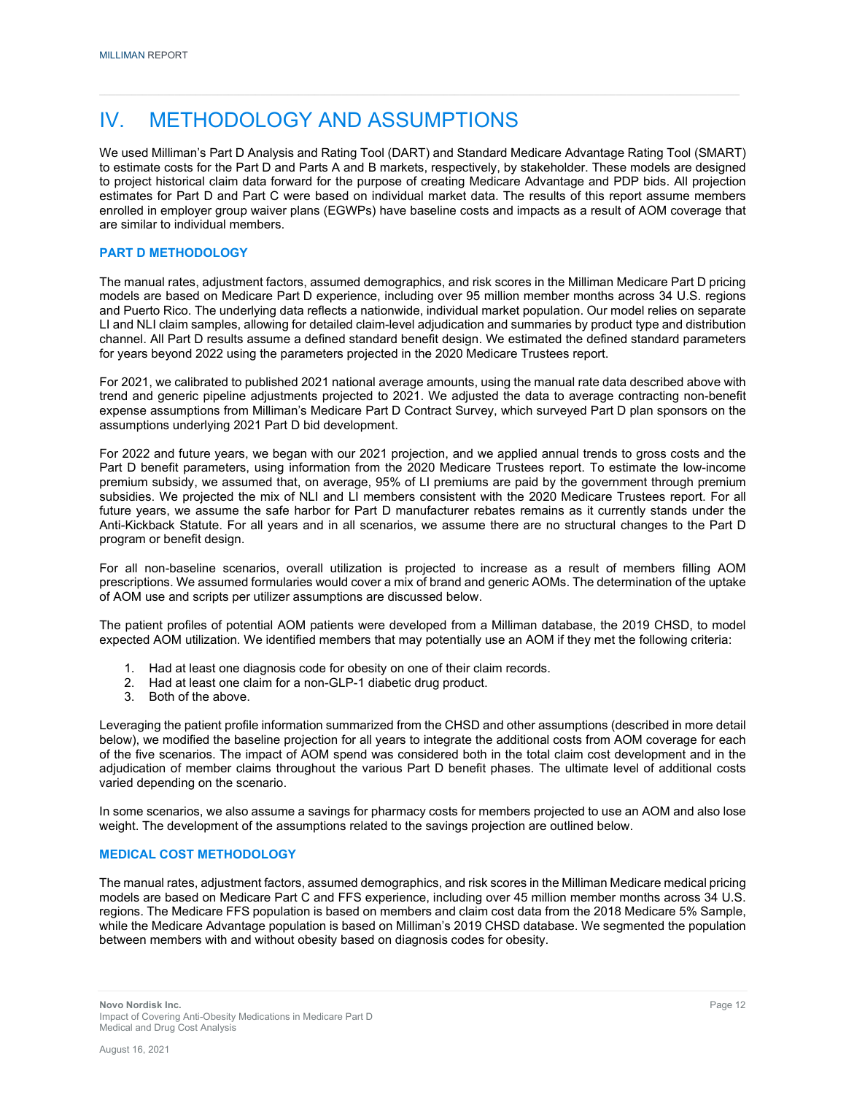### IV. METHODOLOGY AND ASSUMPTIONS

We used Milliman's Part D Analysis and Rating Tool (DART) and Standard Medicare Advantage Rating Tool (SMART) to estimate costs for the Part D and Parts A and B markets, respectively, by stakeholder. These models are designed to project historical claim data forward for the purpose of creating Medicare Advantage and PDP bids. All projection estimates for Part D and Part C were based on individual market data. The results of this report assume members enrolled in employer group waiver plans (EGWPs) have baseline costs and impacts as a result of AOM coverage that are similar to individual members.

#### **PART D METHODOLOGY**

The manual rates, adjustment factors, assumed demographics, and risk scores in the Milliman Medicare Part D pricing models are based on Medicare Part D experience, including over 95 million member months across 34 U.S. regions and Puerto Rico. The underlying data reflects a nationwide, individual market population. Our model relies on separate LI and NLI claim samples, allowing for detailed claim-level adjudication and summaries by product type and distribution channel. All Part D results assume a defined standard benefit design. We estimated the defined standard parameters for years beyond 2022 using the parameters projected in the 2020 Medicare Trustees report.

For 2021, we calibrated to published 2021 national average amounts, using the manual rate data described above with trend and generic pipeline adjustments projected to 2021. We adjusted the data to average contracting non-benefit expense assumptions from Milliman's Medicare Part D Contract Survey, which surveyed Part D plan sponsors on the assumptions underlying 2021 Part D bid development.

For 2022 and future years, we began with our 2021 projection, and we applied annual trends to gross costs and the Part D benefit parameters, using information from the 2020 Medicare Trustees report. To estimate the low-income premium subsidy, we assumed that, on average, 95% of LI premiums are paid by the government through premium subsidies. We projected the mix of NLI and LI members consistent with the 2020 Medicare Trustees report. For all future years, we assume the safe harbor for Part D manufacturer rebates remains as it currently stands under the Anti-Kickback Statute. For all years and in all scenarios, we assume there are no structural changes to the Part D program or benefit design.

For all non-baseline scenarios, overall utilization is projected to increase as a result of members filling AOM prescriptions. We assumed formularies would cover a mix of brand and generic AOMs. The determination of the uptake of AOM use and scripts per utilizer assumptions are discussed below.

The patient profiles of potential AOM patients were developed from a Milliman database, the 2019 CHSD, to model expected AOM utilization. We identified members that may potentially use an AOM if they met the following criteria:

- 1. Had at least one diagnosis code for obesity on one of their claim records.
- 2. Had at least one claim for a non-GLP-1 diabetic drug product.
- 3. Both of the above.

Leveraging the patient profile information summarized from the CHSD and other assumptions (described in more detail below), we modified the baseline projection for all years to integrate the additional costs from AOM coverage for each of the five scenarios. The impact of AOM spend was considered both in the total claim cost development and in the adjudication of member claims throughout the various Part D benefit phases. The ultimate level of additional costs varied depending on the scenario.

In some scenarios, we also assume a savings for pharmacy costs for members projected to use an AOM and also lose weight. The development of the assumptions related to the savings projection are outlined below.

#### **MEDICAL COST METHODOLOGY**

The manual rates, adjustment factors, assumed demographics, and risk scores in the Milliman Medicare medical pricing models are based on Medicare Part C and FFS experience, including over 45 million member months across 34 U.S. regions. The Medicare FFS population is based on members and claim cost data from the 2018 Medicare 5% Sample, while the Medicare Advantage population is based on Milliman's 2019 CHSD database. We segmented the population between members with and without obesity based on diagnosis codes for obesity.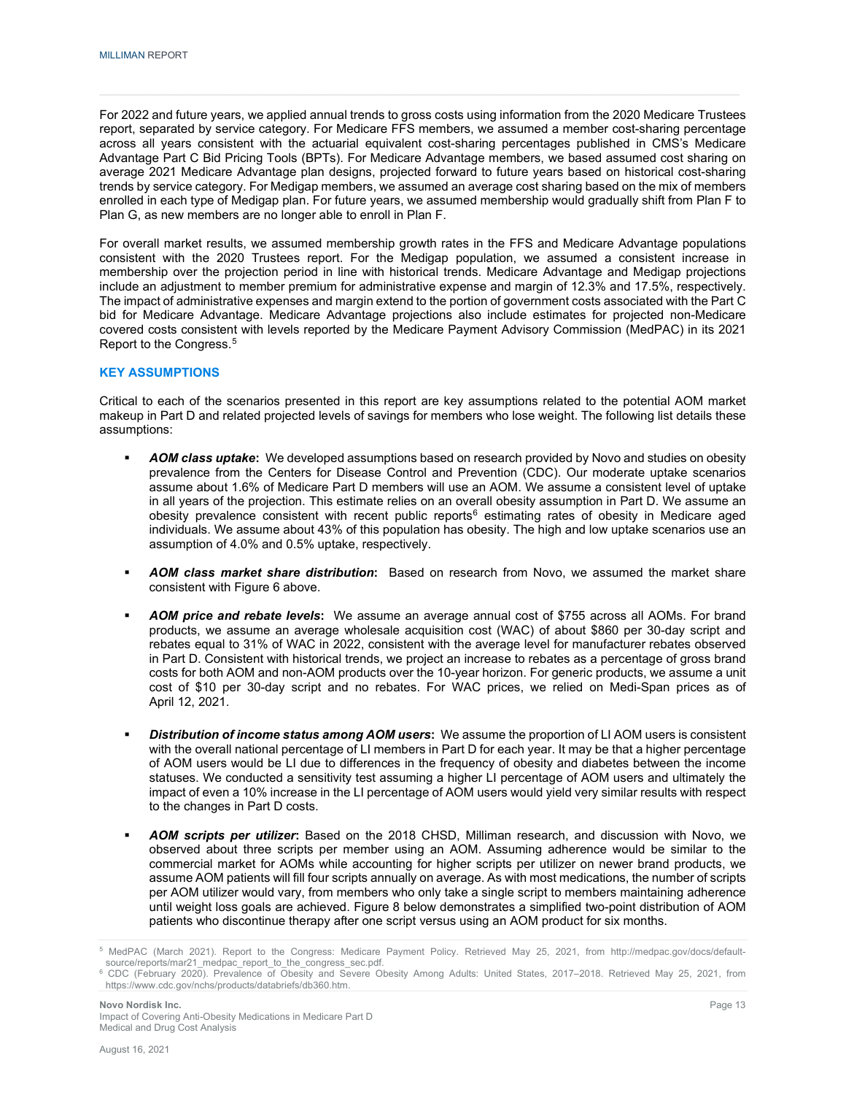For 2022 and future years, we applied annual trends to gross costs using information from the 2020 Medicare Trustees report, separated by service category. For Medicare FFS members, we assumed a member cost-sharing percentage across all years consistent with the actuarial equivalent cost-sharing percentages published in CMS's Medicare Advantage Part C Bid Pricing Tools (BPTs). For Medicare Advantage members, we based assumed cost sharing on average 2021 Medicare Advantage plan designs, projected forward to future years based on historical cost-sharing trends by service category. For Medigap members, we assumed an average cost sharing based on the mix of members enrolled in each type of Medigap plan. For future years, we assumed membership would gradually shift from Plan F to Plan G, as new members are no longer able to enroll in Plan F.

For overall market results, we assumed membership growth rates in the FFS and Medicare Advantage populations consistent with the 2020 Trustees report. For the Medigap population, we assumed a consistent increase in membership over the projection period in line with historical trends. Medicare Advantage and Medigap projections include an adjustment to member premium for administrative expense and margin of 12.3% and 17.5%, respectively. The impact of administrative expenses and margin extend to the portion of government costs associated with the Part C bid for Medicare Advantage. Medicare Advantage projections also include estimates for projected non-Medicare covered costs consistent with levels reported by the Medicare Payment Advisory Commission (MedPAC) in its 2021 Report to the Congress.[5](#page-15-0)

#### **KEY ASSUMPTIONS**

Critical to each of the scenarios presented in this report are key assumptions related to the potential AOM market makeup in Part D and related projected levels of savings for members who lose weight. The following list details these assumptions:

- *AOM class uptake***:** We developed assumptions based on research provided by Novo and studies on obesity prevalence from the Centers for Disease Control and Prevention (CDC). Our moderate uptake scenarios assume about 1.6% of Medicare Part D members will use an AOM. We assume a consistent level of uptake in all years of the projection. This estimate relies on an overall obesity assumption in Part D. We assume an obesity prevalence consistent with recent public reports<sup>6</sup> estimating rates of obesity in Medicare aged individuals. We assume about 43% of this population has obesity. The high and low uptake scenarios use an assumption of 4.0% and 0.5% uptake, respectively.
- *AOM class market share distribution***:** Based on research from Novo, we assumed the market share consistent with Figure 6 above.
- *AOM price and rebate levels***:** We assume an average annual cost of \$755 across all AOMs. For brand products, we assume an average wholesale acquisition cost (WAC) of about \$860 per 30-day script and rebates equal to 31% of WAC in 2022, consistent with the average level for manufacturer rebates observed in Part D. Consistent with historical trends, we project an increase to rebates as a percentage of gross brand costs for both AOM and non-AOM products over the 10-year horizon. For generic products, we assume a unit cost of \$10 per 30-day script and no rebates. For WAC prices, we relied on Medi-Span prices as of April 12, 2021.
- *Distribution of income status among AOM users***:** We assume the proportion of LI AOM users is consistent with the overall national percentage of LI members in Part D for each year. It may be that a higher percentage of AOM users would be LI due to differences in the frequency of obesity and diabetes between the income statuses. We conducted a sensitivity test assuming a higher LI percentage of AOM users and ultimately the impact of even a 10% increase in the LI percentage of AOM users would yield very similar results with respect to the changes in Part D costs.
- *AOM scripts per utilizer***:** Based on the 2018 CHSD, Milliman research, and discussion with Novo, we observed about three scripts per member using an AOM. Assuming adherence would be similar to the commercial market for AOMs while accounting for higher scripts per utilizer on newer brand products, we assume AOM patients will fill four scripts annually on average. As with most medications, the number of scripts per AOM utilizer would vary, from members who only take a single script to members maintaining adherence until weight loss goals are achieved. Figure 8 below demonstrates a simplified two-point distribution of AOM patients who discontinue therapy after one script versus using an AOM product for six months.

<span id="page-15-0"></span><sup>5</sup> MedPAC (March 2021). Report to the Congress: Medicare Payment Policy. Retrieved May 25, 2021, from http://medpac.gov/docs/defaultsource/reports/mar21\_medpac\_report\_to\_the\_congress\_sec.pdf.

<span id="page-15-1"></span><sup>6</sup> CDC (February 2020). Prevalence of Obesity and Severe Obesity Among Adults: United States, 2017–2018. Retrieved May 25, 2021, from https://www.cdc.gov/nchs/products/databriefs/db360.htm.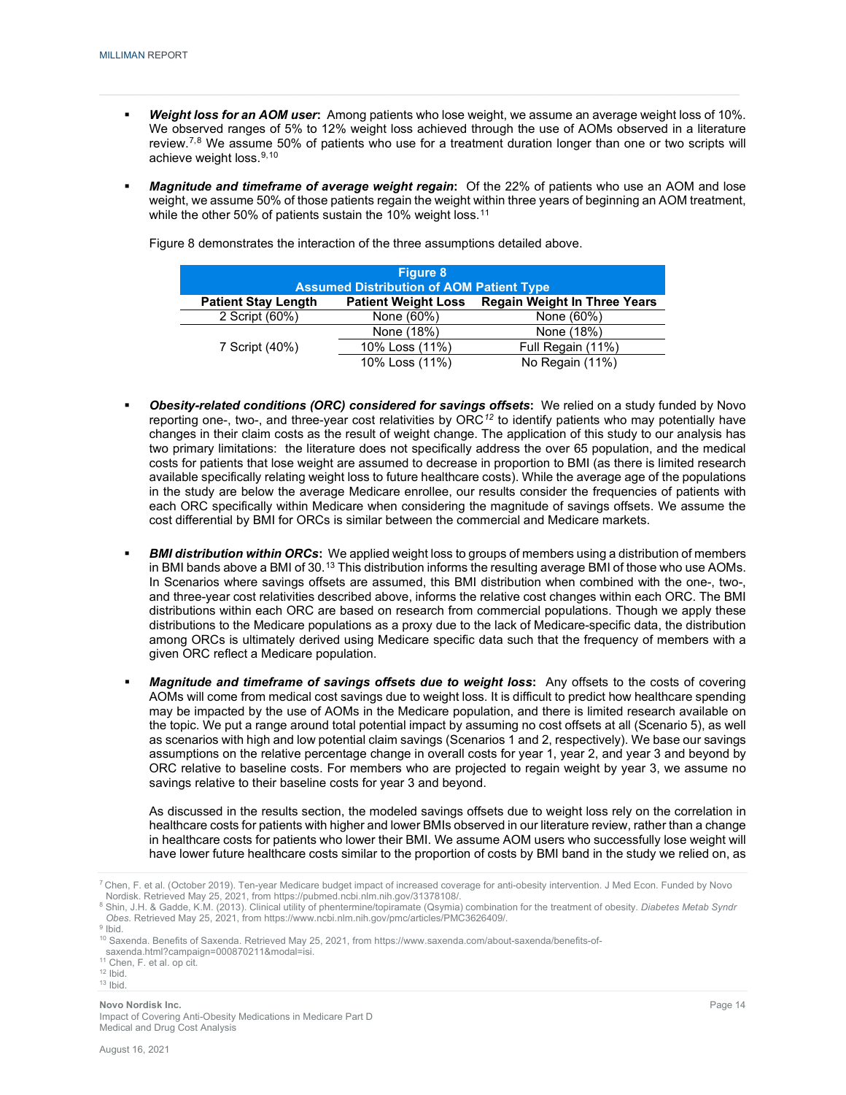- *Weight loss for an AOM user***:** Among patients who lose weight, we assume an average weight loss of 10%. We observed ranges of 5% to 12% weight loss achieved through the use of AOMs observed in a literature review.<sup>[7](#page-16-0),[8](#page-16-1)</sup> We assume 50% of patients who use for a treatment duration longer than one or two scripts will achieve weight loss.<sup>[9](#page-16-2),[10](#page-16-3)</sup>
- *Magnitude and timeframe of average weight regain***:** Of the 22% of patients who use an AOM and lose weight, we assume 50% of those patients regain the weight within three years of beginning an AOM treatment, while the other 50% of patients sustain the 10% weight loss. $^{\rm 11}$  $^{\rm 11}$  $^{\rm 11}$

|                            | <b>Figure 8</b><br><b>Assumed Distribution of AOM Patient Type</b> |                                     |
|----------------------------|--------------------------------------------------------------------|-------------------------------------|
| <b>Patient Stay Length</b> | <b>Patient Weight Loss</b>                                         | <b>Regain Weight In Three Years</b> |
| 2 Script (60%)             | None (60%)                                                         | None (60%)                          |
|                            | None (18%)                                                         | None (18%)                          |
| 7 Script (40%)             | 10% Loss (11%)                                                     | Full Regain (11%)                   |
|                            | 10% Loss (11%)                                                     | No Regain (11%)                     |

Figure 8 demonstrates the interaction of the three assumptions detailed above.

- *Obesity-related conditions (ORC) considered for savings offsets***:** We relied on a study funded by Novo reporting one-, two-, and three-year cost relativities by ORC*[12](#page-16-5)* to identify patients who may potentially have changes in their claim costs as the result of weight change. The application of this study to our analysis has two primary limitations: the literature does not specifically address the over 65 population, and the medical costs for patients that lose weight are assumed to decrease in proportion to BMI (as there is limited research available specifically relating weight loss to future healthcare costs). While the average age of the populations in the study are below the average Medicare enrollee, our results consider the frequencies of patients with each ORC specifically within Medicare when considering the magnitude of savings offsets. We assume the cost differential by BMI for ORCs is similar between the commercial and Medicare markets.
- *BMI distribution within ORCs***:** We applied weight loss to groups of members using a distribution of members in BMI bands above a BMI of 30. $^{13}$  $^{13}$  $^{13}$  This distribution informs the resulting average BMI of those who use AOMs. In Scenarios where savings offsets are assumed, this BMI distribution when combined with the one-, two-, and three-year cost relativities described above, informs the relative cost changes within each ORC. The BMI distributions within each ORC are based on research from commercial populations. Though we apply these distributions to the Medicare populations as a proxy due to the lack of Medicare-specific data, the distribution among ORCs is ultimately derived using Medicare specific data such that the frequency of members with a given ORC reflect a Medicare population.
- *Magnitude and timeframe of savings offsets due to weight loss***:** Any offsets to the costs of covering AOMs will come from medical cost savings due to weight loss. It is difficult to predict how healthcare spending may be impacted by the use of AOMs in the Medicare population, and there is limited research available on the topic. We put a range around total potential impact by assuming no cost offsets at all (Scenario 5), as well as scenarios with high and low potential claim savings (Scenarios 1 and 2, respectively). We base our savings assumptions on the relative percentage change in overall costs for year 1, year 2, and year 3 and beyond by ORC relative to baseline costs. For members who are projected to regain weight by year 3, we assume no savings relative to their baseline costs for year 3 and beyond.

As discussed in the results section, the modeled savings offsets due to weight loss rely on the correlation in healthcare costs for patients with higher and lower BMIs observed in our literature review, rather than a change in healthcare costs for patients who lower their BMI. We assume AOM users who successfully lose weight will have lower future healthcare costs similar to the proportion of costs by BMI band in the study we relied on, as

<span id="page-16-0"></span><sup>7</sup> Chen, F. et al. (October 2019). Ten-year Medicare budget impact of increased coverage for anti-obesity intervention. J Med Econ. Funded by Novo Nordisk. Retrieved May 25, 2021, from https://pubmed.ncbi.nlm.nih.gov/31378108/.

<span id="page-16-1"></span><sup>8</sup> Shin, J.H. & Gadde, K.M. (2013). Clinical utility of phentermine/topiramate (Qsymia) combination for the treatment of obesity. *Diabetes Metab Syndr Obes.* Retrieved May 25, 2021, fro[m https://www.ncbi.nlm.nih.gov/pmc/articles/PMC3626409/.](https://www.ncbi.nlm.nih.gov/pmc/articles/PMC3626409/)

<span id="page-16-3"></span><span id="page-16-2"></span> $9$  Ibid.

<sup>&</sup>lt;sup>10</sup> Saxenda. Benefits of Saxenda. Retrieved May 25, 2021, from https://www.saxenda.com/about-saxenda/benefits-of-

saxenda.html?campaign=000870211&modal=isi.

<sup>11</sup> Chen, F. et al. op cit.

<span id="page-16-6"></span><span id="page-16-5"></span><span id="page-16-4"></span> $12$  Ibid.  $13$  |bid.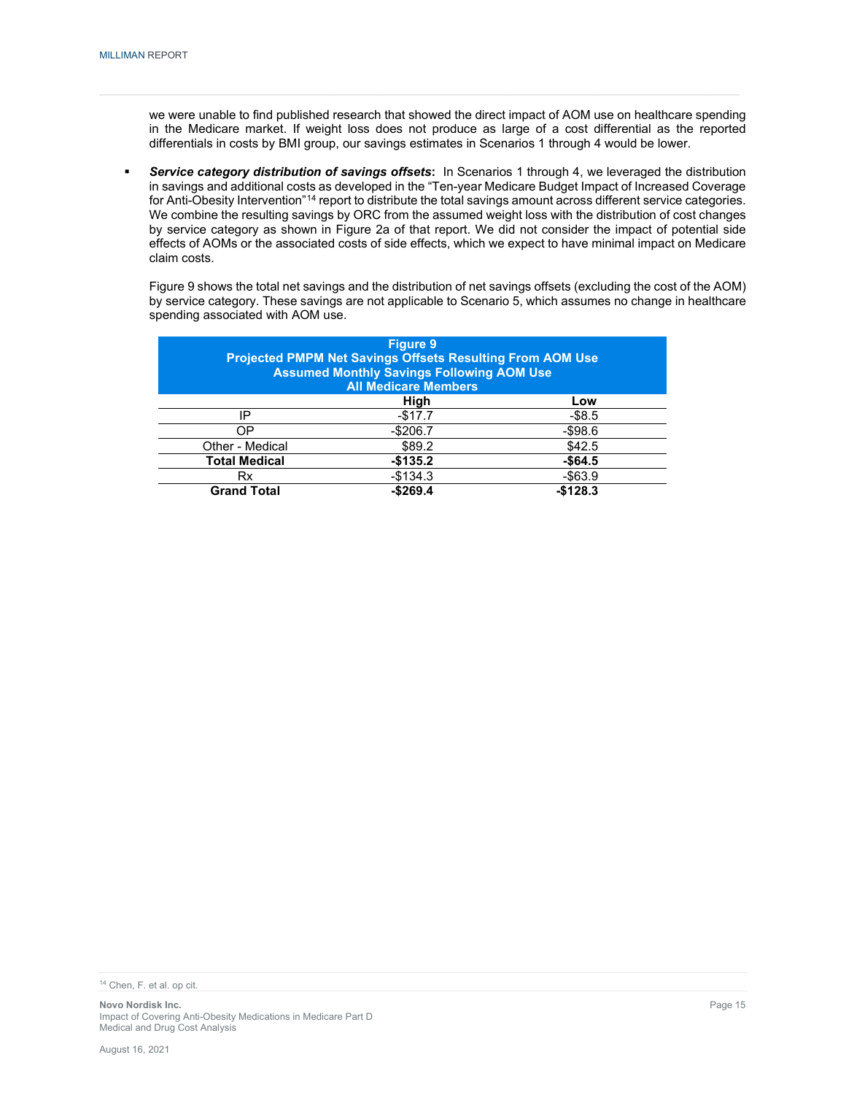we were unable to find published research that showed the direct impact of AOM use on healthcare spending in the Medicare market. If weight loss does not produce as large of a cost differential as the reported differentials in costs by BMI group, our savings estimates in Scenarios 1 through 4 would be lower.

 *Service category distribution of savings offsets***:** In Scenarios 1 through 4, we leveraged the distribution in savings and additional costs as developed in the "Ten-year Medicare Budget Impact of Increased Coverage for Anti-Obesity Intervention"[14](#page-17-0) report to distribute the total savings amount across different service categories. We combine the resulting savings by ORC from the assumed weight loss with the distribution of cost changes by service category as shown in Figure 2a of that report. We did not consider the impact of potential side effects of AOMs or the associated costs of side effects, which we expect to have minimal impact on Medicare claim costs.

Figure 9 shows the total net savings and the distribution of net savings offsets (excluding the cost of the AOM) by service category. These savings are not applicable to Scenario 5, which assumes no change in healthcare spending associated with AOM use.

|                      | <b>Figure 9</b><br><b>Projected PMPM Net Savings Offsets Resulting From AOM Use</b><br><b>Assumed Monthly Savings Following AOM Use</b><br><b>All Medicare Members</b> |            |
|----------------------|------------------------------------------------------------------------------------------------------------------------------------------------------------------------|------------|
|                      | High                                                                                                                                                                   | Low        |
| IP                   | $-$17.7$                                                                                                                                                               | $-$ \$8.5  |
| ΟP                   | $-$206.7$                                                                                                                                                              | $-$98.6$   |
| Other - Medical      | \$89.2                                                                                                                                                                 | \$42.5     |
| <b>Total Medical</b> | $-$135.2$                                                                                                                                                              | $-$64.5$   |
| Rx                   | $-$134.3$                                                                                                                                                              | $-$ \$63.9 |
| <b>Grand Total</b>   | $-$269.4$                                                                                                                                                              | $-$128.3$  |

<span id="page-17-0"></span><sup>14</sup> Chen, F. et al. op cit.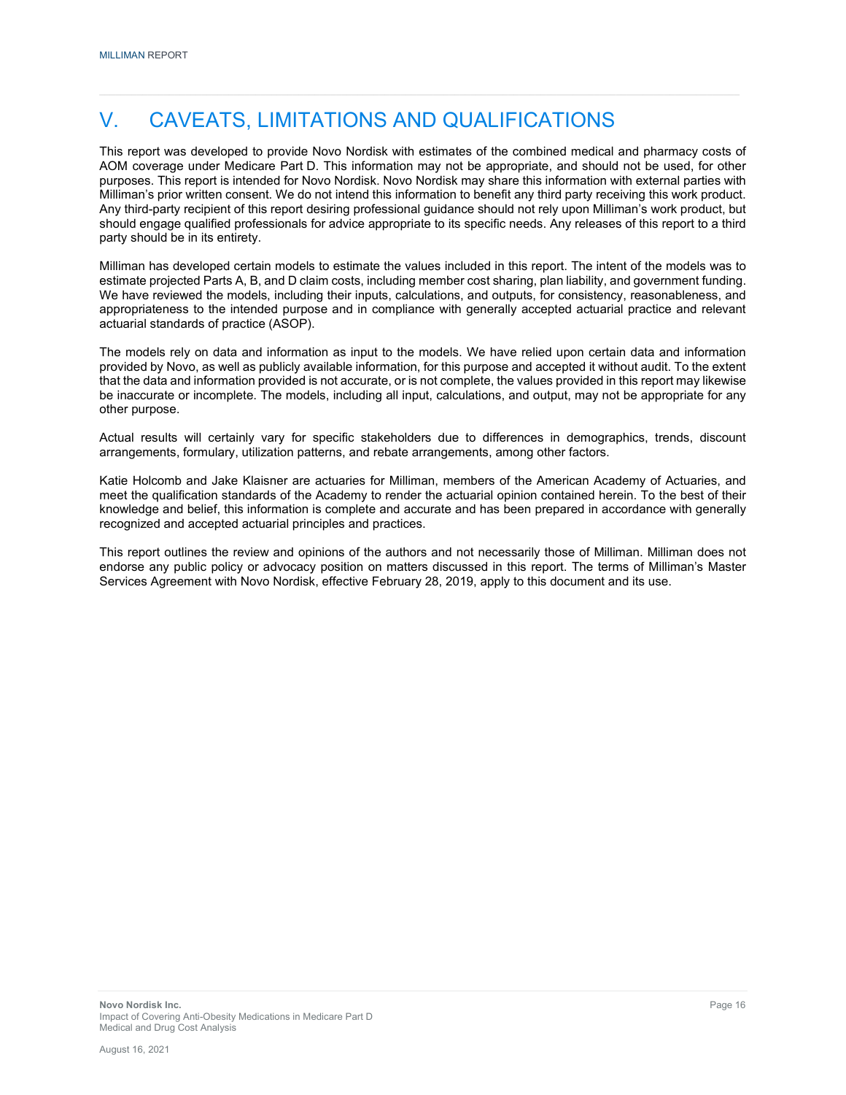# V. CAVEATS, LIMITATIONS AND QUALIFICATIONS

This report was developed to provide Novo Nordisk with estimates of the combined medical and pharmacy costs of AOM coverage under Medicare Part D. This information may not be appropriate, and should not be used, for other purposes. This report is intended for Novo Nordisk. Novo Nordisk may share this information with external parties with Milliman's prior written consent. We do not intend this information to benefit any third party receiving this work product. Any third-party recipient of this report desiring professional guidance should not rely upon Milliman's work product, but should engage qualified professionals for advice appropriate to its specific needs. Any releases of this report to a third party should be in its entirety.

Milliman has developed certain models to estimate the values included in this report. The intent of the models was to estimate projected Parts A, B, and D claim costs, including member cost sharing, plan liability, and government funding. We have reviewed the models, including their inputs, calculations, and outputs, for consistency, reasonableness, and appropriateness to the intended purpose and in compliance with generally accepted actuarial practice and relevant actuarial standards of practice (ASOP).

The models rely on data and information as input to the models. We have relied upon certain data and information provided by Novo, as well as publicly available information, for this purpose and accepted it without audit. To the extent that the data and information provided is not accurate, or is not complete, the values provided in this report may likewise be inaccurate or incomplete. The models, including all input, calculations, and output, may not be appropriate for any other purpose.

Actual results will certainly vary for specific stakeholders due to differences in demographics, trends, discount arrangements, formulary, utilization patterns, and rebate arrangements, among other factors.

Katie Holcomb and Jake Klaisner are actuaries for Milliman, members of the American Academy of Actuaries, and meet the qualification standards of the Academy to render the actuarial opinion contained herein. To the best of their knowledge and belief, this information is complete and accurate and has been prepared in accordance with generally recognized and accepted actuarial principles and practices.

This report outlines the review and opinions of the authors and not necessarily those of Milliman. Milliman does not endorse any public policy or advocacy position on matters discussed in this report. The terms of Milliman's Master Services Agreement with Novo Nordisk, effective February 28, 2019, apply to this document and its use.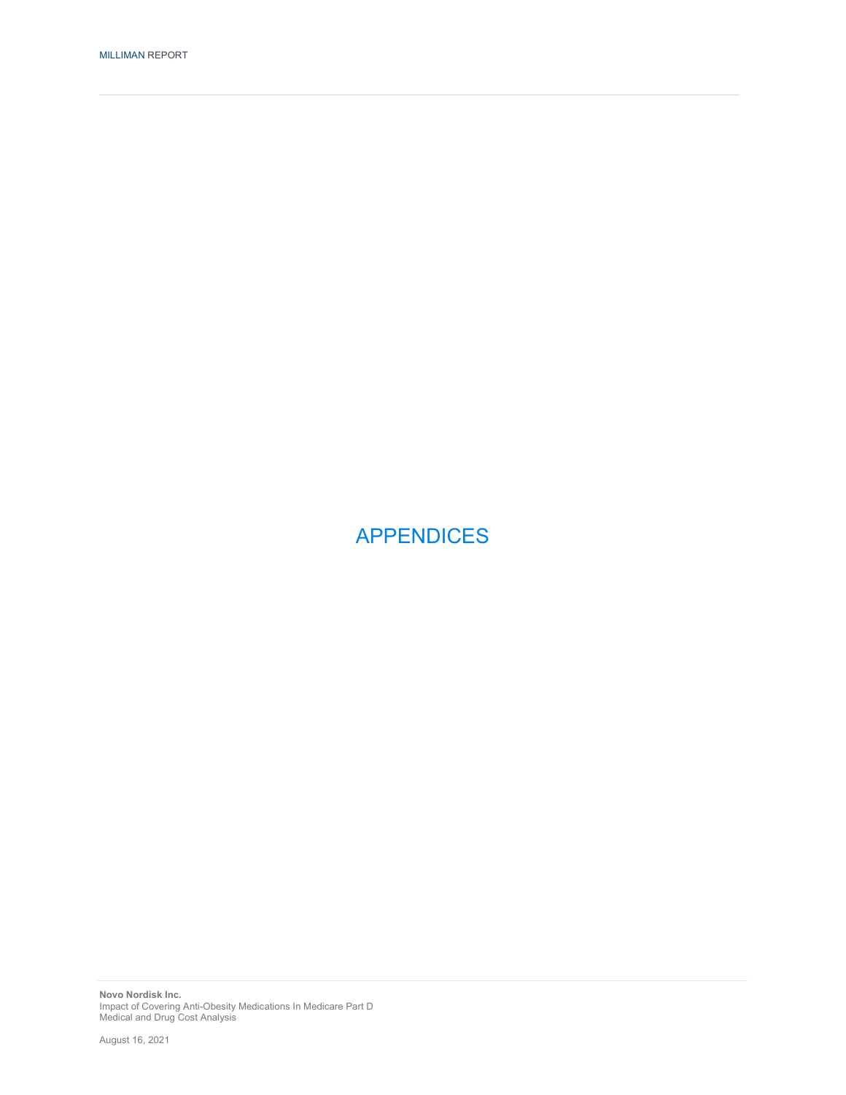APPENDICES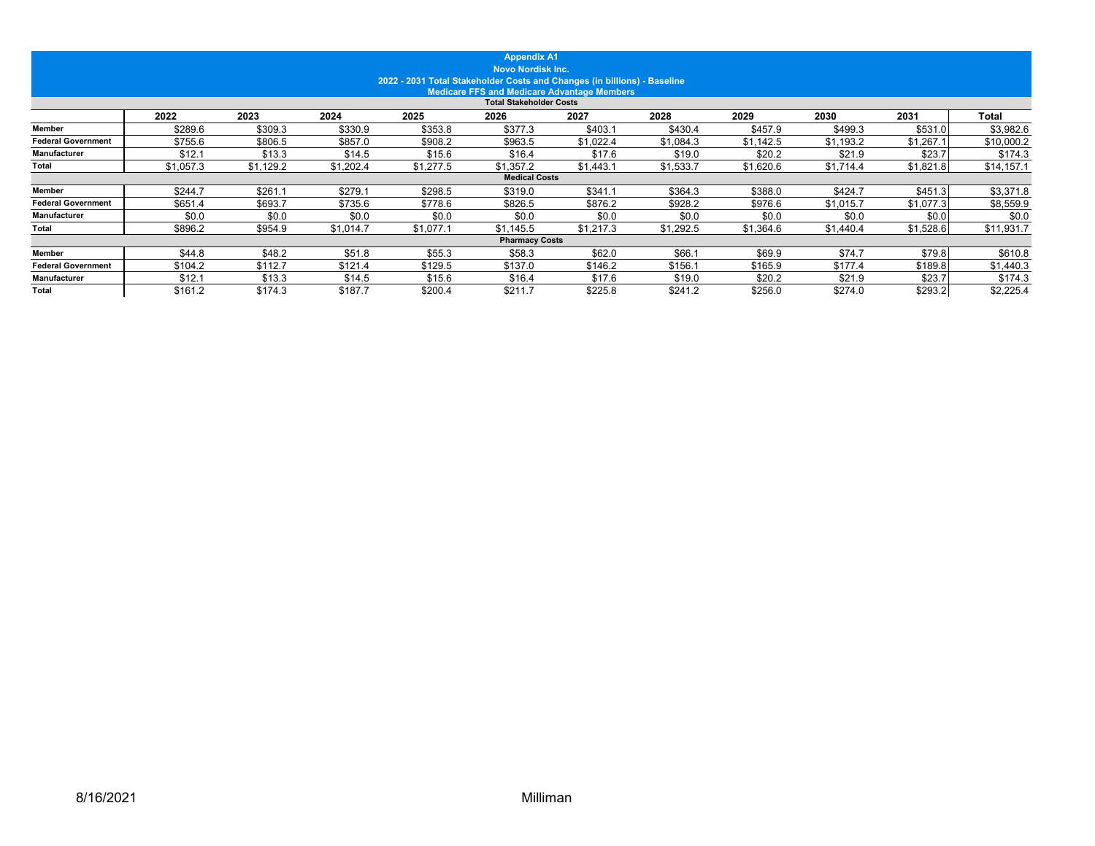|                           |           |           |           | 2022 - 2031 Total Stakeholder Costs and Changes (in billions) - Baseline | <b>Appendix A1</b><br><b>Novo Nordisk Inc.</b> | <b>Medicare FFS and Medicare Advantage Members</b> |           |           |           |           |            |
|---------------------------|-----------|-----------|-----------|--------------------------------------------------------------------------|------------------------------------------------|----------------------------------------------------|-----------|-----------|-----------|-----------|------------|
|                           |           |           |           |                                                                          | <b>Total Stakeholder Costs</b>                 |                                                    |           |           |           |           |            |
|                           | 2022      | 2023      | 2024      | 2025                                                                     | 2026                                           | 2027                                               | 2028      | 2029      | 2030      | 2031      | Total      |
| Member                    | \$289.6   | \$309.3   | \$330.9   | \$353.8                                                                  | \$377.3                                        | \$403.1                                            | \$430.4   | \$457.9   | \$499.3   | \$531.0   | \$3,982.6  |
| <b>Federal Government</b> | \$755.6   | \$806.5   | \$857.0   | \$908.2                                                                  | \$963.5                                        | \$1,022.4                                          | \$1,084.3 | \$1,142.5 | \$1,193.2 | \$1,267.1 | \$10,000.2 |
| Manufacturer              | \$12.1    | \$13.3    | \$14.5    | \$15.6                                                                   | \$16.4                                         | \$17.6                                             | \$19.0    | \$20.2    | \$21.9    | \$23.7    | \$174.3    |
| Total                     | \$1,057.3 | \$1,129.2 | \$1,202.4 | \$1,277.5                                                                | \$1,357.2                                      | \$1,443.1                                          | \$1,533.7 | \$1,620.6 | \$1,714.4 | \$1,821.8 | \$14,157.1 |
|                           |           |           |           |                                                                          | <b>Medical Costs</b>                           |                                                    |           |           |           |           |            |
| <b>Member</b>             | \$244.7   | \$261.1   | \$279.1   | \$298.5                                                                  | \$319.0                                        | \$341.1                                            | \$364.3   | \$388.0   | \$424.7   | \$451.3   | \$3,371.8  |
| <b>Federal Government</b> | \$651.4   | \$693.7   | \$735.6   | \$778.6                                                                  | \$826.5                                        | \$876.2                                            | \$928.2   | \$976.6   | \$1,015.7 | \$1,077.3 | \$8,559.9  |
| Manufacturer              | \$0.0     | \$0.0     | \$0.0     | \$0.0                                                                    | \$0.0                                          | \$0.0                                              | \$0.0     | \$0.0     | \$0.0     | \$0.0     | \$0.0      |
| Total                     | \$896.2   | \$954.9   | \$1.014.7 | \$1,077.                                                                 | \$1,145.5                                      | \$1,217.3                                          | \$1,292.5 | \$1,364.6 | \$1,440.4 | \$1,528.6 | \$11,931.7 |
|                           |           |           |           |                                                                          | <b>Pharmacy Costs</b>                          |                                                    |           |           |           |           |            |
| <b>Member</b>             | \$44.8    | \$48.2    | \$51.8    | \$55.3                                                                   | \$58.3                                         | \$62.0                                             | \$66.1    | \$69.9    | \$74.7    | \$79.8    | \$610.8    |
| <b>Federal Government</b> | \$104.2   | \$112.7   | \$121.4   | \$129.5                                                                  | \$137.0                                        | \$146.2                                            | \$156.    | \$165.9   | \$177.4   | \$189.8   | \$1,440.3  |
| Manufacturer              | \$12.1    | \$13.3    | \$14.5    | \$15.6                                                                   | \$16.4                                         | \$17.6                                             | \$19.0    | \$20.2    | \$21.9    | \$23.7    | \$174.3    |
| Total                     | \$161.2   | \$174.3   | \$187.7   | \$200.4                                                                  | \$211.7                                        | \$225.8                                            | \$241.2   | \$256.0   | \$274.0   | \$293.2   | \$2,225.4  |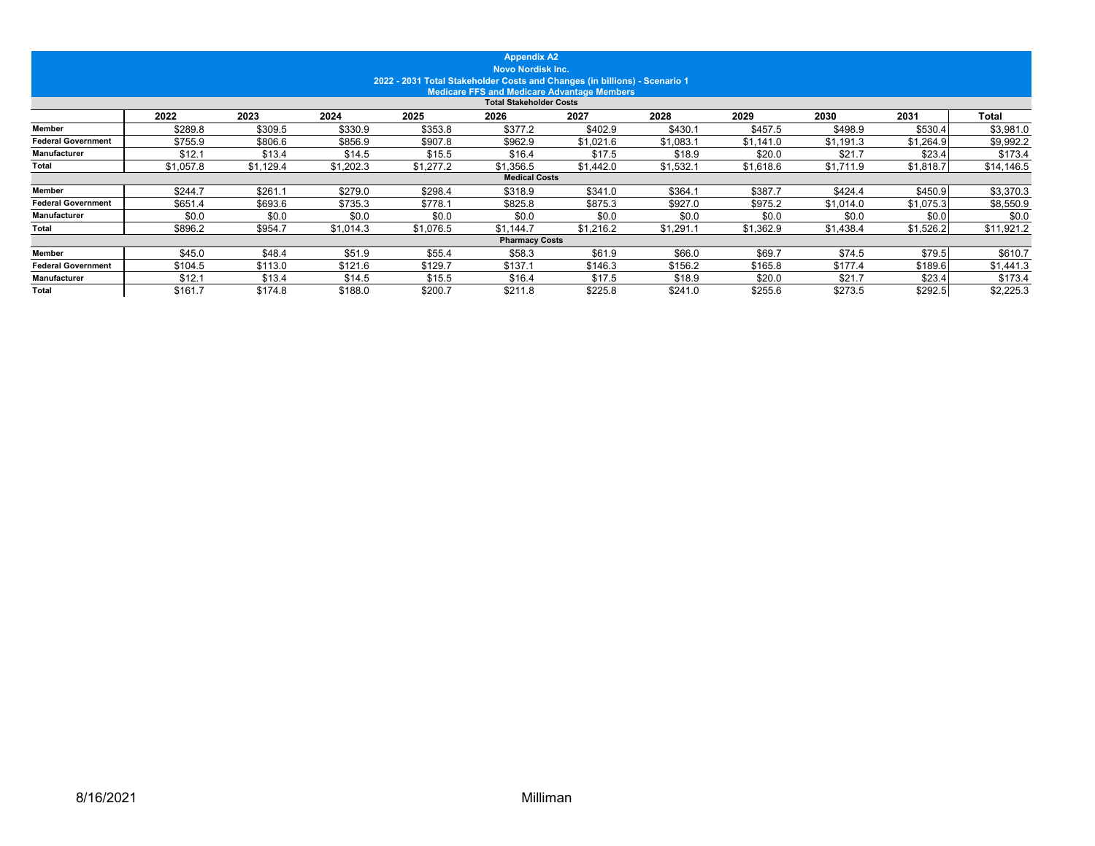|                           |           |           |           | 2022 - 2031 Total Stakeholder Costs and Changes (in billions) - Scenario 1 | <b>Appendix A2</b><br><b>Novo Nordisk Inc.</b> | <b>Medicare FFS and Medicare Advantage Members</b> |           |           |           |           |            |
|---------------------------|-----------|-----------|-----------|----------------------------------------------------------------------------|------------------------------------------------|----------------------------------------------------|-----------|-----------|-----------|-----------|------------|
|                           |           |           |           |                                                                            | <b>Total Stakeholder Costs</b>                 |                                                    |           |           |           |           |            |
|                           | 2022      | 2023      | 2024      | 2025                                                                       | 2026                                           | 2027                                               | 2028      | 2029      | 2030      | 2031      | Total      |
| Member                    | \$289.8   | \$309.5   | \$330.9   | \$353.8                                                                    | \$377.2                                        | \$402.9                                            | \$430.1   | \$457.5   | \$498.9   | \$530.4   | \$3,981.0  |
| <b>Federal Government</b> | \$755.9   | \$806.6   | \$856.9   | \$907.8                                                                    | \$962.9                                        | \$1,021.6                                          | \$1,083.1 | \$1,141.0 | \$1,191.3 | \$1,264.9 | \$9,992.2  |
| Manufacturer              | \$12.1    | \$13.4    | \$14.5    | \$15.5                                                                     | \$16.4                                         | \$17.5                                             | \$18.9    | \$20.0    | \$21.7    | \$23.4    | \$173.4    |
| Total                     | \$1,057.8 | \$1.129.4 | \$1,202.3 | \$1,277.2                                                                  | \$1,356.5                                      | \$1,442.0                                          | \$1,532.1 | \$1,618.6 | \$1,711.9 | \$1,818.7 | \$14,146.5 |
|                           |           |           |           |                                                                            | <b>Medical Costs</b>                           |                                                    |           |           |           |           |            |
| Member                    | \$244.7   | \$261.1   | \$279.0   | \$298.4                                                                    | \$318.9                                        | \$341.0                                            | \$364.1   | \$387.7   | \$424.4   | \$450.9   | \$3,370.3  |
| <b>Federal Government</b> | \$651.4   | \$693.6   | \$735.3   | \$778.1                                                                    | \$825.8                                        | \$875.3                                            | \$927.0   | \$975.2   | \$1,014.0 | \$1,075.3 | \$8,550.9  |
| Manufacturer              | \$0.0     | \$0.0     | \$0.0     | \$0.0                                                                      | \$0.0                                          | \$0.0                                              | \$0.0     | \$0.0     | \$0.0     | \$0.0     | \$0.0      |
| Total                     | \$896.2   | \$954.7   | \$1.014.3 | \$1,076.5                                                                  | \$1,144.7                                      | \$1,216.2                                          | \$1,291.1 | \$1,362.9 | \$1,438.4 | \$1,526.2 | \$11,921.2 |
|                           |           |           |           |                                                                            | <b>Pharmacy Costs</b>                          |                                                    |           |           |           |           |            |
| <b>Member</b>             | \$45.0    | \$48.4    | \$51.9    | \$55.4                                                                     | \$58.3                                         | \$61.9                                             | \$66.0    | \$69.7    | \$74.5    | \$79.5    | \$610.7    |
| <b>Federal Government</b> | \$104.5   | \$113.0   | \$121.6   | \$129.7                                                                    | \$137.1                                        | \$146.3                                            | \$156.2   | \$165.8   | \$177.4   | \$189.6   | \$1,441.3  |
| Manufacturer              | \$12.1    | \$13.4    | \$14.5    | \$15.5                                                                     | \$16.4                                         | \$17.5                                             | \$18.9    | \$20.0    | \$21.7    | \$23.4    | \$173.4    |
| Total                     | \$161.7   | \$174.8   | \$188.0   | \$200.7                                                                    | \$211.8                                        | \$225.8                                            | \$241.0   | \$255.6   | \$273.5   | \$292.5   | \$2,225.3  |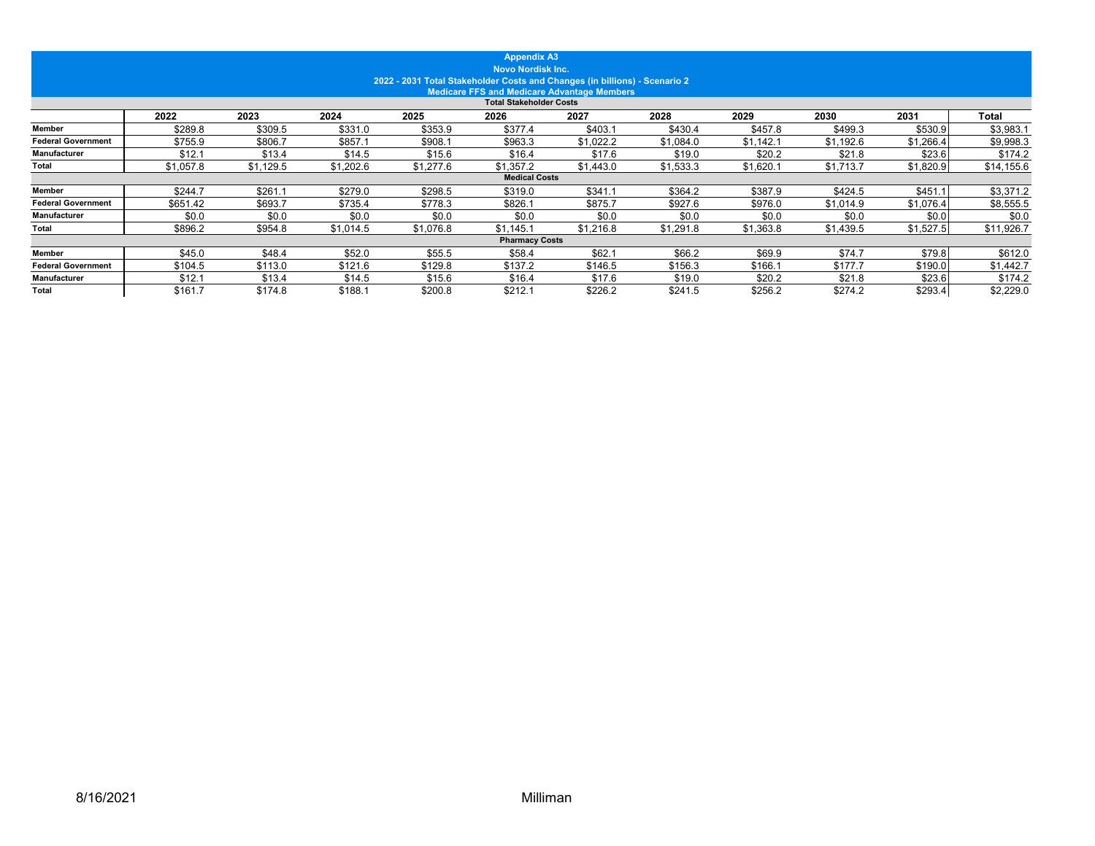|                           |           |           |           | 2022 - 2031 Total Stakeholder Costs and Changes (in billions) - Scenario 2 | <b>Appendix A3</b><br><b>Novo Nordisk Inc.</b> | <b>Medicare FFS and Medicare Advantage Members</b> |           |           |           |           |            |
|---------------------------|-----------|-----------|-----------|----------------------------------------------------------------------------|------------------------------------------------|----------------------------------------------------|-----------|-----------|-----------|-----------|------------|
|                           |           |           |           |                                                                            | <b>Total Stakeholder Costs</b>                 |                                                    |           |           |           |           |            |
|                           | 2022      | 2023      | 2024      | 2025                                                                       | 2026                                           | 2027                                               | 2028      | 2029      | 2030      | 2031      | Total      |
| Member                    | \$289.8   | \$309.5   | \$331.0   | \$353.9                                                                    | \$377.4                                        | \$403.1                                            | \$430.4   | \$457.8   | \$499.3   | \$530.9   | \$3,983.1  |
| <b>Federal Government</b> | \$755.9   | \$806.7   | \$857.1   | \$908.7                                                                    | \$963.3                                        | \$1,022.2                                          | \$1,084.0 | \$1,142.1 | \$1,192.6 | \$1,266.4 | \$9,998.3  |
| Manufacturer              | \$12.1    | \$13.4    | \$14.5    | \$15.6                                                                     | \$16.4                                         | \$17.6                                             | \$19.0    | \$20.2    | \$21.8    | \$23.6    | \$174.2    |
| Total                     | \$1,057.8 | \$1,129.5 | \$1,202.6 | \$1,277.6                                                                  | \$1,357.2                                      | \$1,443.0                                          | \$1,533.3 | \$1,620.7 | \$1,713.7 | \$1,820.9 | \$14,155.6 |
|                           |           |           |           |                                                                            | <b>Medical Costs</b>                           |                                                    |           |           |           |           |            |
| Member                    | \$244.7   | \$261.1   | \$279.0   | \$298.5                                                                    | \$319.0                                        | \$341.1                                            | \$364.2   | \$387.9   | \$424.5   | \$451.1   | \$3,371.2  |
| <b>Federal Government</b> | \$651.42  | \$693.7   | \$735.4   | \$778.3                                                                    | \$826.1                                        | \$875.7                                            | \$927.6   | \$976.0   | \$1,014.9 | \$1,076.4 | \$8,555.5  |
| Manufacturer              | \$0.0     | \$0.0     | \$0.0     | \$0.0                                                                      | \$0.0                                          | \$0.0                                              | \$0.0     | \$0.0     | \$0.0     | \$0.0     | \$0.0      |
| Total                     | \$896.2   | \$954.8   | \$1.014.5 | \$1,076.8                                                                  | \$1,145.1                                      | \$1,216.8                                          | \$1,291.8 | \$1,363.8 | \$1,439.5 | \$1,527.5 | \$11,926.7 |
|                           |           |           |           |                                                                            | <b>Pharmacy Costs</b>                          |                                                    |           |           |           |           |            |
| <b>Member</b>             | \$45.0    | \$48.4    | \$52.0    | \$55.5                                                                     | \$58.4                                         | \$62.1                                             | \$66.2    | \$69.9    | \$74.7    | \$79.8    | \$612.0    |
| <b>Federal Government</b> | \$104.5   | \$113.0   | \$121.6   | \$129.8                                                                    | \$137.2                                        | \$146.5                                            | \$156.3   | \$166.    | \$177.7   | \$190.0   | \$1,442.7  |
| Manufacturer              | \$12.1    | \$13.4    | \$14.5    | \$15.6                                                                     | \$16.4                                         | \$17.6                                             | \$19.0    | \$20.2    | \$21.8    | \$23.6    | \$174.2    |
| Total                     | \$161.7   | \$174.8   | \$188.1   | \$200.8                                                                    | \$212.1                                        | \$226.2                                            | \$241.5   | \$256.2   | \$274.2   | \$293.4   | \$2,229.0  |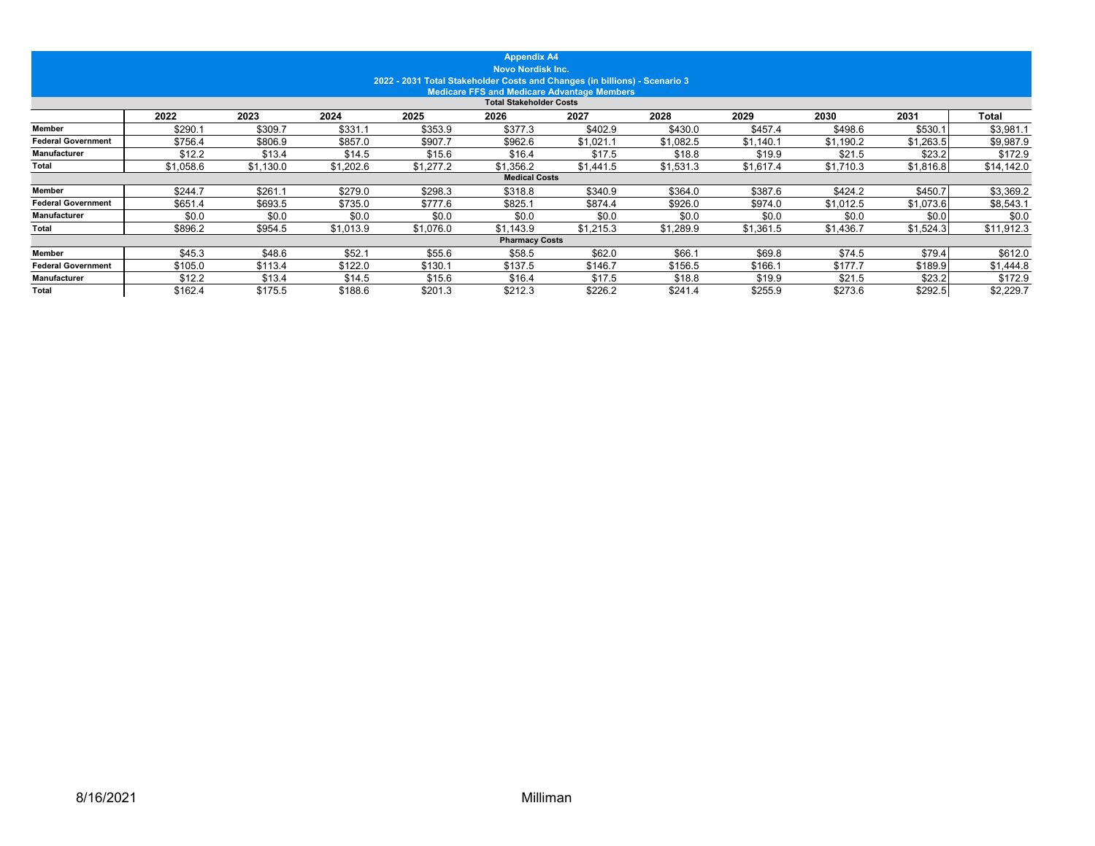|                           |           |           |           | 2022 - 2031 Total Stakeholder Costs and Changes (in billions) - Scenario 3 | <b>Appendix A4</b><br><b>Novo Nordisk Inc.</b> |                                                    |           |           |           |           |              |
|---------------------------|-----------|-----------|-----------|----------------------------------------------------------------------------|------------------------------------------------|----------------------------------------------------|-----------|-----------|-----------|-----------|--------------|
|                           |           |           |           |                                                                            |                                                | <b>Medicare FFS and Medicare Advantage Members</b> |           |           |           |           |              |
|                           |           |           |           |                                                                            | <b>Total Stakeholder Costs</b>                 |                                                    |           |           |           |           |              |
|                           | 2022      | 2023      | 2024      | 2025                                                                       | 2026                                           | 2027                                               | 2028      | 2029      | 2030      | 2031      | <b>Total</b> |
| <b>Member</b>             | \$290.1   | \$309.7   | \$331.7   | \$353.9                                                                    | \$377.3                                        | \$402.9                                            | \$430.0   | \$457.4   | \$498.6   | \$530.1   | \$3,981.1    |
| <b>Federal Government</b> | \$756.4   | \$806.9   | \$857.0   | \$907.7                                                                    | \$962.6                                        | \$1,021.                                           | \$1,082.5 | \$1,140.1 | \$1,190.2 | \$1,263.5 | \$9,987.9    |
| Manufacturer              | \$12.2    | \$13.4    | \$14.5    | \$15.6                                                                     | \$16.4                                         | \$17.5                                             | \$18.8    | \$19.9    | \$21.5    | \$23.2    | \$172.9      |
| <b>Total</b>              | \$1,058.6 | \$1,130.0 | \$1,202.6 | \$1,277.2                                                                  | \$1,356.2                                      | \$1,441.5                                          | \$1,531.3 | \$1,617.4 | \$1,710.3 | \$1,816.8 | \$14,142.0   |
|                           |           |           |           |                                                                            | <b>Medical Costs</b>                           |                                                    |           |           |           |           |              |
| <b>Member</b>             | \$244.7   | \$261.    | \$279.0   | \$298.3                                                                    | \$318.8                                        | \$340.9                                            | \$364.0   | \$387.6   | \$424.2   | \$450.7   | \$3,369.2    |
| <b>Federal Government</b> | \$651.4   | \$693.5   | \$735.0   | \$777.6                                                                    | \$825.1                                        | \$874.4                                            | \$926.0   | \$974.0   | \$1,012.5 | \$1,073.6 | \$8,543.1    |
| Manufacturer              | \$0.0     | \$0.0     | \$0.0     | \$0.0                                                                      | \$0.0                                          | \$0.0                                              | \$0.0     | \$0.0     | \$0.0     | \$0.0     | \$0.0        |
| <b>Total</b>              | \$896.2   | \$954.5   | \$1,013.9 | \$1,076.0                                                                  | \$1,143.9                                      | \$1,215.3                                          | \$1,289.9 | \$1,361.5 | \$1,436.7 | \$1,524.3 | \$11,912.3   |
|                           |           |           |           |                                                                            | <b>Pharmacy Costs</b>                          |                                                    |           |           |           |           |              |
| <b>Member</b>             | \$45.3    | \$48.6    | \$52.1    | \$55.6                                                                     | \$58.5                                         | \$62.0                                             | \$66.7    | \$69.8    | \$74.5    | \$79.4    | \$612.0      |
| <b>Federal Government</b> | \$105.0   | \$113.4   | \$122.0   | \$130.1                                                                    | \$137.5                                        | \$146.7                                            | \$156.5   | \$166.    | \$177.7   | \$189.9   | \$1,444.8    |
| Manufacturer              | \$12.2    | \$13.4    | \$14.5    | \$15.6                                                                     | \$16.4                                         | \$17.5                                             | \$18.8    | \$19.9    | \$21.5    | \$23.2    | \$172.9      |
| <b>Total</b>              | \$162.4   | \$175.5   | \$188.6   | \$201.3                                                                    | \$212.3                                        | \$226.2                                            | \$241.4   | \$255.9   | \$273.6   | \$292.5   | \$2,229.7    |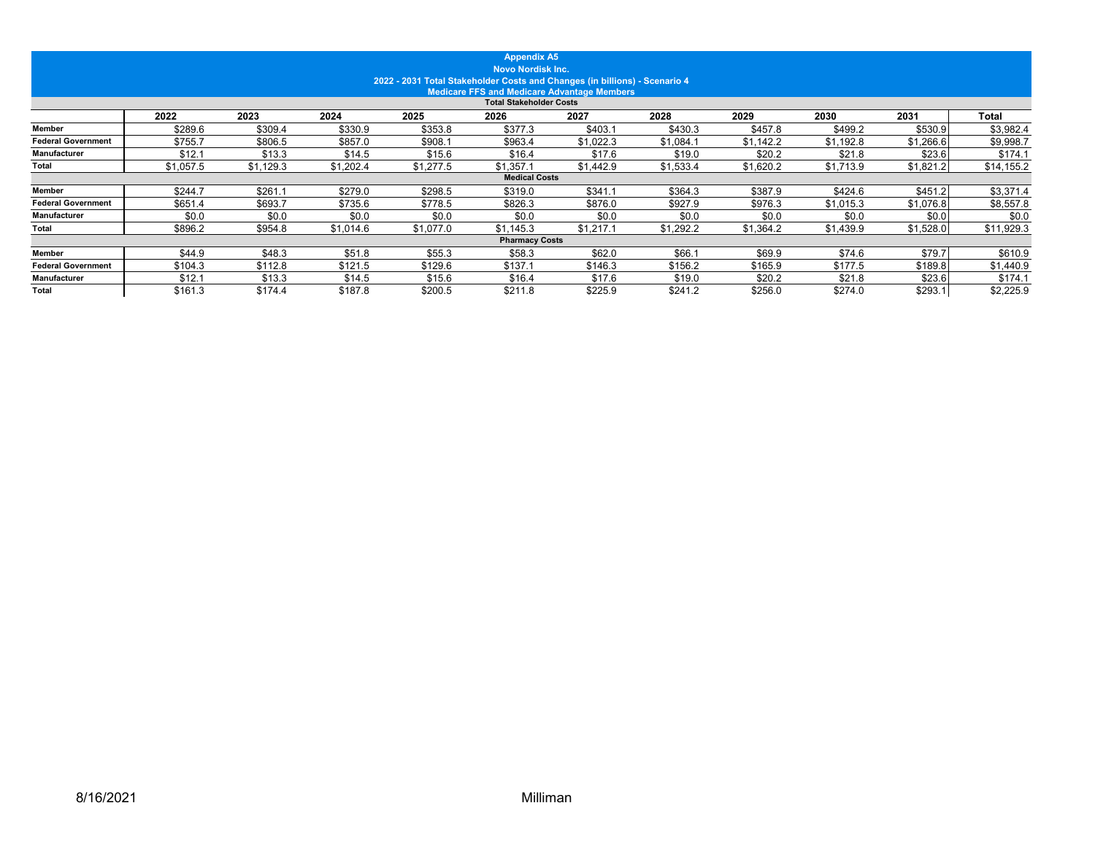|                           |           |           |           | 2022 - 2031 Total Stakeholder Costs and Changes (in billions) - Scenario 4 | <b>Appendix A5</b><br><b>Novo Nordisk Inc.</b> |                                                    |           |           |           |           |            |
|---------------------------|-----------|-----------|-----------|----------------------------------------------------------------------------|------------------------------------------------|----------------------------------------------------|-----------|-----------|-----------|-----------|------------|
|                           |           |           |           |                                                                            | <b>Total Stakeholder Costs</b>                 | <b>Medicare FFS and Medicare Advantage Members</b> |           |           |           |           |            |
|                           | 2022      | 2023      | 2024      | 2025                                                                       | 2026                                           | 2027                                               | 2028      | 2029      | 2030      | 2031      | Total      |
| Member                    | \$289.6   | \$309.4   | \$330.9   | \$353.8                                                                    | \$377.3                                        | \$403.1                                            | \$430.3   | \$457.8   | \$499.2   | \$530.9   | \$3,982.4  |
| <b>Federal Government</b> | \$755.7   | \$806.5   | \$857.0   | \$908.                                                                     | \$963.4                                        | \$1,022.3                                          | \$1,084.1 | \$1,142.2 | \$1,192.8 | \$1,266.6 | \$9,998.7  |
| Manufacturer              | \$12.1    | \$13.3    | \$14.5    | \$15.6                                                                     | \$16.4                                         | \$17.6                                             | \$19.0    | \$20.2    | \$21.8    | \$23.6    | \$174.1    |
| Total                     | \$1,057.5 | \$1,129.3 | \$1,202.4 | \$1,277.5                                                                  | \$1,357.1                                      | \$1,442.9                                          | \$1,533.4 | \$1,620.2 | \$1,713.9 | \$1,821.2 | \$14,155.2 |
|                           |           |           |           |                                                                            | <b>Medical Costs</b>                           |                                                    |           |           |           |           |            |
| <b>Member</b>             | \$244.7   | \$261.1   | \$279.0   | \$298.5                                                                    | \$319.0                                        | \$341.1                                            | \$364.3   | \$387.9   | \$424.6   | \$451.2   | \$3,371.4  |
| <b>Federal Government</b> | \$651.4   | \$693.7   | \$735.6   | \$778.5                                                                    | \$826.3                                        | \$876.0                                            | \$927.9   | \$976.3   | \$1,015.3 | \$1,076.8 | \$8,557.8  |
| Manufacturer              | \$0.0     | \$0.0     | \$0.0     | \$0.0                                                                      | \$0.0                                          | \$0.0                                              | \$0.0     | \$0.0     | \$0.0     | \$0.0     | \$0.0      |
| Total                     | \$896.2   | \$954.8   | \$1.014.6 | \$1,077.0                                                                  | \$1,145.3                                      | \$1,217.1                                          | \$1,292.2 | \$1,364.2 | \$1,439.9 | \$1,528.0 | \$11,929.3 |
|                           |           |           |           |                                                                            | <b>Pharmacy Costs</b>                          |                                                    |           |           |           |           |            |
| <b>Member</b>             | \$44.9    | \$48.3    | \$51.8    | \$55.3                                                                     | \$58.3                                         | \$62.0                                             | \$66.1    | \$69.9    | \$74.6    | \$79.7    | \$610.9    |
| <b>Federal Government</b> | \$104.3   | \$112.8   | \$121.5   | \$129.6                                                                    | \$137.1                                        | \$146.3                                            | \$156.2   | \$165.9   | \$177.5   | \$189.8   | \$1,440.9  |
| Manufacturer              | \$12.1    | \$13.3    | \$14.5    | \$15.6                                                                     | \$16.4                                         | \$17.6                                             | \$19.0    | \$20.2    | \$21.8    | \$23.6    | \$174.1    |
| Total                     | \$161.3   | \$174.4   | \$187.8   | \$200.5                                                                    | \$211.8                                        | \$225.9                                            | \$241.2   | \$256.0   | \$274.0   | \$293.1   | \$2,225.9  |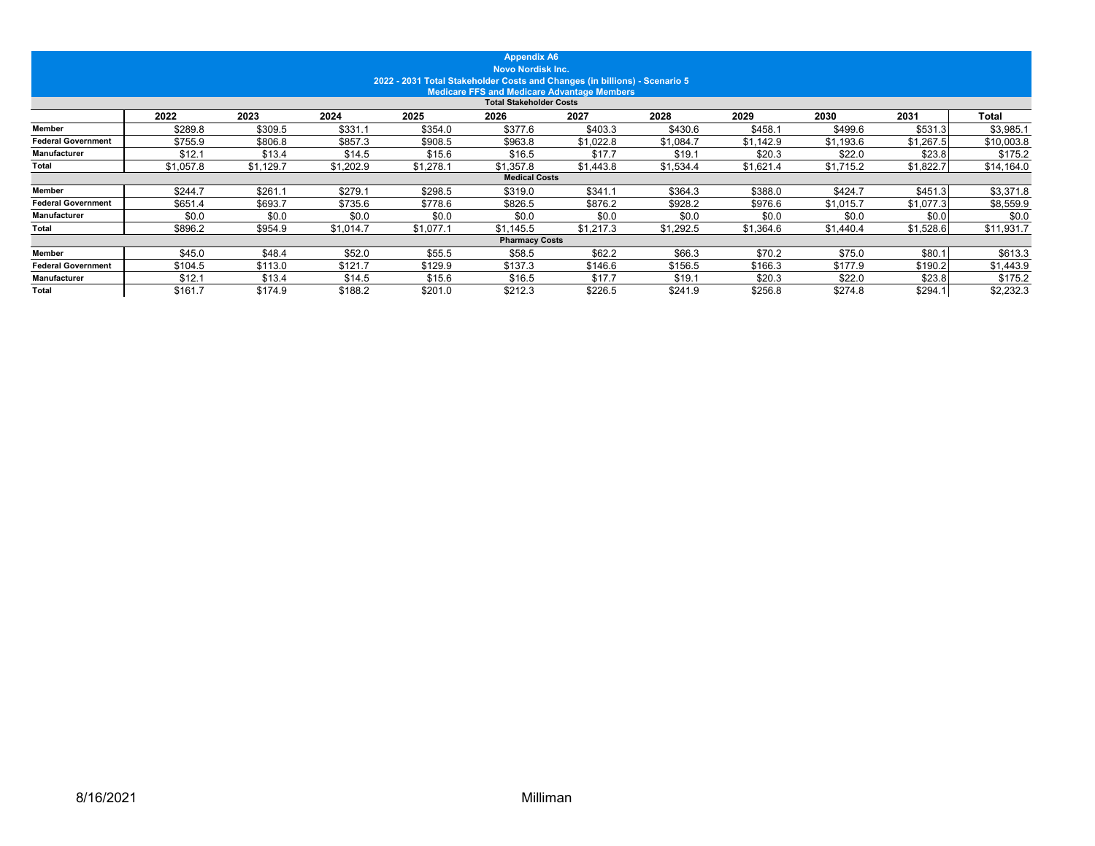|                           |           |           |           | 2022 - 2031 Total Stakeholder Costs and Changes (in billions) - Scenario 5 | <b>Appendix A6</b><br><b>Novo Nordisk Inc.</b> | <b>Medicare FFS and Medicare Advantage Members</b> |           |           |           |           |            |
|---------------------------|-----------|-----------|-----------|----------------------------------------------------------------------------|------------------------------------------------|----------------------------------------------------|-----------|-----------|-----------|-----------|------------|
|                           |           |           |           |                                                                            | <b>Total Stakeholder Costs</b>                 |                                                    |           |           |           |           |            |
|                           | 2022      | 2023      | 2024      | 2025                                                                       | 2026                                           | 2027                                               | 2028      | 2029      | 2030      | 2031      | Total      |
| Member                    | \$289.8   | \$309.5   | \$331.1   | \$354.0                                                                    | \$377.6                                        | \$403.3                                            | \$430.6   | \$458.7   | \$499.6   | \$531.3   | \$3,985.1  |
| <b>Federal Government</b> | \$755.9   | \$806.8   | \$857.3   | \$908.5                                                                    | \$963.8                                        | \$1,022.8                                          | \$1,084.7 | \$1,142.9 | \$1,193.6 | \$1,267.5 | \$10,003.8 |
| Manufacturer              | \$12.1    | \$13.4    | \$14.5    | \$15.6                                                                     | \$16.5                                         | \$17.7                                             | \$19.1    | \$20.3    | \$22.0    | \$23.8    | \$175.2    |
| Total                     | \$1,057.8 | \$1,129.7 | \$1,202.9 | \$1.278.1                                                                  | \$1,357.8                                      | \$1,443.8                                          | \$1,534.4 | \$1,621.4 | \$1,715.2 | \$1,822.7 | \$14,164.0 |
|                           |           |           |           |                                                                            | <b>Medical Costs</b>                           |                                                    |           |           |           |           |            |
| <b>Member</b>             | \$244.7   | \$261.1   | \$279.1   | \$298.5                                                                    | \$319.0                                        | \$341.1                                            | \$364.3   | \$388.0   | \$424.7   | \$451.3   | \$3,371.8  |
| <b>Federal Government</b> | \$651.4   | \$693.7   | \$735.6   | \$778.6                                                                    | \$826.5                                        | \$876.2                                            | \$928.2   | \$976.6   | \$1,015.7 | \$1,077.3 | \$8,559.9  |
| Manufacturer              | \$0.0     | \$0.0     | \$0.0     | \$0.0                                                                      | \$0.0                                          | \$0.0                                              | \$0.0     | \$0.0     | \$0.0     | \$0.0     | \$0.0      |
| Total                     | \$896.2   | \$954.9   | \$1.014.7 | \$1,077.                                                                   | \$1,145.5                                      | \$1,217.3                                          | \$1,292.5 | \$1,364.6 | \$1,440.4 | \$1,528.6 | \$11,931.7 |
|                           |           |           |           |                                                                            | <b>Pharmacy Costs</b>                          |                                                    |           |           |           |           |            |
| <b>Member</b>             | \$45.0    | \$48.4    | \$52.0    | \$55.5                                                                     | \$58.5                                         | \$62.2                                             | \$66.3    | \$70.2    | \$75.0    | \$80.1    | \$613.3    |
| <b>Federal Government</b> | \$104.5   | \$113.0   | \$121.7   | \$129.9                                                                    | \$137.3                                        | \$146.6                                            | \$156.5   | \$166.3   | \$177.9   | \$190.2   | \$1,443.9  |
| Manufacturer              | \$12.1    | \$13.4    | \$14.5    | \$15.6                                                                     | \$16.5                                         | \$17.7                                             | \$19.1    | \$20.3    | \$22.0    | \$23.8    | \$175.2    |
| Total                     | \$161.7   | \$174.9   | \$188.2   | \$201.0                                                                    | \$212.3                                        | \$226.5                                            | \$241.9   | \$256.8   | \$274.8   | \$294.1   | \$2,232.3  |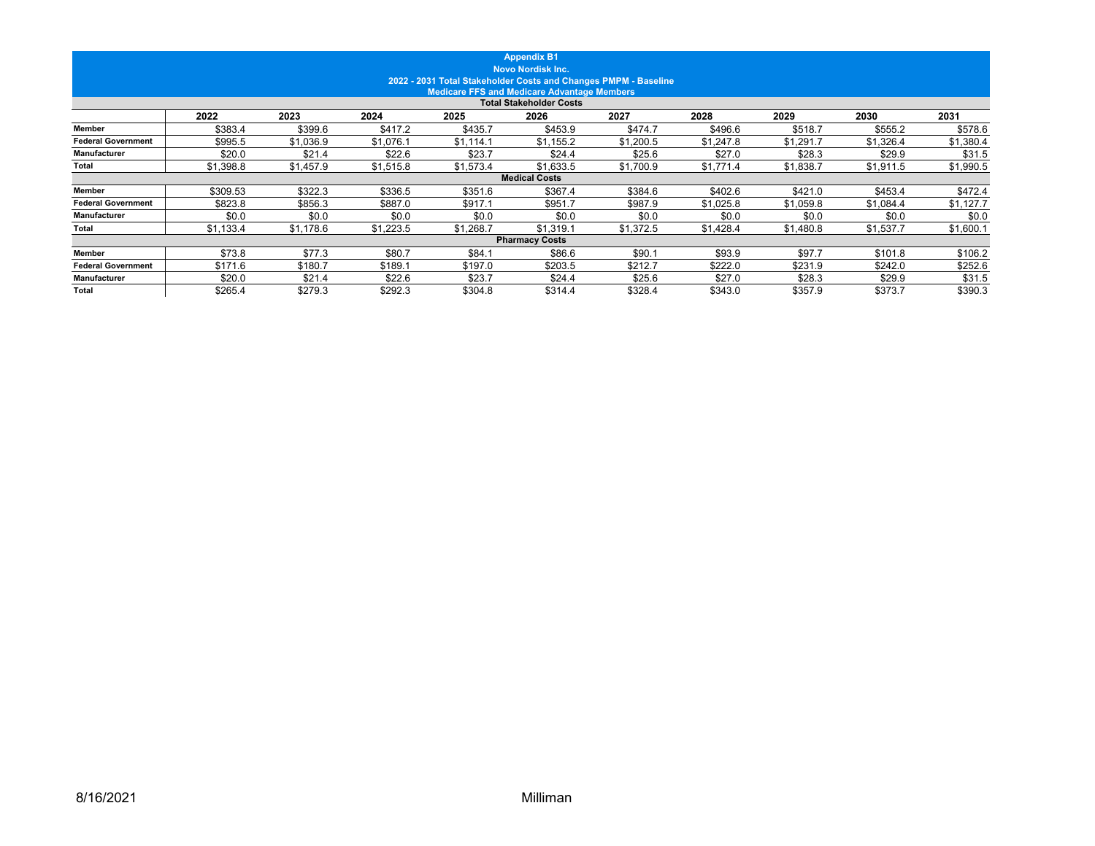|                           |           |           |           |           | <b>Appendix B1</b><br><b>Novo Nordisk Inc.</b>                                       |           |           |           |           |           |
|---------------------------|-----------|-----------|-----------|-----------|--------------------------------------------------------------------------------------|-----------|-----------|-----------|-----------|-----------|
|                           |           |           |           |           | 2022 - 2031 Total Stakeholder Costs and Changes PMPM - Baseline                      |           |           |           |           |           |
|                           |           |           |           |           | <b>Medicare FFS and Medicare Advantage Members</b><br><b>Total Stakeholder Costs</b> |           |           |           |           |           |
|                           | 2022      | 2023      | 2024      | 2025      | 2026                                                                                 | 2027      | 2028      | 2029      | 2030      | 2031      |
| <b>Member</b>             | \$383.4   | \$399.6   | \$417.2   | \$435.7   | \$453.9                                                                              | \$474.7   | \$496.6   | \$518.7   | \$555.2   | \$578.6   |
| <b>Federal Government</b> | \$995.5   | \$1,036.9 | \$1,076.1 | \$1.114.1 | \$1.155.2                                                                            | \$1.200.5 | \$1.247.8 | \$1.291.7 | \$1.326.4 | \$1,380.4 |
| <b>Manufacturer</b>       | \$20.0    | \$21.4    | \$22.6    | \$23.7    | \$24.4                                                                               | \$25.6    | \$27.0    | \$28.3    | \$29.9    | \$31.5    |
| Total                     | \$1,398.8 | \$1,457.9 | \$1,515.8 | \$1,573.4 | \$1,633.5                                                                            | \$1,700.9 | \$1,771.4 | \$1,838.7 | \$1,911.5 | \$1,990.5 |
|                           |           |           |           |           | <b>Medical Costs</b>                                                                 |           |           |           |           |           |
| <b>Member</b>             | \$309.53  | \$322.3   | \$336.5   | \$351.6   | \$367.4                                                                              | \$384.6   | \$402.6   | \$421.0   | \$453.4   | \$472.4   |
| <b>Federal Government</b> | \$823.8   | \$856.3   | \$887.0   | \$917.1   | \$951.7                                                                              | \$987.9   | \$1,025.8 | \$1,059.8 | \$1,084.4 | \$1,127.7 |
| Manufacturer              | \$0.0     | \$0.0     | \$0.0     | \$0.0     | \$0.0                                                                                | \$0.0     | \$0.0     | \$0.0     | \$0.0     | \$0.0     |
| Total                     | \$1,133.4 | \$1,178.6 | \$1,223.5 | \$1,268.7 | \$1,319.1                                                                            | \$1,372.5 | \$1,428.4 | \$1,480.8 | \$1,537.7 | \$1,600.1 |
|                           |           |           |           |           | <b>Pharmacy Costs</b>                                                                |           |           |           |           |           |
| <b>Member</b>             | \$73.8    | \$77.3    | \$80.7    | \$84.1    | \$86.6                                                                               | \$90.1    | \$93.9    | \$97.7    | \$101.8   | \$106.2   |
| <b>Federal Government</b> | \$171.6   | \$180.7   | \$189.1   | \$197.0   | \$203.5                                                                              | \$212.7   | \$222.0   | \$231.9   | \$242.0   | \$252.6   |
| Manufacturer              | \$20.0    | \$21.4    | \$22.6    | \$23.7    | \$24.4                                                                               | \$25.6    | \$27.0    | \$28.3    | \$29.9    | \$31.5    |
| <b>Total</b>              | \$265.4   | \$279.3   | \$292.3   | \$304.8   | \$314.4                                                                              | \$328.4   | \$343.0   | \$357.9   | \$373.7   | \$390.3   |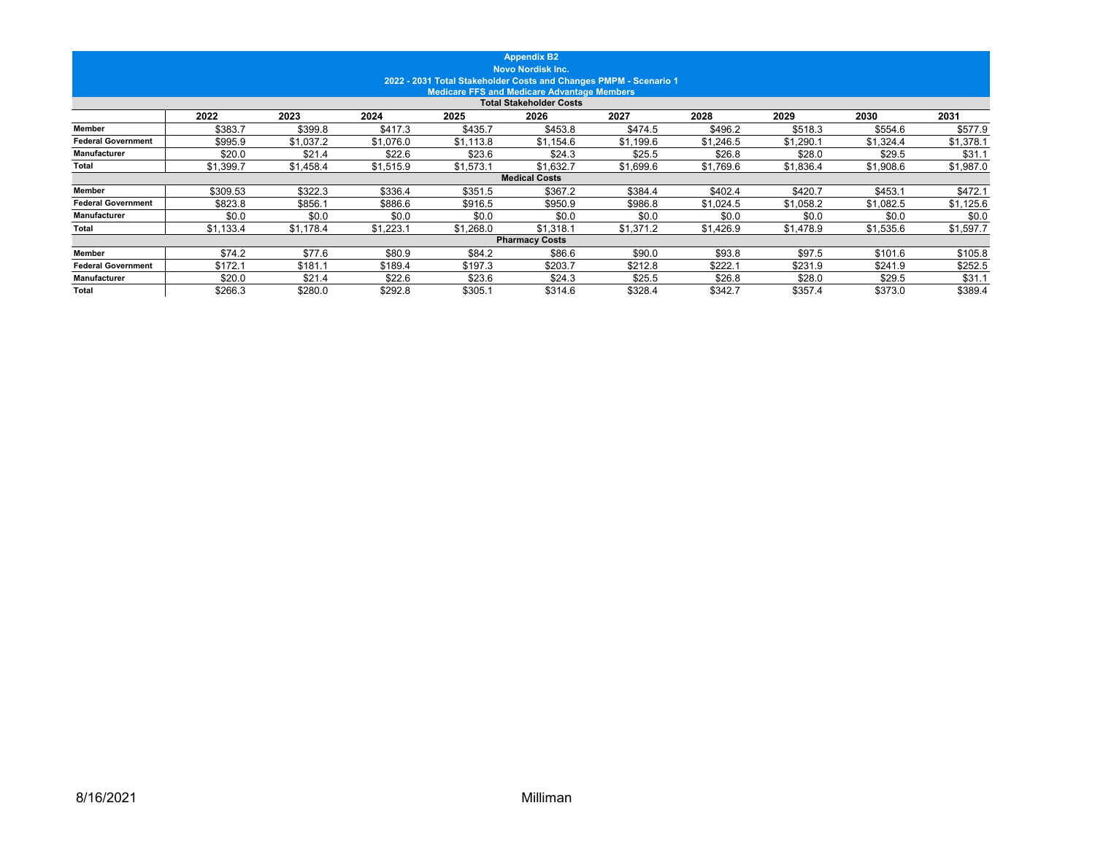|                           |           |           |           |           | <b>Appendix B2</b><br><b>Novo Nordisk Inc.</b>     |                                                                   |           |           |           |           |
|---------------------------|-----------|-----------|-----------|-----------|----------------------------------------------------|-------------------------------------------------------------------|-----------|-----------|-----------|-----------|
|                           |           |           |           |           | <b>Medicare FFS and Medicare Advantage Members</b> | 2022 - 2031 Total Stakeholder Costs and Changes PMPM - Scenario 1 |           |           |           |           |
|                           |           |           |           |           | <b>Total Stakeholder Costs</b>                     |                                                                   |           |           |           |           |
|                           | 2022      | 2023      | 2024      | 2025      | 2026                                               | 2027                                                              | 2028      | 2029      | 2030      | 2031      |
| <b>Member</b>             | \$383.7   | \$399.8   | \$417.3   | \$435.7   | \$453.8                                            | \$474.5                                                           | \$496.2   | \$518.3   | \$554.6   | \$577.9   |
| <b>Federal Government</b> | \$995.9   | \$1,037.2 | \$1.076.0 | \$1.113.8 | \$1.154.6                                          | \$1,199.6                                                         | \$1.246.5 | \$1.290.1 | \$1.324.4 | \$1,378.1 |
| <b>Manufacturer</b>       | \$20.0    | \$21.4    | \$22.6    | \$23.6    | \$24.3                                             | \$25.5                                                            | \$26.8    | \$28.0    | \$29.5    | \$31.1    |
| Total                     | \$1,399.7 | \$1,458.4 | \$1,515.9 | \$1,573.1 | \$1,632.7                                          | \$1,699.6                                                         | \$1,769.6 | \$1,836.4 | \$1,908.6 | \$1,987.0 |
|                           |           |           |           |           | <b>Medical Costs</b>                               |                                                                   |           |           |           |           |
| <b>Member</b>             | \$309.53  | \$322.3   | \$336.4   | \$351.5   | \$367.2                                            | \$384.4                                                           | \$402.4   | \$420.7   | \$453.1   | \$472.1   |
| <b>Federal Government</b> | \$823.8   | \$856.1   | \$886.6   | \$916.5   | \$950.9                                            | \$986.8                                                           | \$1,024.5 | \$1,058.2 | \$1,082.5 | \$1,125.6 |
| Manufacturer              | \$0.0     | \$0.0     | \$0.0     | \$0.0     | \$0.0                                              | \$0.0                                                             | \$0.0     | \$0.0     | \$0.0     | \$0.0     |
| Total                     | \$1,133.4 | \$1,178.4 | \$1,223.1 | \$1,268.0 | \$1,318.1                                          | \$1,371.2                                                         | \$1,426.9 | \$1,478.9 | \$1,535.6 | \$1,597.7 |
|                           |           |           |           |           | <b>Pharmacy Costs</b>                              |                                                                   |           |           |           |           |
| <b>Member</b>             | \$74.2    | \$77.6    | \$80.9    | \$84.2    | \$86.6                                             | \$90.0                                                            | \$93.8    | \$97.5    | \$101.6   | \$105.8   |
| <b>Federal Government</b> | \$172.1   | \$181.1   | \$189.4   | \$197.3   | \$203.7                                            | \$212.8                                                           | \$222.1   | \$231.9   | \$241.9   | \$252.5   |
| Manufacturer              | \$20.0    | \$21.4    | \$22.6    | \$23.6    | \$24.3                                             | \$25.5                                                            | \$26.8    | \$28.0    | \$29.5    | \$31.1    |
| <b>Total</b>              | \$266.3   | \$280.0   | \$292.8   | \$305.1   | \$314.6                                            | \$328.4                                                           | \$342.7   | \$357.4   | \$373.0   | \$389.4   |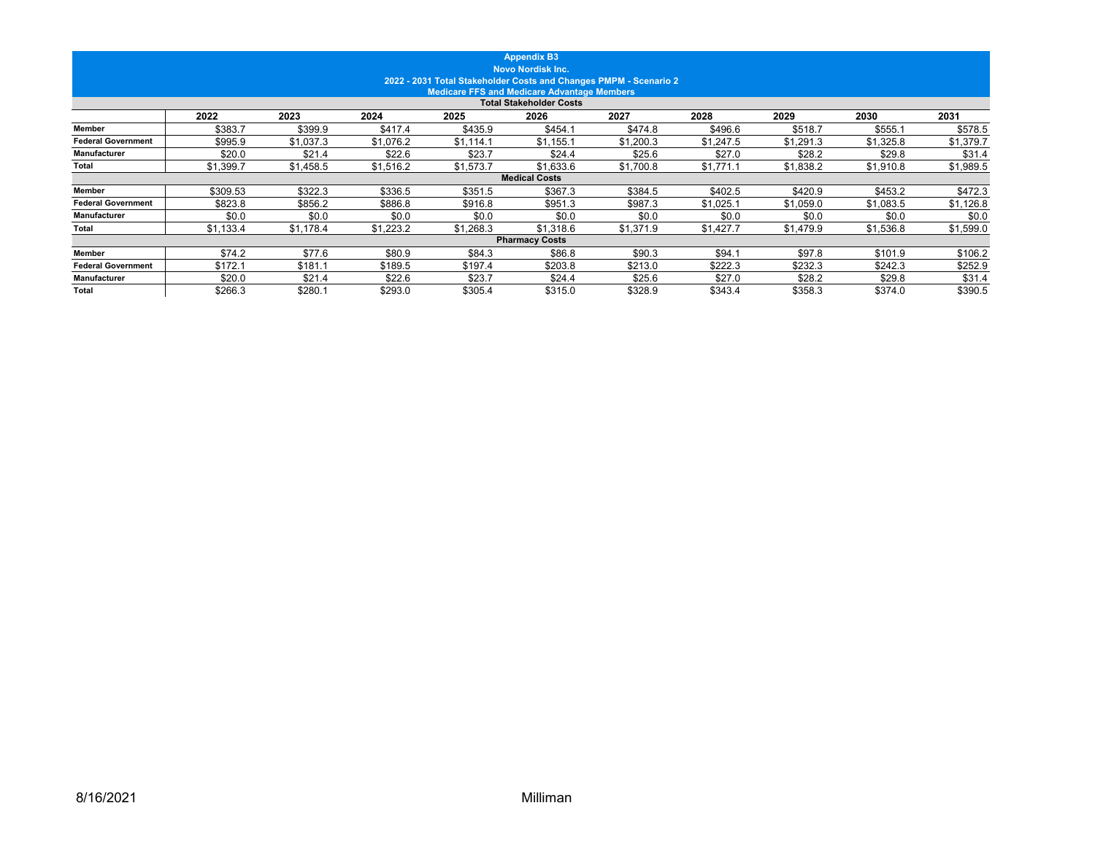|                           |           |           |           |           | <b>Appendix B3</b><br><b>Novo Nordisk Inc.</b>     | 2022 - 2031 Total Stakeholder Costs and Changes PMPM - Scenario 2 |           |           |           |           |
|---------------------------|-----------|-----------|-----------|-----------|----------------------------------------------------|-------------------------------------------------------------------|-----------|-----------|-----------|-----------|
|                           |           |           |           |           | <b>Medicare FFS and Medicare Advantage Members</b> |                                                                   |           |           |           |           |
|                           |           |           |           |           | <b>Total Stakeholder Costs</b>                     |                                                                   |           |           |           |           |
|                           | 2022      | 2023      | 2024      | 2025      | 2026                                               | 2027                                                              | 2028      | 2029      | 2030      | 2031      |
| <b>Member</b>             | \$383.7   | \$399.9   | \$417.4   | \$435.9   | \$454.1                                            | \$474.8                                                           | \$496.6   | \$518.7   | \$555.1   | \$578.5   |
| <b>Federal Government</b> | \$995.9   | \$1,037.3 | \$1.076.2 | \$1.114.1 | \$1.155.1                                          | \$1,200.3                                                         | \$1.247.5 | \$1.291.3 | \$1,325.8 | \$1,379.7 |
| <b>Manufacturer</b>       | \$20.0    | \$21.4    | \$22.6    | \$23.7    | \$24.4                                             | \$25.6                                                            | \$27.0    | \$28.2    | \$29.8    | \$31.4    |
| Total                     | \$1,399.7 | \$1,458.5 | \$1,516.2 | \$1,573.7 | \$1,633.6                                          | \$1,700.8                                                         | \$1,771.1 | \$1,838.2 | \$1,910.8 | \$1,989.5 |
|                           |           |           |           |           | <b>Medical Costs</b>                               |                                                                   |           |           |           |           |
| <b>Member</b>             | \$309.53  | \$322.3   | \$336.5   | \$351.5   | \$367.3                                            | \$384.5                                                           | \$402.5   | \$420.9   | \$453.2   | \$472.3   |
| <b>Federal Government</b> | \$823.8   | \$856.2   | \$886.8   | \$916.8   | \$951.3                                            | \$987.3                                                           | \$1,025.1 | \$1,059.0 | \$1,083.5 | \$1,126.8 |
| Manufacturer              | \$0.0     | \$0.0     | \$0.0     | \$0.0     | \$0.0                                              | \$0.0                                                             | \$0.0     | \$0.0     | \$0.0     | \$0.0     |
| Total                     | \$1,133.4 | \$1,178.4 | \$1,223.2 | \$1,268.3 | \$1,318.6                                          | \$1,371.9                                                         | \$1,427.7 | \$1,479.9 | \$1,536.8 | \$1,599.0 |
|                           |           |           |           |           | <b>Pharmacy Costs</b>                              |                                                                   |           |           |           |           |
| <b>Member</b>             | \$74.2    | \$77.6    | \$80.9    | \$84.3    | \$86.8                                             | \$90.3                                                            | \$94.1    | \$97.8    | \$101.9   | \$106.2   |
| <b>Federal Government</b> | \$172.1   | \$181.1   | \$189.5   | \$197.4   | \$203.8                                            | \$213.0                                                           | \$222.3   | \$232.3   | \$242.3   | \$252.9   |
| Manufacturer              | \$20.0    | \$21.4    | \$22.6    | \$23.7    | \$24.4                                             | \$25.6                                                            | \$27.0    | \$28.2    | \$29.8    | \$31.4    |
| <b>Total</b>              | \$266.3   | \$280.1   | \$293.0   | \$305.4   | \$315.0                                            | \$328.9                                                           | \$343.4   | \$358.3   | \$374.0   | \$390.5   |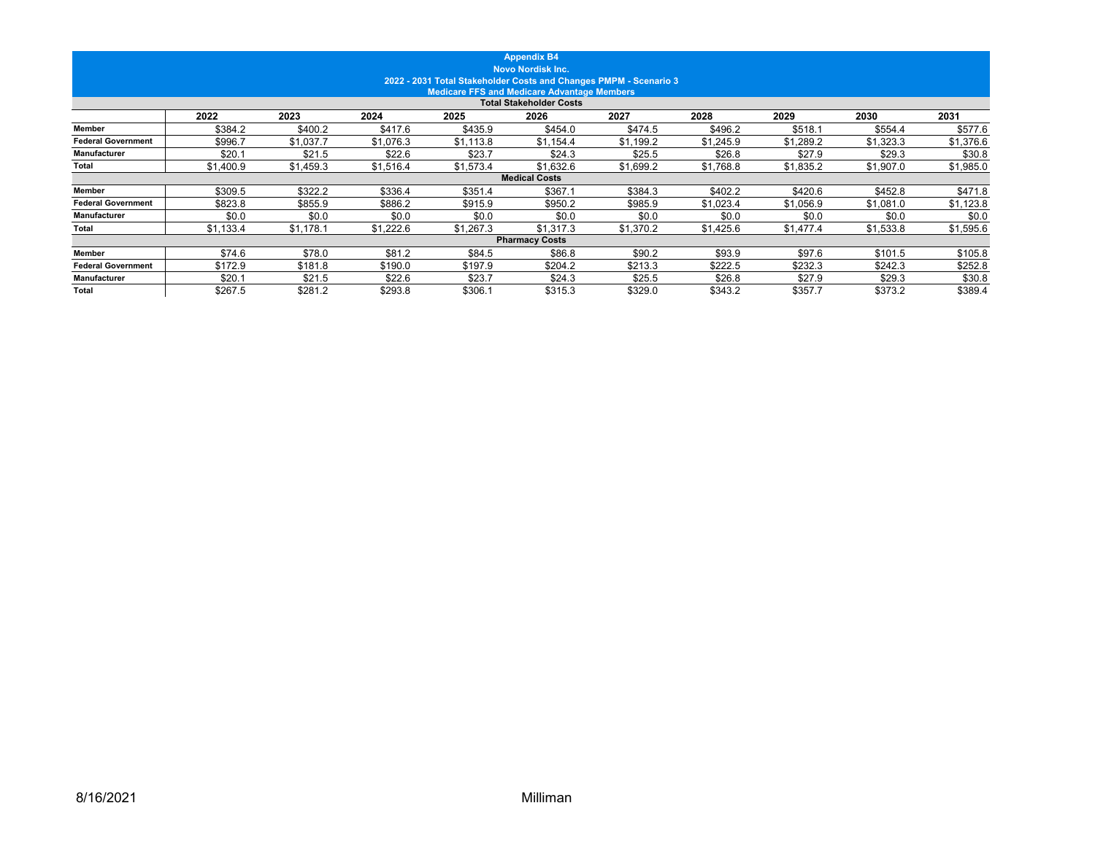|                           |           |           |           |                                                                   | <b>Appendix B4</b><br><b>Novo Nordisk Inc.</b>     |           |           |           |           |           |
|---------------------------|-----------|-----------|-----------|-------------------------------------------------------------------|----------------------------------------------------|-----------|-----------|-----------|-----------|-----------|
|                           |           |           |           | 2022 - 2031 Total Stakeholder Costs and Changes PMPM - Scenario 3 | <b>Medicare FFS and Medicare Advantage Members</b> |           |           |           |           |           |
|                           |           |           |           |                                                                   | <b>Total Stakeholder Costs</b>                     |           |           |           |           |           |
|                           | 2022      | 2023      | 2024      | 2025                                                              | 2026                                               | 2027      | 2028      | 2029      | 2030      | 2031      |
| <b>Member</b>             | \$384.2   | \$400.2   | \$417.6   | \$435.9                                                           | \$454.0                                            | \$474.5   | \$496.2   | \$518.1   | \$554.4   | \$577.6   |
| <b>Federal Government</b> | \$996.7   | \$1,037.7 | \$1.076.3 | \$1,113.8                                                         | \$1.154.4                                          | \$1.199.2 | \$1.245.9 | \$1.289.2 | \$1.323.3 | \$1,376.6 |
| <b>Manufacturer</b>       | \$20.1    | \$21.5    | \$22.6    | \$23.7                                                            | \$24.3                                             | \$25.5    | \$26.8    | \$27.9    | \$29.3    | \$30.8    |
| Total                     | \$1,400.9 | \$1,459.3 | \$1,516.4 | \$1,573.4                                                         | \$1,632.6                                          | \$1,699.2 | \$1,768.8 | \$1,835.2 | \$1,907.0 | \$1,985.0 |
|                           |           |           |           |                                                                   | <b>Medical Costs</b>                               |           |           |           |           |           |
| <b>Member</b>             | \$309.5   | \$322.2   | \$336.4   | \$351.4                                                           | \$367.1                                            | \$384.3   | \$402.2   | \$420.6   | \$452.8   | \$471.8   |
| <b>Federal Government</b> | \$823.8   | \$855.9   | \$886.2   | \$915.9                                                           | \$950.2                                            | \$985.9   | \$1,023.4 | \$1,056.9 | \$1,081.0 | \$1,123.8 |
| Manufacturer              | \$0.0     | \$0.0     | \$0.0     | \$0.0                                                             | \$0.0                                              | \$0.0     | \$0.0     | \$0.0     | \$0.0     | \$0.0     |
| Total                     | \$1,133.4 | \$1,178.1 | \$1,222.6 | \$1,267.3                                                         | \$1,317.3                                          | \$1,370.2 | \$1,425.6 | \$1,477.4 | \$1,533.8 | \$1,595.6 |
|                           |           |           |           |                                                                   | <b>Pharmacy Costs</b>                              |           |           |           |           |           |
| <b>Member</b>             | \$74.6    | \$78.0    | \$81.2    | \$84.5                                                            | \$86.8                                             | \$90.2    | \$93.9    | \$97.6    | \$101.5   | \$105.8   |
| <b>Federal Government</b> | \$172.9   | \$181.8   | \$190.0   | \$197.9                                                           | \$204.2                                            | \$213.3   | \$222.5   | \$232.3   | \$242.3   | \$252.8   |
| Manufacturer              | \$20.1    | \$21.5    | \$22.6    | \$23.7                                                            | \$24.3                                             | \$25.5    | \$26.8    | \$27.9    | \$29.3    | \$30.8    |
| <b>Total</b>              | \$267.5   | \$281.2   | \$293.8   | \$306.1                                                           | \$315.3                                            | \$329.0   | \$343.2   | \$357.7   | \$373.2   | \$389.4   |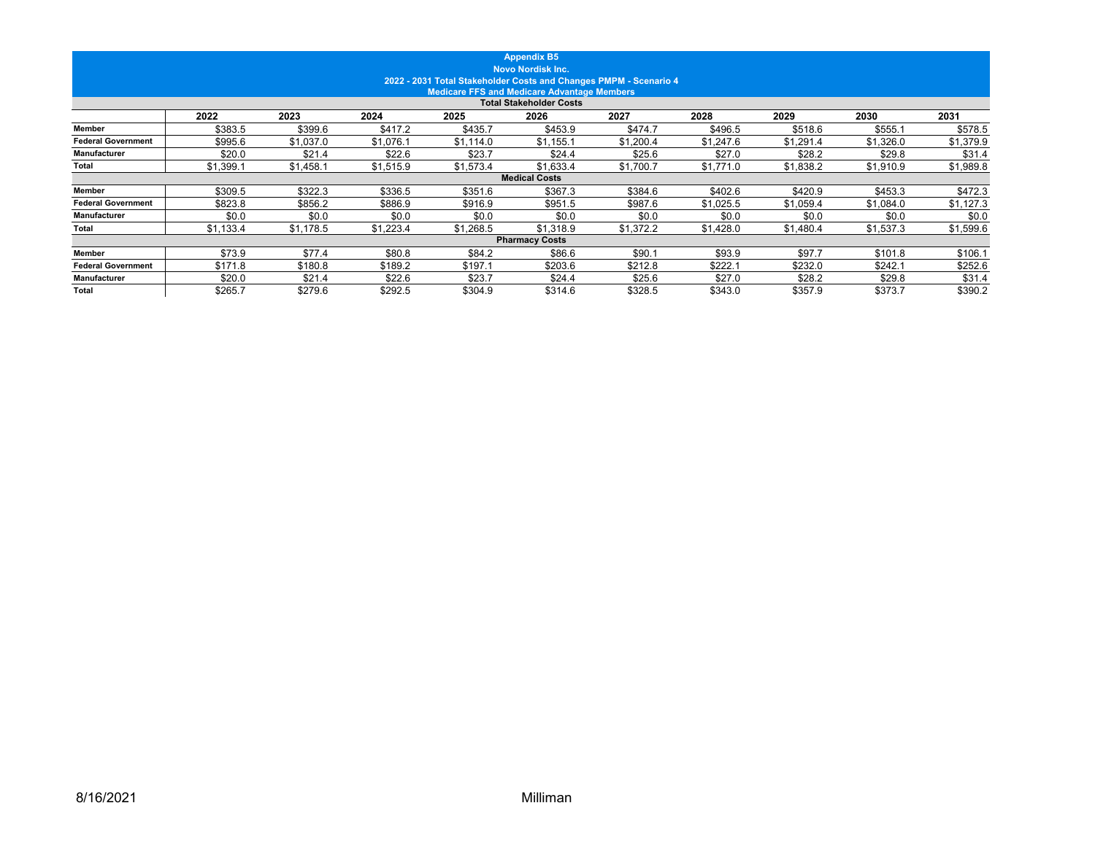|                           |           |           |           |                                                                   | <b>Appendix B5</b><br><b>Novo Nordisk Inc.</b>     |           |           |           |           |           |
|---------------------------|-----------|-----------|-----------|-------------------------------------------------------------------|----------------------------------------------------|-----------|-----------|-----------|-----------|-----------|
|                           |           |           |           | 2022 - 2031 Total Stakeholder Costs and Changes PMPM - Scenario 4 | <b>Medicare FFS and Medicare Advantage Members</b> |           |           |           |           |           |
|                           |           |           |           |                                                                   | <b>Total Stakeholder Costs</b>                     |           |           |           |           |           |
|                           | 2022      | 2023      | 2024      | 2025                                                              | 2026                                               | 2027      | 2028      | 2029      | 2030      | 2031      |
| <b>Member</b>             | \$383.5   | \$399.6   | \$417.2   | \$435.7                                                           | \$453.9                                            | \$474.7   | \$496.5   | \$518.6   | \$555.1   | \$578.5   |
| <b>Federal Government</b> | \$995.6   | \$1,037.0 | \$1,076.1 | \$1.114.0                                                         | \$1.155.1                                          | \$1.200.4 | \$1.247.6 | \$1.291.4 | \$1,326.0 | \$1,379.9 |
| <b>Manufacturer</b>       | \$20.0    | \$21.4    | \$22.6    | \$23.7                                                            | \$24.4                                             | \$25.6    | \$27.0    | \$28.2    | \$29.8    | \$31.4    |
| Total                     | \$1,399.1 | \$1,458.1 | \$1,515.9 | \$1,573.4                                                         | \$1,633.4                                          | \$1,700.7 | \$1,771.0 | \$1,838.2 | \$1,910.9 | \$1,989.8 |
|                           |           |           |           |                                                                   | <b>Medical Costs</b>                               |           |           |           |           |           |
| <b>Member</b>             | \$309.5   | \$322.3   | \$336.5   | \$351.6                                                           | \$367.3                                            | \$384.6   | \$402.6   | \$420.9   | \$453.3   | \$472.3   |
| <b>Federal Government</b> | \$823.8   | \$856.2   | \$886.9   | \$916.9                                                           | \$951.5                                            | \$987.6   | \$1,025.5 | \$1,059.4 | \$1,084.0 | \$1,127.3 |
| Manufacturer              | \$0.0     | \$0.0     | \$0.0     | \$0.0                                                             | \$0.0                                              | \$0.0     | \$0.0     | \$0.0     | \$0.0     | \$0.0     |
| Total                     | \$1,133.4 | \$1,178.5 | \$1,223.4 | \$1,268.5                                                         | \$1,318.9                                          | \$1,372.2 | \$1,428.0 | \$1,480.4 | \$1,537.3 | \$1,599.6 |
|                           |           |           |           |                                                                   | <b>Pharmacy Costs</b>                              |           |           |           |           |           |
| <b>Member</b>             | \$73.9    | \$77.4    | \$80.8    | \$84.2                                                            | \$86.6                                             | \$90.1    | \$93.9    | \$97.7    | \$101.8   | \$106.1   |
| <b>Federal Government</b> | \$171.8   | \$180.8   | \$189.2   | \$197.1                                                           | \$203.6                                            | \$212.8   | \$222.1   | \$232.0   | \$242.1   | \$252.6   |
| Manufacturer              | \$20.0    | \$21.4    | \$22.6    | \$23.7                                                            | \$24.4                                             | \$25.6    | \$27.0    | \$28.2    | \$29.8    | \$31.4    |
| <b>Total</b>              | \$265.7   | \$279.6   | \$292.5   | \$304.9                                                           | \$314.6                                            | \$328.5   | \$343.0   | \$357.9   | \$373.7   | \$390.2   |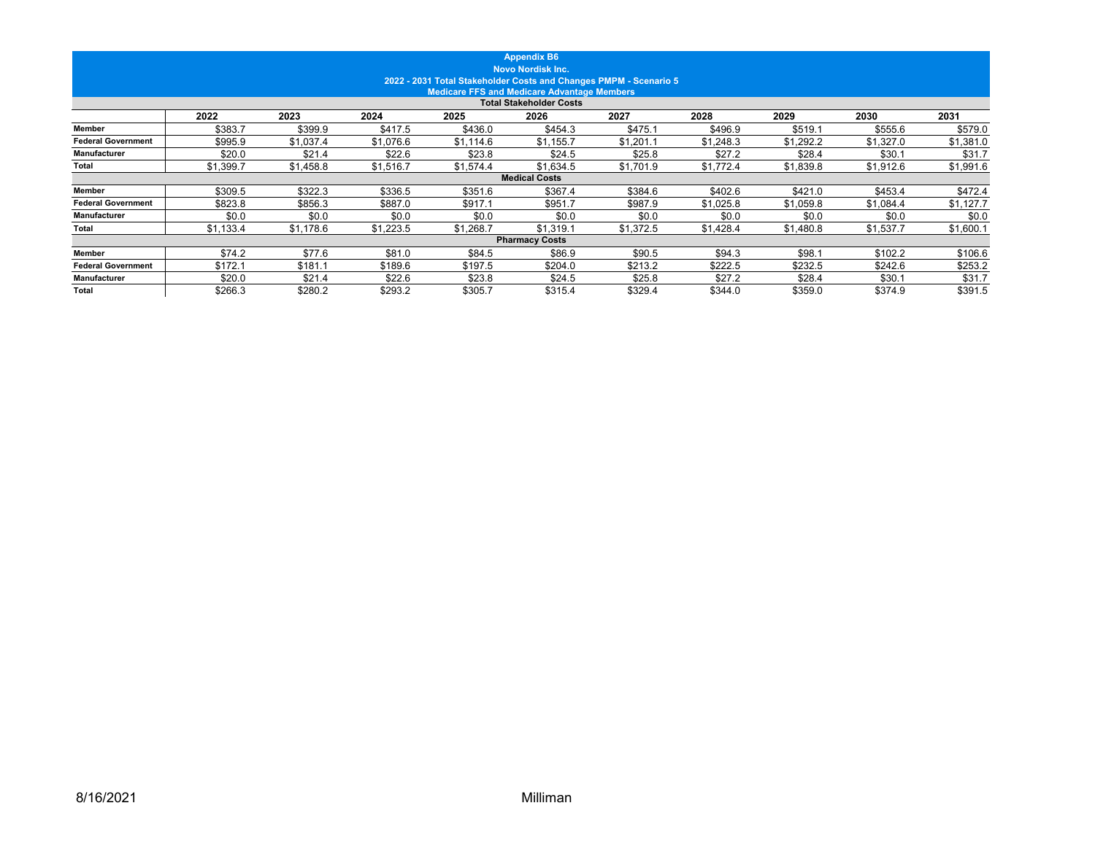|                           |           |           |           |           | <b>Appendix B6</b>                                                                            |           |           |           |           |           |
|---------------------------|-----------|-----------|-----------|-----------|-----------------------------------------------------------------------------------------------|-----------|-----------|-----------|-----------|-----------|
|                           |           |           |           |           | <b>Novo Nordisk Inc.</b><br>2022 - 2031 Total Stakeholder Costs and Changes PMPM - Scenario 5 |           |           |           |           |           |
|                           |           |           |           |           | <b>Medicare FFS and Medicare Advantage Members</b>                                            |           |           |           |           |           |
|                           |           |           |           |           | <b>Total Stakeholder Costs</b>                                                                |           |           |           |           |           |
|                           | 2022      | 2023      | 2024      | 2025      | 2026                                                                                          | 2027      | 2028      | 2029      | 2030      | 2031      |
| Member                    | \$383.7   | \$399.9   | \$417.5   | \$436.0   | \$454.3                                                                                       | \$475.1   | \$496.9   | \$519.1   | \$555.6   | \$579.0   |
| <b>Federal Government</b> | \$995.9   | \$1,037.4 | \$1,076.6 | \$1,114.6 | \$1.155.7                                                                                     | \$1.201.1 | \$1.248.3 | \$1.292.2 | \$1,327.0 | \$1,381.0 |
| <b>Manufacturer</b>       | \$20.0    | \$21.4    | \$22.6    | \$23.8    | \$24.5                                                                                        | \$25.8    | \$27.2    | \$28.4    | \$30.1    | \$31.7    |
| Total                     | \$1,399.7 | \$1,458.8 | \$1,516.7 | \$1,574.4 | \$1,634.5                                                                                     | \$1,701.9 | \$1,772.4 | \$1,839.8 | \$1,912.6 | \$1,991.6 |
|                           |           |           |           |           | <b>Medical Costs</b>                                                                          |           |           |           |           |           |
| <b>Member</b>             | \$309.5   | \$322.3   | \$336.5   | \$351.6   | \$367.4                                                                                       | \$384.6   | \$402.6   | \$421.0   | \$453.4   | \$472.4   |
| <b>Federal Government</b> | \$823.8   | \$856.3   | \$887.0   | \$917.1   | \$951.7                                                                                       | \$987.9   | \$1,025.8 | \$1,059.8 | \$1,084.4 | \$1,127.7 |
| Manufacturer              | \$0.0     | \$0.0     | \$0.0     | \$0.0     | \$0.0                                                                                         | \$0.0     | \$0.0     | \$0.0     | \$0.0     | \$0.0     |
| Total                     | \$1,133.4 | \$1,178.6 | \$1,223.5 | \$1,268.7 | \$1,319.1                                                                                     | \$1,372.5 | \$1,428.4 | \$1,480.8 | \$1,537.7 | \$1,600.1 |
|                           |           |           |           |           | <b>Pharmacy Costs</b>                                                                         |           |           |           |           |           |
| <b>Member</b>             | \$74.2    | \$77.6    | \$81.0    | \$84.5    | \$86.9                                                                                        | \$90.5    | \$94.3    | \$98.1    | \$102.2   | \$106.6   |
| <b>Federal Government</b> | \$172.1   | \$181.1   | \$189.6   | \$197.5   | \$204.0                                                                                       | \$213.2   | \$222.5   | \$232.5   | \$242.6   | \$253.2   |
| <b>Manufacturer</b>       | \$20.0    | \$21.4    | \$22.6    | \$23.8    | \$24.5                                                                                        | \$25.8    | \$27.2    | \$28.4    | \$30.1    | \$31.7    |
| <b>Total</b>              | \$266.3   | \$280.2   | \$293.2   | \$305.7   | \$315.4                                                                                       | \$329.4   | \$344.0   | \$359.0   | \$374.9   | \$391.5   |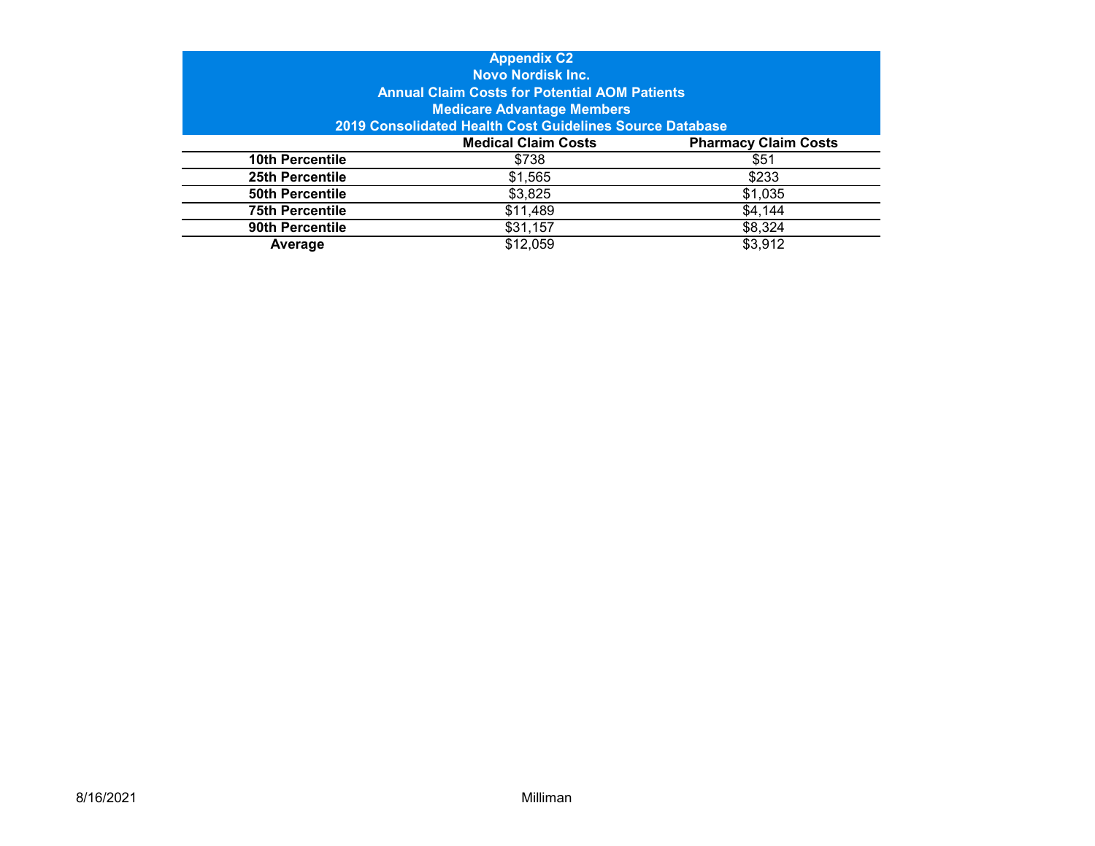|                        | <b>Appendix C2</b>                                       |                             |  |  |  |  |  |  |  |  |
|------------------------|----------------------------------------------------------|-----------------------------|--|--|--|--|--|--|--|--|
|                        | <b>Novo Nordisk Inc.</b>                                 |                             |  |  |  |  |  |  |  |  |
|                        | <b>Annual Claim Costs for Potential AOM Patients</b>     |                             |  |  |  |  |  |  |  |  |
|                        | <b>Medicare Advantage Members</b>                        |                             |  |  |  |  |  |  |  |  |
|                        | 2019 Consolidated Health Cost Guidelines Source Database |                             |  |  |  |  |  |  |  |  |
|                        | <b>Medical Claim Costs</b>                               | <b>Pharmacy Claim Costs</b> |  |  |  |  |  |  |  |  |
| 10th Percentile        | \$738                                                    | \$51                        |  |  |  |  |  |  |  |  |
| 25th Percentile        | \$1,565                                                  | \$233                       |  |  |  |  |  |  |  |  |
| <b>50th Percentile</b> | \$3,825                                                  | \$1,035                     |  |  |  |  |  |  |  |  |
| <b>75th Percentile</b> | \$11,489                                                 | \$4,144                     |  |  |  |  |  |  |  |  |
| 90th Percentile        | \$31,157                                                 | \$8,324                     |  |  |  |  |  |  |  |  |
| Average                | \$12,059                                                 | \$3,912                     |  |  |  |  |  |  |  |  |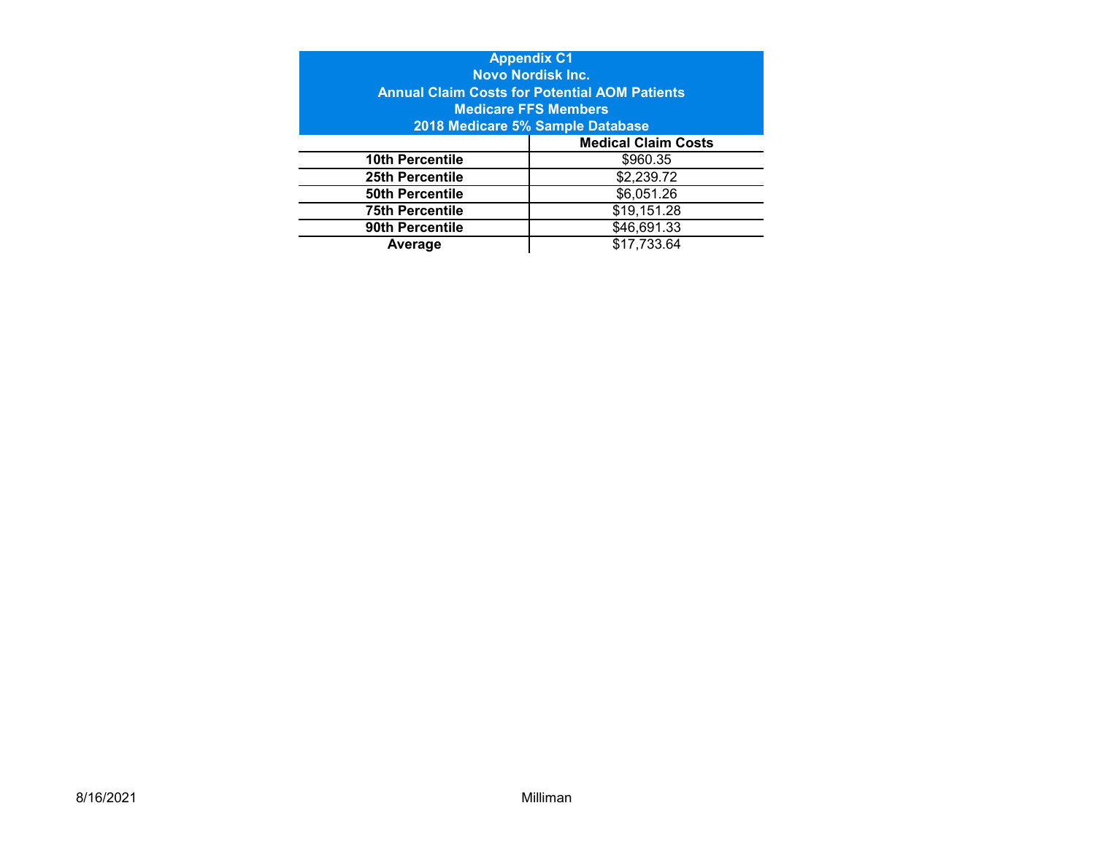|                        | <b>Appendix C1</b>                                   |  |  |  |  |  |  |  |
|------------------------|------------------------------------------------------|--|--|--|--|--|--|--|
|                        | <b>Novo Nordisk Inc.</b>                             |  |  |  |  |  |  |  |
|                        | <b>Annual Claim Costs for Potential AOM Patients</b> |  |  |  |  |  |  |  |
|                        | <b>Medicare FFS Members</b>                          |  |  |  |  |  |  |  |
|                        | 2018 Medicare 5% Sample Database                     |  |  |  |  |  |  |  |
|                        | <b>Medical Claim Costs</b>                           |  |  |  |  |  |  |  |
| <b>10th Percentile</b> | \$960.35                                             |  |  |  |  |  |  |  |
| 25th Percentile        | \$2,239.72                                           |  |  |  |  |  |  |  |
| <b>50th Percentile</b> | \$6,051.26                                           |  |  |  |  |  |  |  |
| <b>75th Percentile</b> | \$19,151.28                                          |  |  |  |  |  |  |  |
| 90th Percentile        | \$46,691.33                                          |  |  |  |  |  |  |  |
| \$17,733.64<br>Average |                                                      |  |  |  |  |  |  |  |